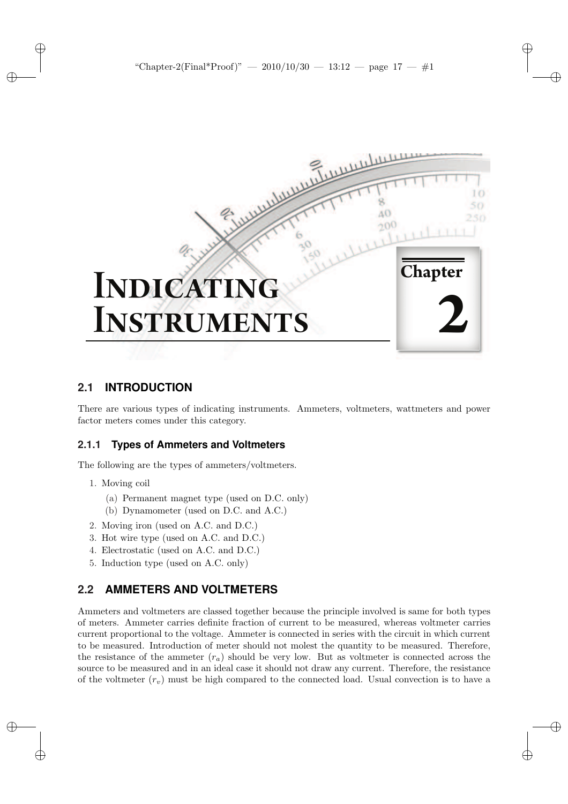

# **2.1 INTRODUCTION**

There are various types of indicating instruments. Ammeters, voltmeters, wattmeters and power factor meters comes under this category.

## **2.1.1 Types of Ammeters and Voltmeters**

The following are the types of ammeters/voltmeters.

- 1. Moving coil
	- (a) Permanent magnet type (used on D.C. only)
	- (b) Dynamometer (used on D.C. and A.C.)
- 2. Moving iron (used on A.C. and D.C.)
- 3. Hot wire type (used on A.C. and D.C.)
- 4. Electrostatic (used on A.C. and D.C.)
- 5. Induction type (used on A.C. only)

# **2.2 AMMETERS AND VOLTMETERS**

Ammeters and voltmeters are classed together because the principle involved is same for both types of meters. Ammeter carries definite fraction of current to be measured, whereas voltmeter carries current proportional to the voltage. Ammeter is connected in series with the circuit in which current to be measured. Introduction of meter should not molest the quantity to be measured. Therefore, the resistance of the ammeter  $(r_a)$  should be very low. But as voltmeter is connected across the source to be measured and in an ideal case it should not draw any current. Therefore, the resistance of the voltmeter  $(r_v)$  must be high compared to the connected load. Usual convection is to have a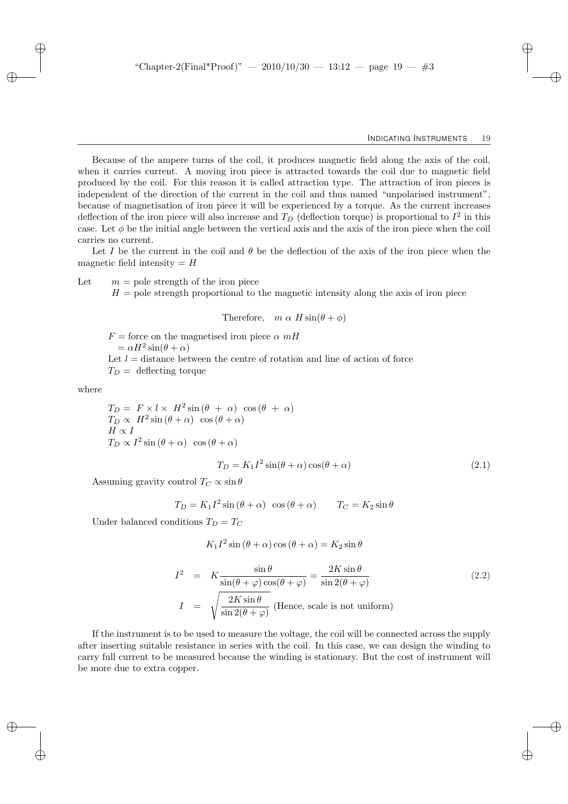Because of the ampere turns of the coil, it produces magnetic field along the axis of the coil, when it carries current. A moving iron piece is attracted towards the coil due to magnetic field produced by the coil. For this reason it is called attraction type. The attraction of iron pieces is independent of the direction of the current in the coil and thus named "unpolarised instrument", because of magnetisation of iron piece it will be experienced by a torque. As the current increases deflection of the iron piece will also increase and  $T_D$  (deflection torque) is proportional to  $I^2$  in this case. Let  $\phi$  be the initial angle between the vertical axis and the axis of the iron piece when the coil carries no current.

Let I be the current in the coil and  $\theta$  be the deflection of the axis of the iron piece when the magnetic field intensity  $=$  H

Let  $m =$  pole strength of the iron piece

 $H =$  pole strength proportional to the magnetic intensity along the axis of iron piece

#### Therefore,  $m \alpha H \sin(\theta + \phi)$

 $F =$  force on the magnetised iron piece  $\alpha$  mH  $= \alpha H^2 \sin(\theta + \alpha)$ Let  $l =$  distance between the centre of rotation and line of action of force  $T_D =$  deflecting torque

where

$$
T_D = F \times l \times H^2 \sin(\theta + \alpha) \cos(\theta + \alpha)
$$
  
\n
$$
T_D \propto H^2 \sin(\theta + \alpha) \cos(\theta + \alpha)
$$
  
\n
$$
H \propto I
$$
  
\n
$$
T_D \propto I^2 \sin(\theta + \alpha) \cos(\theta + \alpha)
$$

$$
T_D = K_1 I^2 \sin(\theta + \alpha) \cos(\theta + \alpha) \tag{2.1}
$$

Assuming gravity control  $T_C \propto \sin \theta$ 

$$
T_D = K_1 I^2 \sin(\theta + \alpha) \cos(\theta + \alpha) \qquad T_C = K_2 \sin \theta
$$

Under balanced conditions  $T_D = T_C$ 

$$
K_1 I^2 \sin (\theta + \alpha) \cos (\theta + \alpha) = K_2 \sin \theta
$$

$$
I^{2} = K \frac{\sin \theta}{\sin(\theta + \varphi)\cos(\theta + \varphi)} = \frac{2K\sin\theta}{\sin 2(\theta + \varphi)}
$$
(2.2)  

$$
I = \sqrt{\frac{2K\sin\theta}{\sin 2(\theta + \varphi)}}
$$
(Hence, scale is not uniform)

If the instrument is to be used to measure the voltage, the coil will be connected across the supply after inserting suitable resistance in series with the coil. In this case, we can design the winding to carry full current to be measured because the winding is stationary. But the cost of instrument will be more due to extra copper.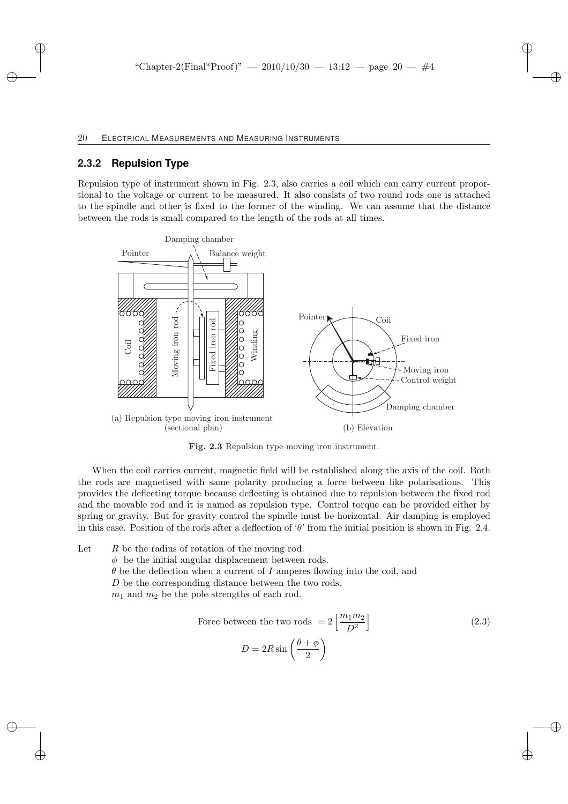### **2.3.2 Repulsion Type**

Repulsion type of instrument shown in Fig. 2.3, also carries a coil which can carry current proportional to the voltage or current to be measured. It also consists of two round rods one is attached to the spindle and other is fixed to the former of the winding. We can assume that the distance between the rods is small compared to the length of the rods at all times.



Fig. 2.3 Repulsion type moving iron instrument.

When the coil carries current, magnetic field will be established along the axis of the coil. Both the rods are magnetised with same polarity producing a force between like polarisations. This provides the deflecting torque because deflecting is obtained due to repulsion between the fixed rod and the movable rod and it is named as repulsion type. Control torque can be provided either by spring or gravity. But for gravity control the spindle must be horizontal. Air damping is employed in this case. Position of the rods after a deflection of ' $\theta$ ' from the initial position is shown in Fig. 2.4.

Let  $R$  be the radius of rotation of the moving rod.  $\phi$  be the initial angular displacement between rods.  $\theta$  be the deflection when a current of I amperes flowing into the coil, and D be the corresponding distance between the two rods.  $m_1$  and  $m_2$  be the pole strengths of each rod.

Force between the two rods 
$$
= 2 \left[ \frac{m_1 m_2}{D^2} \right]
$$

$$
D = 2R \sin \left( \frac{\theta + \phi}{2} \right)
$$
 (2.3)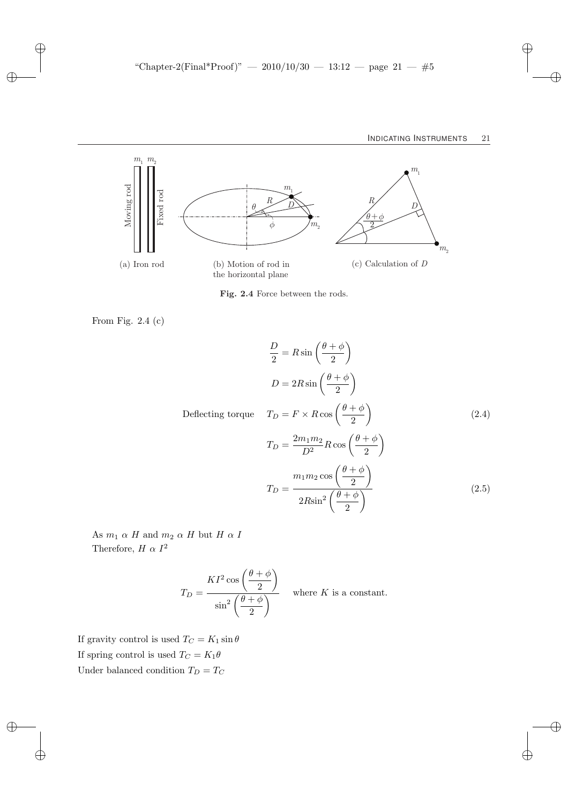

Fig. 2.4 Force between the rods.

From Fig. 2.4 (c)

$$
\frac{D}{2} = R \sin\left(\frac{\theta + \phi}{2}\right)
$$
  

$$
D = 2R \sin\left(\frac{\theta + \phi}{2}\right)
$$
  
Deflecting torque 
$$
T_D = F \times R \cos\left(\frac{\theta + \phi}{2}\right)
$$

$$
T_D = \frac{2m_1m_2}{D^2} R \cos\left(\frac{\theta + \phi}{2}\right)
$$

$$
T_D = \frac{m_1m_2 \cos\left(\frac{\theta + \phi}{2}\right)}{2R \sin^2\left(\frac{\theta + \phi}{2}\right)}
$$
(2.5)

As  $m_1$   $\alpha$   $H$  and  $m_2$   $\alpha$   $H$  but  $H$   $\alpha$   $I$ Therefore,  $H \alpha I^2$ 

$$
T_D = \frac{KI^2 \cos\left(\frac{\theta + \phi}{2}\right)}{\sin^2\left(\frac{\theta + \phi}{2}\right)}
$$
 where *K* is a constant.

If gravity control is used  $T_C=K_1\sin\theta$ If spring control is used  $T_C = K_1 \theta$ Under balanced condition  $T_D = T_C \,$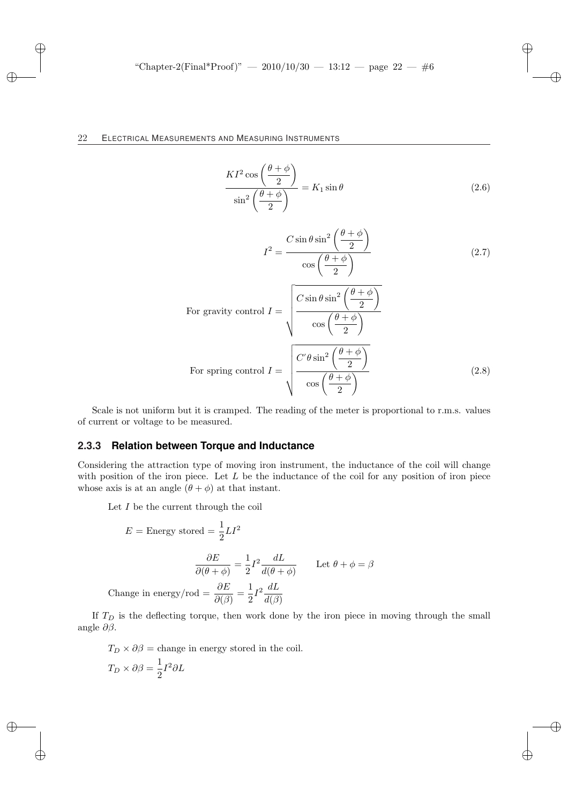$$
\frac{KI^2 \cos\left(\frac{\theta+\phi}{2}\right)}{\sin^2\left(\frac{\theta+\phi}{2}\right)} = K_1 \sin\theta \tag{2.6}
$$

$$
I^{2} = \frac{C \sin \theta \sin^{2} \left(\frac{\theta + \phi}{2}\right)}{\cos \left(\frac{\theta + \phi}{2}\right)}
$$
(2.7)

For gravity control 
$$
I = \sqrt{\frac{C \sin \theta \sin^2 \left(\frac{\theta + \phi}{2}\right)}{\cos \left(\frac{\theta + \phi}{2}\right)}}
$$
  
For spring control  $I = \sqrt{\frac{C'\theta \sin^2 \left(\frac{\theta + \phi}{2}\right)}{\cos \left(\frac{\theta + \phi}{2}\right)}}$  (2.8)

Scale is not uniform but it is cramped. The reading of the meter is proportional to r.m.s. values of current or voltage to be measured.

### **2.3.3 Relation between Torque and Inductance**

Considering the attraction type of moving iron instrument, the inductance of the coil will change with position of the iron piece. Let  $L$  be the inductance of the coil for any position of iron piece whose axis is at an angle  $(\theta + \phi)$  at that instant.

Let  $I$  be the current through the coil

$$
E = \text{Energy stored} = \frac{1}{2}LI^2
$$

$$
\frac{\partial E}{\partial(\theta + \phi)} = \frac{1}{2}I^2 \frac{dL}{d(\theta + \phi)} \qquad \text{Let } \theta + \phi = \beta
$$
Change in energy/rod =  $\frac{\partial E}{\partial(\beta)} = \frac{1}{2}I^2 \frac{dL}{d(\beta)}$ 

If  $T<sub>D</sub>$  is the deflecting torque, then work done by the iron piece in moving through the small angle ∂β.

 $T_D \times \partial \beta$  = change in energy stored in the coil.  $T_D \times \partial \beta = \frac{1}{2}$  $\frac{1}{2}I^2\partial L$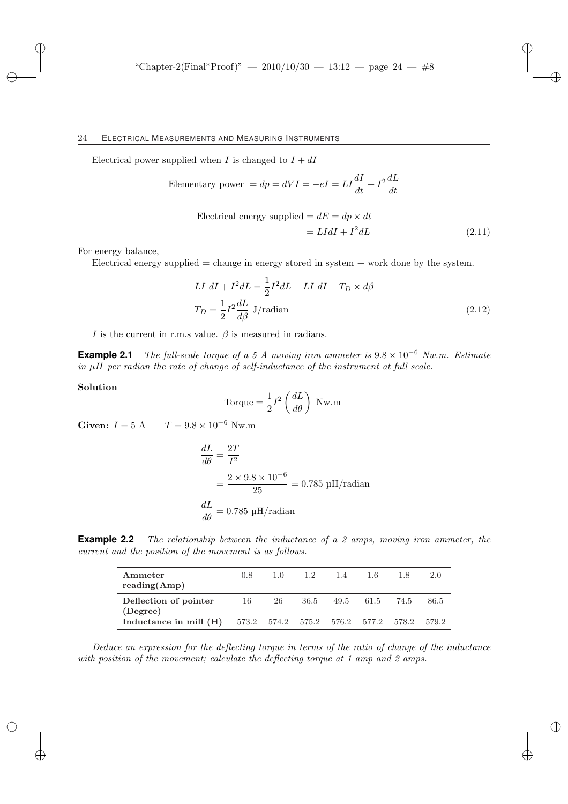Electrical power supplied when I is changed to  $I + dI$ 

Elementary power = 
$$
dp = dVI = -eI = LI\frac{dI}{dt} + I^2\frac{dL}{dt}
$$

Electrical energy supplied = 
$$
dE = dp \times dt
$$
  
=  $LIdI + I^2dL$  (2.11)

For energy balance,

Electrical energy supplied  $=$  change in energy stored in system  $+$  work done by the system.

$$
LI \ dI + I^2 dL = \frac{1}{2}I^2 dL + LI \ dI + T_D \times d\beta
$$

$$
T_D = \frac{1}{2}I^2 \frac{dL}{d\beta} \ J/radian \tag{2.12}
$$

I is the current in r.m.s value.  $\beta$  is measured in radians.

**Example 2.1** The full-scale torque of a 5 A moving iron ammeter is  $9.8 \times 10^{-6}$  Nw.m. Estimate in  $\mu$ H per radian the rate of change of self-inductance of the instrument at full scale.

### Solution

Torque = 
$$
\frac{1}{2}I^2 \left(\frac{dL}{d\theta}\right)
$$
 Nw.m

Given:  $I = 5 \text{ A}$   $T = 9.8 \times 10^{-6} \text{ Nw.m}$ 

$$
\frac{dL}{d\theta} = \frac{2T}{I^2}
$$
  
=  $\frac{2 \times 9.8 \times 10^{-6}}{25} = 0.785 \text{ µH/radian}$   
 $\frac{dL}{d\theta} = 0.785 \text{ µH/radian}$ 

**Example 2.2** The relationship between the inductance of a 2 amps, moving iron ammeter, the current and the position of the movement is as follows.

| Ammeter<br>reading(Amp)                                                             | $0.8^{\circ}$ | $1.0 -$ | 1.2 | 1.4                    | -1.6 | 2.0  |
|-------------------------------------------------------------------------------------|---------------|---------|-----|------------------------|------|------|
| Deflection of pointer                                                               | 16            |         |     | 26 36.5 49.5 61.5 74.5 |      | 86.5 |
| (Degree)<br><b>Inductance in mill (H)</b> 573.2 574.2 575.2 576.2 577.2 578.2 579.2 |               |         |     |                        |      |      |

Deduce an expression for the deflecting torque in terms of the ratio of change of the inductance with position of the movement; calculate the deflecting torque at 1 amp and 2 amps.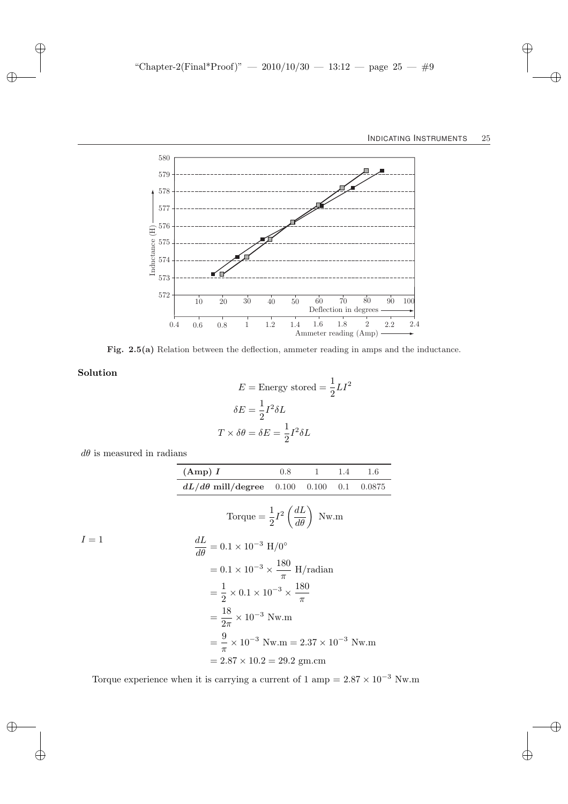

Fig. 2.5(a) Relation between the deflection, ammeter reading in amps and the inductance.

Solution

$$
E = \text{Energy stored} = \frac{1}{2}LI^2
$$

$$
\delta E = \frac{1}{2}I^2 \delta L
$$

$$
T \times \delta \theta = \delta E = \frac{1}{2}I^2 \delta L
$$

 $d\theta$  is measured in radians

|       | (Amp) I                                                            |       | $0.8 \qquad 1$ | 1.4 | 1.6    |  |  |  |  |  |  |
|-------|--------------------------------------------------------------------|-------|----------------|-----|--------|--|--|--|--|--|--|
|       | $dL/d\theta$ mill/degree                                           | 0.100 | 0.100          | 0.1 | 0.0875 |  |  |  |  |  |  |
|       | Torque = $\frac{1}{2}I^2\left(\frac{dL}{d\theta}\right)$ Nw.m      |       |                |     |        |  |  |  |  |  |  |
| $I=1$ | $rac{dL}{d\theta} = 0.1 \times 10^{-3}$ H/0 <sup>o</sup>           |       |                |     |        |  |  |  |  |  |  |
|       | $= 0.1 \times 10^{-3} \times \frac{180}{\pi}$ H/radian             |       |                |     |        |  |  |  |  |  |  |
|       | $=\frac{1}{2}\times 0.1\times 10^{-3}\times \frac{180}{\pi}$       |       |                |     |        |  |  |  |  |  |  |
|       | $=\frac{18}{2\pi}\times10^{-3}$ Nw.m                               |       |                |     |        |  |  |  |  |  |  |
|       | $=$ $\frac{9}{2} \times 10^{-3}$ Nw.m = 2.37 $\times 10^{-3}$ Nw.m |       |                |     |        |  |  |  |  |  |  |
|       | $= 2.87 \times 10.2 = 29.2$ gm.cm                                  |       |                |     |        |  |  |  |  |  |  |

Torque experience when it is carrying a current of 1 amp =  $2.87\times10^{-3}$  Nw.m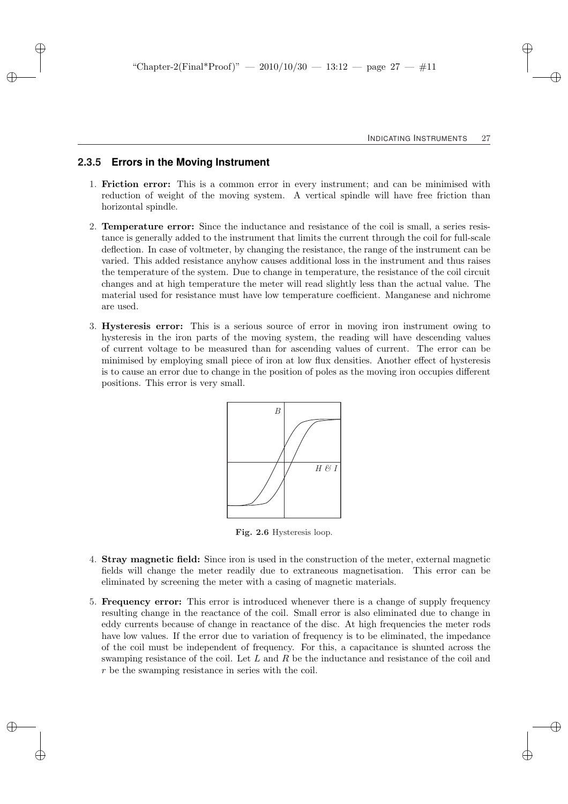### **2.3.5 Errors in the Moving Instrument**

- 1. Friction error: This is a common error in every instrument; and can be minimised with reduction of weight of the moving system. A vertical spindle will have free friction than horizontal spindle.
- 2. Temperature error: Since the inductance and resistance of the coil is small, a series resistance is generally added to the instrument that limits the current through the coil for full-scale deflection. In case of voltmeter, by changing the resistance, the range of the instrument can be varied. This added resistance anyhow causes additional loss in the instrument and thus raises the temperature of the system. Due to change in temperature, the resistance of the coil circuit changes and at high temperature the meter will read slightly less than the actual value. The material used for resistance must have low temperature coefficient. Manganese and nichrome are used.
- 3. Hysteresis error: This is a serious source of error in moving iron instrument owing to hysteresis in the iron parts of the moving system, the reading will have descending values of current voltage to be measured than for ascending values of current. The error can be minimised by employing small piece of iron at low flux densities. Another effect of hysteresis is to cause an error due to change in the position of poles as the moving iron occupies different positions. This error is very small.



Fig. 2.6 Hysteresis loop.

- 4. Stray magnetic field: Since iron is used in the construction of the meter, external magnetic fields will change the meter readily due to extraneous magnetisation. This error can be eliminated by screening the meter with a casing of magnetic materials.
- 5. Frequency error: This error is introduced whenever there is a change of supply frequency resulting change in the reactance of the coil. Small error is also eliminated due to change in eddy currents because of change in reactance of the disc. At high frequencies the meter rods have low values. If the error due to variation of frequency is to be eliminated, the impedance of the coil must be independent of frequency. For this, a capacitance is shunted across the swamping resistance of the coil. Let  $L$  and  $R$  be the inductance and resistance of the coil and r be the swamping resistance in series with the coil.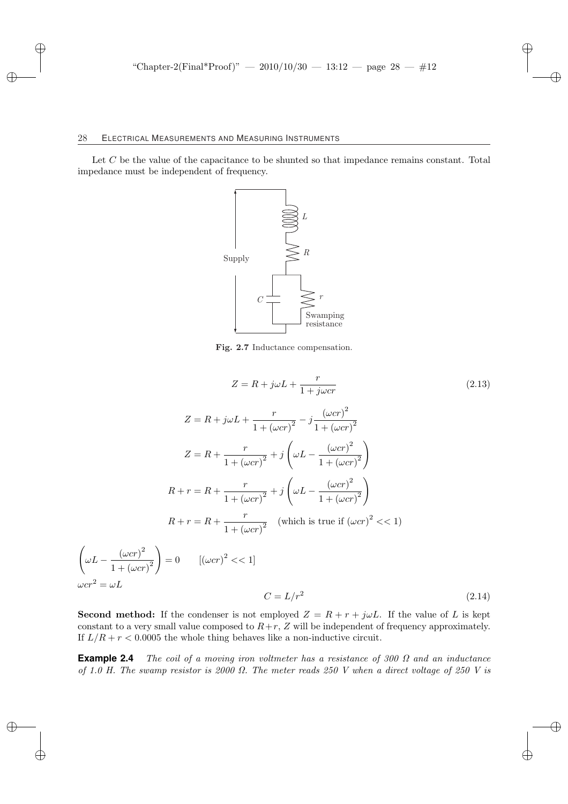$\overline{\phantom{a}}$ 

 $\int \omega L -$ 

 $\omega c r^2 = c$ 

Let C be the value of the capacitance to be shunted so that impedance remains constant. Total impedance must be independent of frequency.



Fig. 2.7 Inductance compensation.

$$
Z = R + j\omega L + \frac{r}{1 + j\omega cr}
$$
\n
$$
Z = R + j\omega L + \frac{r}{1 + (\omega cr)^2} - j\frac{(\omega cr)^2}{1 + (\omega cr)^2}
$$
\n
$$
Z = R + \frac{r}{1 + (\omega cr)^2} + j\left(\omega L - \frac{(\omega cr)^2}{1 + (\omega cr)^2}\right)
$$
\n
$$
R + r = R + \frac{r}{1 + (\omega cr)^2} + j\left(\omega L - \frac{(\omega cr)^2}{1 + (\omega cr)^2}\right)
$$
\n
$$
R + r = R + \frac{r}{1 + (\omega cr)^2} \quad \text{(which is true if } (\omega cr)^2 << 1)
$$
\n
$$
\frac{(\omega cr)^2}{1 + (\omega cr)^2} = 0 \quad \left[ (\omega cr)^2 << 1 \right]
$$
\n
$$
\omega L
$$

$$
C = L/r^2 \tag{2.14}
$$

**Second method:** If the condenser is not employed  $Z = R + r + j\omega L$ . If the value of L is kept constant to a very small value composed to  $R+r$ ,  $Z$  will be independent of frequency approximately. If  $L/R + r < 0.0005$  the whole thing behaves like a non-inductive circuit.

**Example 2.4** The coil of a moving iron voltmeter has a resistance of 300 Ω and an inductance of 1.0 H. The swamp resistor is 2000  $\Omega$ . The meter reads 250 V when a direct voltage of 250 V is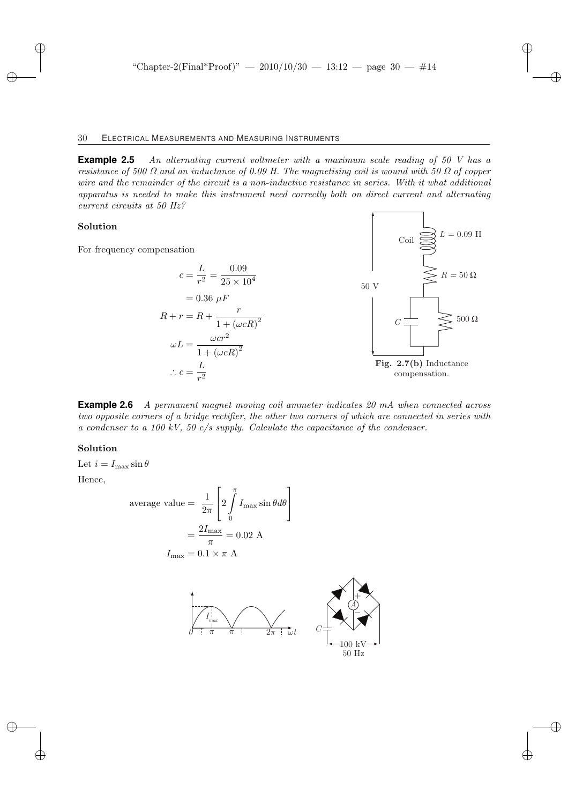**Example 2.5** An alternating current voltmeter with a maximum scale reading of 50 V has a resistance of 500  $\Omega$  and an inductance of 0.09 H. The magnetising coil is wound with 50  $\Omega$  of copper wire and the remainder of the circuit is a non-inductive resistance in series. With it what additional apparatus is needed to make this instrument need correctly both on direct current and alternating current circuits at 50 Hz?

### Solution

For frequency competed

$$
c = \frac{L}{r^2} = \frac{0.09}{25 \times 10^4}
$$
  
= 0.36  $\mu$ F  

$$
R + r = R + \frac{r}{1 + (\omega cR)^2}
$$
  

$$
\omega L = \frac{\omega c r^2}{1 + (\omega cR)^2}
$$
  

$$
\therefore c = \frac{L}{r^2}
$$
  
**Fig. 2.7(b) Inductance** compensation.

Coil  $\bigotimes L = 0.09$  H

**Example 2.6** A permanent magnet moving coil ammeter indicates 20 mA when connected across two opposite corners of a bridge rectifier, the other two corners of which are connected in series with a condenser to a 100 kV, 50 c/s supply. Calculate the capacitance of the condenser.

### Solution

Let  $i = I_{\text{max}} \sin \theta$ 

Hence,

average value = 
$$
\frac{1}{2\pi} \left[ 2 \int_{0}^{\pi} I_{\text{max}} \sin \theta d\theta \right]
$$

$$
= \frac{2I_{\text{max}}}{\pi} = 0.02 \text{ A}
$$

$$
I_{\text{max}} = 0.1 \times \pi \text{ A}
$$

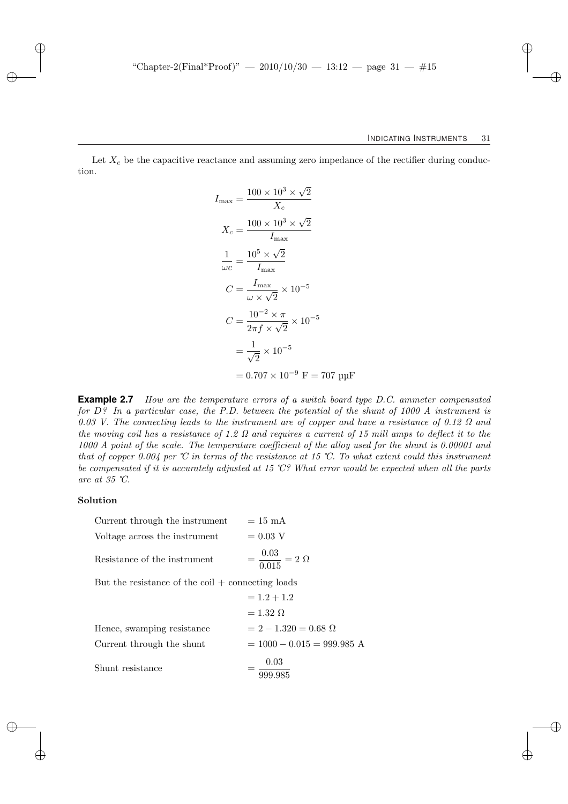Let  $X_c$  be the capacitive reactance and assuming zero impedance of the rectifier during conduction.

$$
I_{\text{max}} = \frac{100 \times 10^3 \times \sqrt{2}}{X_c}
$$
  
\n
$$
X_c = \frac{100 \times 10^3 \times \sqrt{2}}{I_{\text{max}}}
$$
  
\n
$$
\frac{1}{\omega c} = \frac{10^5 \times \sqrt{2}}{I_{\text{max}}}
$$
  
\n
$$
C = \frac{I_{\text{max}}}{\omega \times \sqrt{2}} \times 10^{-5}
$$
  
\n
$$
C = \frac{10^{-2} \times \pi}{2\pi f \times \sqrt{2}} \times 10^{-5}
$$
  
\n
$$
= \frac{1}{\sqrt{2}} \times 10^{-5}
$$
  
\n= 0.707 × 10<sup>-9</sup> F = 707 µ

**Example 2.7** How are the temperature errors of a switch board type D.C. ammeter compensated for  $D$ ? In a particular case, the P.D. between the potential of the shunt of 1000 A instrument is 0.03 V. The connecting leads to the instrument are of copper and have a resistance of 0.12  $\Omega$  and the moving coil has a resistance of 1.2  $\Omega$  and requires a current of 15 mill amps to deflect it to the 1000 A point of the scale. The temperature coefficient of the alloy used for the shunt is 0.00001 and that of copper 0.004 per °C in terms of the resistance at 15 °C. To what extent could this instrument be compensated if it is accurately adjusted at 15 ℃? What error would be expected when all the parts are at 35 ℃.

### Solution

| Current through the instrument                                    | $= 15$ mA                           |  |  |  |  |  |
|-------------------------------------------------------------------|-------------------------------------|--|--|--|--|--|
| Voltage across the instrument                                     | $= 0.03$ V                          |  |  |  |  |  |
| Resistance of the instrument                                      | $=$ $\frac{0.03}{0.015} = 2 \Omega$ |  |  |  |  |  |
| But the resistance of the $\text{coil} + \text{connecting loads}$ |                                     |  |  |  |  |  |

|                            | $= 1.2 + 1.2$                 |
|----------------------------|-------------------------------|
|                            | $= 1.32 \Omega$               |
| Hence, swamping resistance | $= 2 - 1.320 = 0.68$ $\Omega$ |
| Current through the shunt  | $= 1000 - 0.015 = 999.985$ A  |
| Shunt resistance           | 0.03<br>999.985               |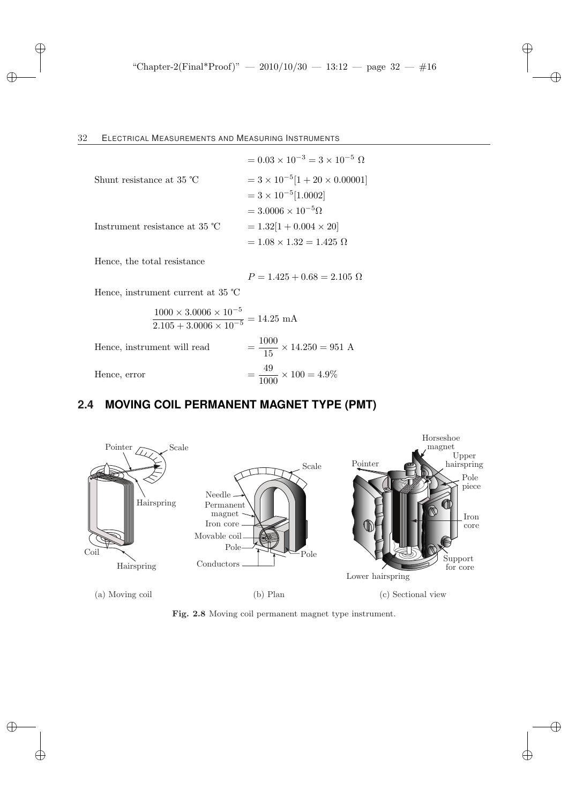|                                         | $= 0.03 \times 10^{-3} = 3 \times 10^{-5} \Omega$ |
|-----------------------------------------|---------------------------------------------------|
| Shunt resistance at 35 $\degree$ C      | $= 3 \times 10^{-5} [1 + 20 \times 0.00001]$      |
|                                         | $= 3 \times 10^{-5} [1.0002]$                     |
|                                         | $= 3.0006 \times 10^{-5} \Omega$                  |
| Instrument resistance at $35^{\circ}$ C | $= 1.32[1 + 0.004 \times 20]$                     |
|                                         | $= 1.08 \times 1.32 = 1.425 \Omega$               |

Hence, the total resistance

$$
P = 1.425 + 0.68 = 2.105 \text{ }\Omega
$$

Hence, instrument current at 35 ℃

$$
\frac{1000 \times 3.0006 \times 10^{-5}}{2.105 + 3.0006 \times 10^{-5}} = 14.25 \text{ mA}
$$
  
Hence, instrument will read 
$$
= \frac{1000}{15} \times 14.250 = 951 \text{ A}
$$

$$
= \frac{49}{1000} \times 100 = 4.9\%
$$

# **2.4 MOVING COIL PERMANENT MAGNET TYPE (PMT)**



Fig. 2.8 Moving coil permanent magnet type instrument.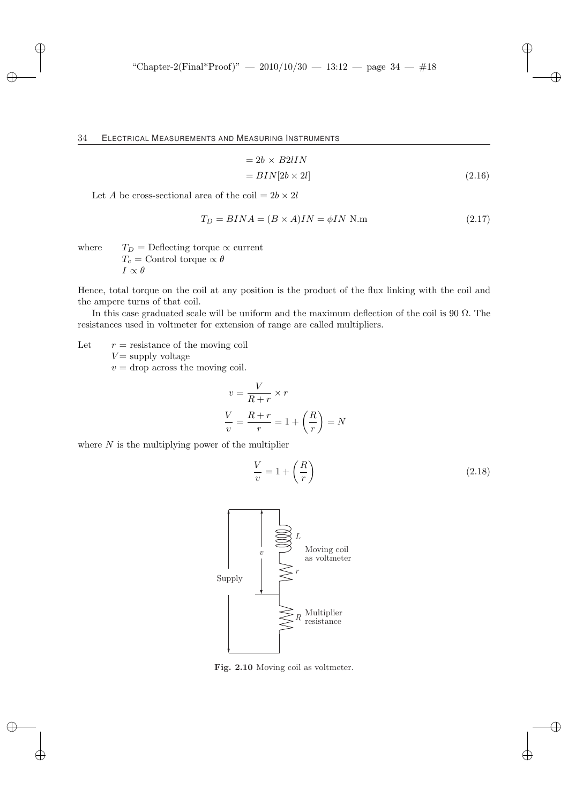$$
= 2b \times B2IIN
$$
  

$$
= BIN[2b \times 2l]
$$
 (2.16)

Let A be cross-sectional area of the coil  $= 2b \times 2l$ 

$$
T_D = BINA = (B \times A)IN = \phi IN \text{ N.m} \tag{2.17}
$$

where  $T_D =$  Deflecting torque  $\propto$  current  $T_c$  = Control torque  $\propto \theta$  $I \propto \theta$ 

Hence, total torque on the coil at any position is the product of the flux linking with the coil and the ampere turns of that coil.

In this case graduated scale will be uniform and the maximum deflection of the coil is 90  $\Omega$ . The resistances used in voltmeter for extension of range are called multipliers.

Let  $r =$  resistance of the moving coil  $V =$  supply voltage

 $v =$  drop across the moving coil.

$$
v = \frac{V}{R+r} \times r
$$

$$
\frac{V}{v} = \frac{R+r}{r} = 1 + \left(\frac{R}{r}\right) = N
$$

where  $N$  is the multiplying power of the multiplier

$$
\frac{V}{v} = 1 + \left(\frac{R}{r}\right) \tag{2.18}
$$



Fig. 2.10 Moving coil as voltmeter.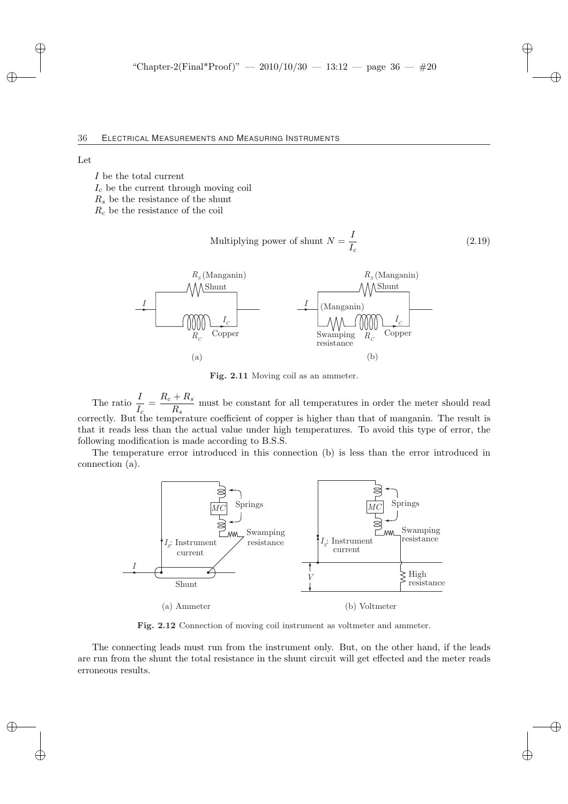Let

I be the total current

 $I_c$  be the current through moving coil

 $R<sub>s</sub>$  be the resistance of the shunt

 $R_c$  be the resistance of the coil

Multiplying power of shunt 
$$
N = \frac{I}{I_c}
$$
 (2.19)



Fig. 2.11 Moving coil as an ammeter.

The ratio  $\frac{I}{I_c} = \frac{R_c + R_s}{R_s}$  $R_s$  must be constant for all temperatures in order the meter should read correctly. But the temperature coefficient of copper is higher than that of manganin. The result is that it reads less than the actual value under high temperatures. To avoid this type of error, the following modification is made according to B.S.S.

The temperature error introduced in this connection (b) is less than the error introduced in connection (a).



Fig. 2.12 Connection of moving coil instrument as voltmeter and ammeter.

The connecting leads must run from the instrument only. But, on the other hand, if the leads are run from the shunt the total resistance in the shunt circuit will get effected and the meter reads erroneous results.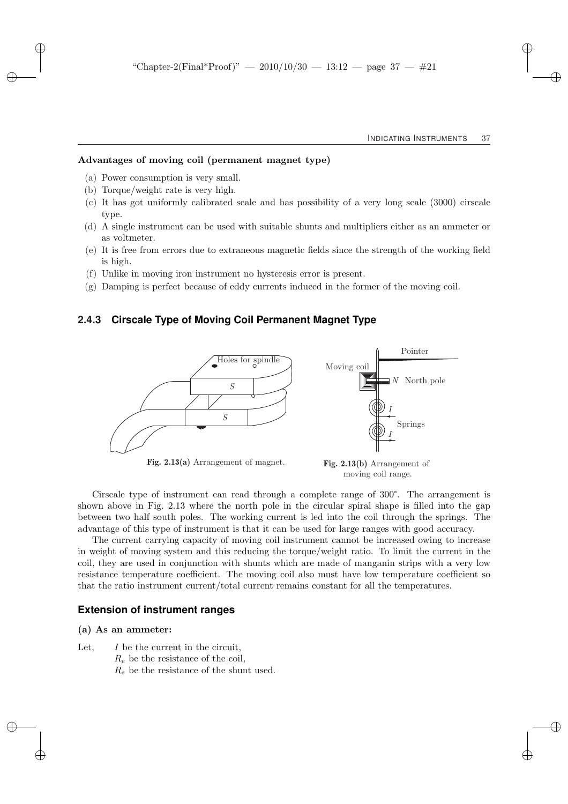### Advantages of moving coil (permanent magnet type)

- (a) Power consumption is very small.
- (b) Torque/weight rate is very high.
- (c) It has got uniformly calibrated scale and has possibility of a very long scale (3000) cirscale type.
- (d) A single instrument can be used with suitable shunts and multipliers either as an ammeter or as voltmeter.
- (e) It is free from errors due to extraneous magnetic fields since the strength of the working field is high.
- (f) Unlike in moving iron instrument no hysteresis error is present.
- (g) Damping is perfect because of eddy currents induced in the former of the moving coil.

### **2.4.3 Cirscale Type of Moving Coil Permanent Magnet Type**



moving coil range.

Cirscale type of instrument can read through a complete range of 300°. The arrangement is shown above in Fig. 2.13 where the north pole in the circular spiral shape is filled into the gap between two half south poles. The working current is led into the coil through the springs. The advantage of this type of instrument is that it can be used for large ranges with good accuracy.

The current carrying capacity of moving coil instrument cannot be increased owing to increase in weight of moving system and this reducing the torque/weight ratio. To limit the current in the coil, they are used in conjunction with shunts which are made of manganin strips with a very low resistance temperature coefficient. The moving coil also must have low temperature coefficient so that the ratio instrument current/total current remains constant for all the temperatures.

### **Extension of instrument ranges**

#### (a) As an ammeter:

Let,  $I$  be the current in the circuit,  $R_e$  be the resistance of the coil,  $R<sub>s</sub>$  be the resistance of the shunt used.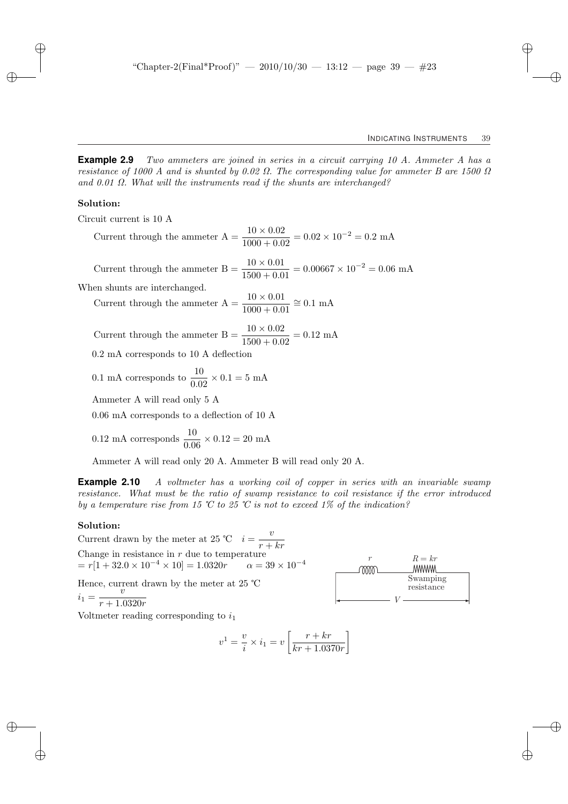**Example 2.9** Two ammeters are joined in series in a circuit carrying 10 A. Ammeter A has a resistance of 1000 A and is shunted by 0.02  $\Omega$ . The corresponding value for ammeter B are 1500  $\Omega$ and 0.01  $\Omega$ . What will the instruments read if the shunts are interchanged?

#### Solution:

Circuit current is 10 A

Current through the ammeter A = 
$$
\frac{10 \times 0.02}{1000 + 0.02} = 0.02 \times 10^{-2} = 0.2 \text{ mA}
$$

Current through the ammeter B =  $\frac{10 \times 0.01}{1500 + 0.01}$  = 0.00667 × 10<sup>-2</sup> = 0.06 mA

When shunts are interchanged.

Current through the ammeter  $A = \frac{10 \times 0.01}{1000 + 0.01} \approx 0.1$  mA

Current through the ammeter  $B = \frac{10 \times 0.02}{1500 + 0.02} = 0.12$  mA

0.2 mA corresponds to 10 A deflection

0.1 mA corresponds to 
$$
\frac{10}{0.02} \times 0.1 = 5
$$
 mA

Ammeter A will read only 5 A

0.06 mA corresponds to a deflection of 10 A

$$
0.12 \text{ mA corresponds } \frac{10}{0.06} \times 0.12 = 20 \text{ mA}
$$

Ammeter A will read only 20 A. Ammeter B will read only 20 A.

**Example 2.10** A voltmeter has a working coil of copper in series with an invariable swamp resistance. What must be the ratio of swamp resistance to coil resistance if the error introduced by a temperature rise from 15 °C to 25 °C is not to exceed 1% of the indication?

#### Solution:

Current drawn by the meter at 25 °C  $i = -\frac{v}{v}$  $r + kr$ Change in resistance in  $r$  due to temperature  $= r[1 + 32.0 \times 10^{-4} \times 10] = 1.0320r$   $\alpha = 39 \times 10^{-4}$ Hence, current drawn by the meter at 25 ℃  $i_1 = \frac{v}{x+1}$  $r + 1.0320r$ 

Voltmeter reading corresponding to  $i_1$ 

$$
v^{1} = \frac{v}{i} \times i_{1} = v \left[ \frac{r + kr}{kr + 1.0370r} \right]
$$

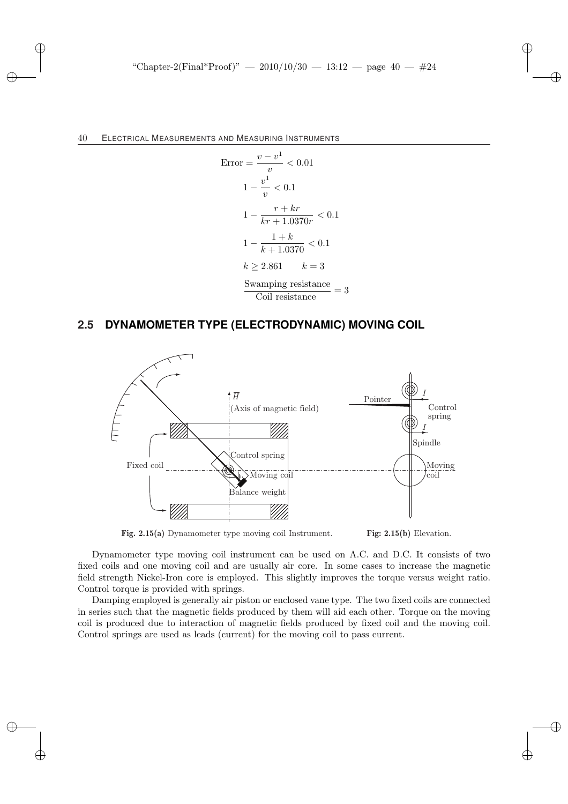Error = 
$$
\frac{v - v^{1}}{v} < 0.01
$$

\n
$$
1 - \frac{v^{1}}{v} < 0.1
$$

\n
$$
1 - \frac{r + kr}{kr + 1.0370r} < 0.1
$$

\n
$$
1 - \frac{1 + k}{k + 1.0370} < 0.1
$$

\n
$$
k \geq 2.861 \quad k = 3
$$

\nSwamping resistance = 3

\nSwamping resistance = 3

Coil resistance

# **2.5 DYNAMOMETER TYPE (ELECTRODYNAMIC) MOVING COIL**



**Fig. 2.15(a)** Dynamometer type moving coil Instrument. **Fig: 2.15(b)** Elevation.

Dynamometer type moving coil instrument can be used on A.C. and D.C. It consists of two fixed coils and one moving coil and are usually air core. In some cases to increase the magnetic field strength Nickel-Iron core is employed. This slightly improves the torque versus weight ratio. Control torque is provided with springs.

Damping employed is generally air piston or enclosed vane type. The two fixed coils are connected in series such that the magnetic fields produced by them will aid each other. Torque on the moving coil is produced due to interaction of magnetic fields produced by fixed coil and the moving coil. Control springs are used as leads (current) for the moving coil to pass current.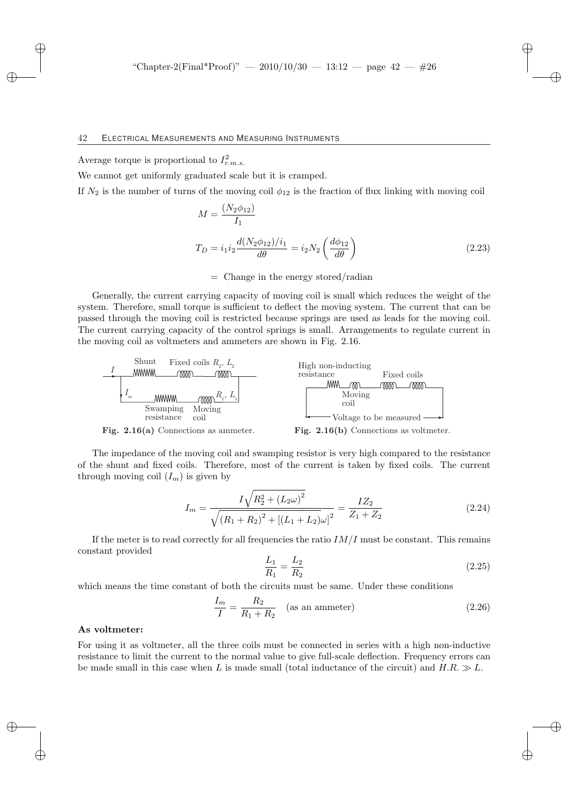Average torque is proportional to  $I_{r.m.s.}^2$ 

We cannot get uniformly graduated scale but it is cramped.

If  $N_2$  is the number of turns of the moving coil  $\phi_{12}$  is the fraction of flux linking with moving coil

$$
M = \frac{(N_2 \phi_{12})}{I_1}
$$
  
\n
$$
T_D = i_1 i_2 \frac{d(N_2 \phi_{12})/i_1}{d\theta} = i_2 N_2 \left(\frac{d\phi_{12}}{d\theta}\right)
$$
\n(2.23)

 $=$  Change in the energy stored/radian

Generally, the current carrying capacity of moving coil is small which reduces the weight of the system. Therefore, small torque is sufficient to deflect the moving system. The current that can be passed through the moving coil is restricted because springs are used as leads for the moving coil. The current carrying capacity of the control springs is small. Arrangements to regulate current in the moving coil as voltmeters and ammeters are shown in Fig. 2.16.



Fig. 2.16(a) Connections as ammeter.



The impedance of the moving coil and swamping resistor is very high compared to the resistance of the shunt and fixed coils. Therefore, most of the current is taken by fixed coils. The current through moving coil  $(I_m)$  is given by

$$
I_m = \frac{I\sqrt{R_2^2 + (L_2\omega)^2}}{\sqrt{(R_1 + R_2)^2 + [(L_1 + L_2)\omega]^2}} = \frac{IZ_2}{Z_1 + Z_2}
$$
(2.24)

If the meter is to read correctly for all frequencies the ratio  $IM/I$  must be constant. This remains constant provided

$$
\frac{L_1}{R_1} = \frac{L_2}{R_2} \tag{2.25}
$$

which means the time constant of both the circuits must be same. Under these conditions

$$
\frac{I_m}{I} = \frac{R_2}{R_1 + R_2} \quad \text{(as an ammeter)}\tag{2.26}
$$

#### As voltmeter:

For using it as voltmeter, all the three coils must be connected in series with a high non-inductive resistance to limit the current to the normal value to give full-scale deflection. Frequency errors can be made small in this case when L is made small (total inductance of the circuit) and  $H.R. \gg L$ .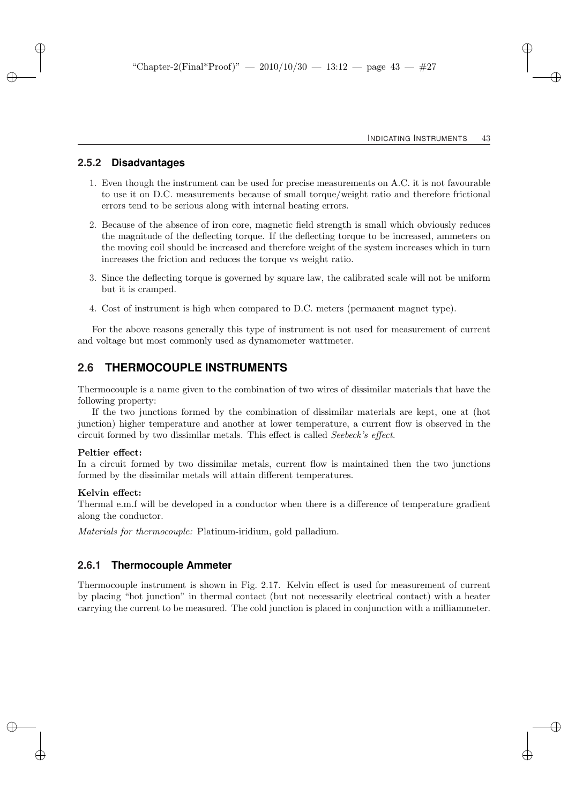### **2.5.2 Disadvantages**

- 1. Even though the instrument can be used for precise measurements on A.C. it is not favourable to use it on D.C. measurements because of small torque/weight ratio and therefore frictional errors tend to be serious along with internal heating errors.
- 2. Because of the absence of iron core, magnetic field strength is small which obviously reduces the magnitude of the deflecting torque. If the deflecting torque to be increased, ammeters on the moving coil should be increased and therefore weight of the system increases which in turn increases the friction and reduces the torque vs weight ratio.
- 3. Since the deflecting torque is governed by square law, the calibrated scale will not be uniform but it is cramped.
- 4. Cost of instrument is high when compared to D.C. meters (permanent magnet type).

For the above reasons generally this type of instrument is not used for measurement of current and voltage but most commonly used as dynamometer wattmeter.

## **2.6 THERMOCOUPLE INSTRUMENTS**

Thermocouple is a name given to the combination of two wires of dissimilar materials that have the following property:

If the two junctions formed by the combination of dissimilar materials are kept, one at (hot junction) higher temperature and another at lower temperature, a current flow is observed in the circuit formed by two dissimilar metals. This effect is called Seebeck's effect.

#### Peltier effect:

In a circuit formed by two dissimilar metals, current flow is maintained then the two junctions formed by the dissimilar metals will attain different temperatures.

#### Kelvin effect:

Thermal e.m.f will be developed in a conductor when there is a difference of temperature gradient along the conductor.

Materials for thermocouple: Platinum-iridium, gold palladium.

### **2.6.1 Thermocouple Ammeter**

Thermocouple instrument is shown in Fig. 2.17. Kelvin effect is used for measurement of current by placing "hot junction" in thermal contact (but not necessarily electrical contact) with a heater carrying the current to be measured. The cold junction is placed in conjunction with a milliammeter.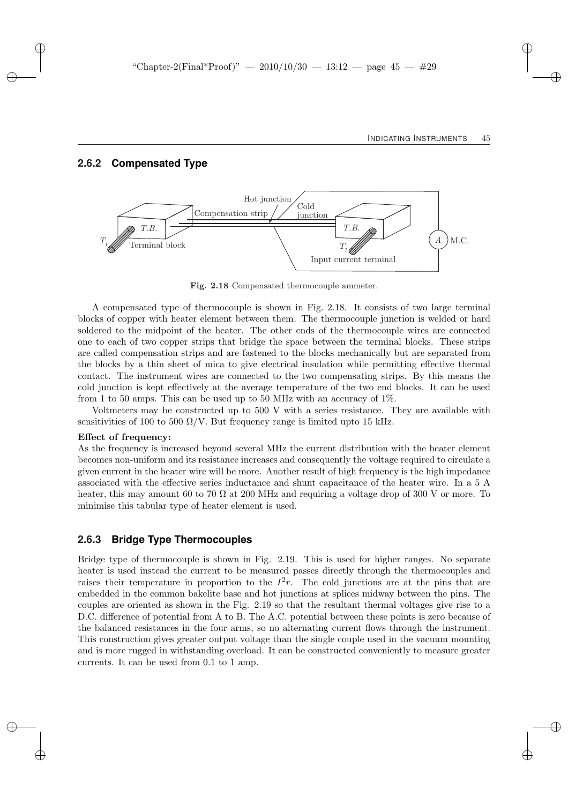### **2.6.2 Compensated Type**



Fig. 2.18 Compensated thermocouple ammeter.

A compensated type of thermocouple is shown in Fig. 2.18. It consists of two large terminal blocks of copper with heater element between them. The thermocouple junction is welded or hard soldered to the midpoint of the heater. The other ends of the thermocouple wires are connected one to each of two copper strips that bridge the space between the terminal blocks. These strips are called compensation strips and are fastened to the blocks mechanically but are separated from the blocks by a thin sheet of mica to give electrical insulation while permitting effective thermal contact. The instrument wires are connected to the two compensating strips. By this means the cold junction is kept effectively at the average temperature of the two end blocks. It can be used from 1 to 50 amps. This can be used up to 50 MHz with an accuracy of  $1\%$ .

Voltmeters may be constructed up to 500 V with a series resistance. They are available with sensitivities of 100 to 500  $\Omega$ /V. But frequency range is limited upto 15 kHz.

#### Effect of frequency:

As the frequency is increased beyond several MHz the current distribution with the heater element becomes non-uniform and its resistance increases and consequently the voltage required to circulate a given current in the heater wire will be more. Another result of high frequency is the high impedance associated with the effective series inductance and shunt capacitance of the heater wire. In a 5 A heater, this may amount 60 to 70  $\Omega$  at 200 MHz and requiring a voltage drop of 300 V or more. To minimise this tabular type of heater element is used.

### **2.6.3 Bridge Type Thermocouples**

Bridge type of thermocouple is shown in Fig. 2.19. This is used for higher ranges. No separate heater is used instead the current to be measured passes directly through the thermocouples and raises their temperature in proportion to the  $I^2r$ . The cold junctions are at the pins that are embedded in the common bakelite base and hot junctions at splices midway between the pins. The couples are oriented as shown in the Fig. 2.19 so that the resultant thermal voltages give rise to a D.C. difference of potential from A to B. The A.C. potential between these points is zero because of the balanced resistances in the four arms, so no alternating current flows through the instrument. This construction gives greater output voltage than the single couple used in the vacuum mounting and is more rugged in withstanding overload. It can be constructed conveniently to measure greater currents. It can be used from 0.1 to 1 amp.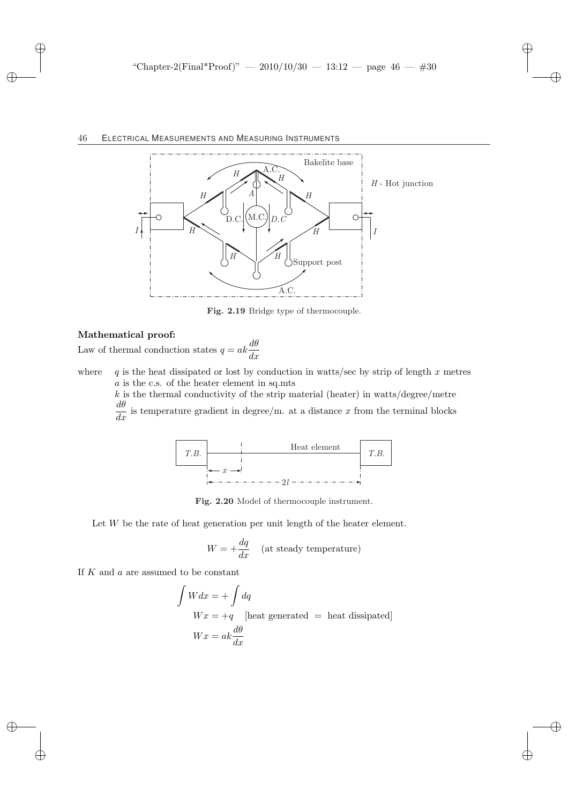

Fig. 2.19 Bridge type of thermocouple.

#### Mathematical proof:

Law of thermal conduction states  $q = ak \frac{d\theta}{dx}$ 

where q is the heat dissipated or lost by conduction in watts/sec by strip of length x metres a is the c.s. of the heater element in sq.mts

 $k$  is the thermal conductivity of the strip material (heater) in watts/degree/metre  $\frac{d\theta}{dx}$  is temperature gradient in degree/m. at a distance x from the terminal blocks



Fig. 2.20 Model of thermocouple instrument.

Let  $W$  be the rate of heat generation per unit length of the heater element.

$$
W = +\frac{dq}{dx}
$$
 (at steady temperature)

If  $K$  and  $\alpha$  are assumed to be constant

$$
\int Wdx = + \int dq
$$
  
 
$$
Wx = +q \quad \text{[heat generated]} = \text{heat dissipated]}
$$
  
 
$$
Wx = ak\frac{d\theta}{dx}
$$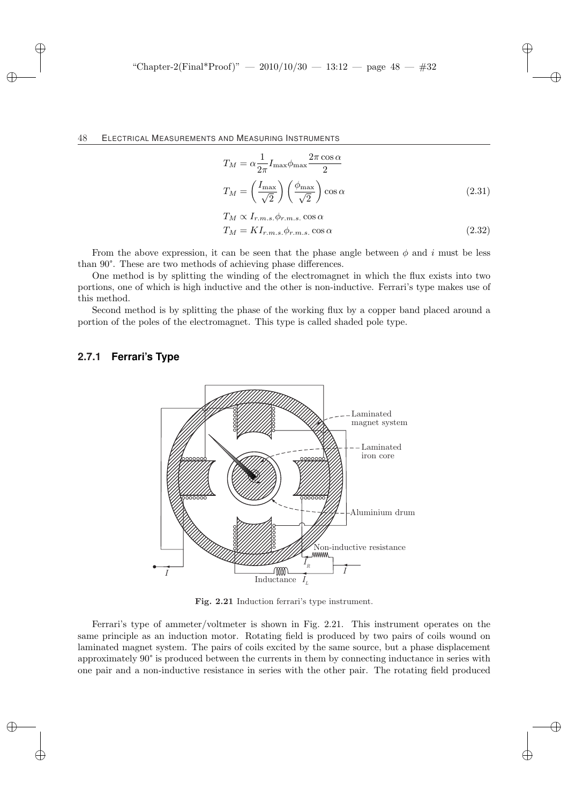$$
T_M = \alpha \frac{1}{2\pi} I_{\text{max}} \phi_{\text{max}} \frac{2\pi \cos \alpha}{2}
$$

$$
T_M = \left(\frac{I_{\text{max}}}{\sqrt{2}}\right) \left(\frac{\phi_{\text{max}}}{\sqrt{2}}\right) \cos \alpha
$$
(2.31)

$$
T_M \propto I_{r.m.s.} \phi_{r.m.s.} \cos \alpha
$$
  
\n
$$
T_M = K I_{r.m.s.} \phi_{r.m.s.} \cos \alpha
$$
\n(2.32)

From the above expression, it can be seen that the phase angle between  $\phi$  and i must be less than 90°. These are two methods of achieving phase differences.

One method is by splitting the winding of the electromagnet in which the flux exists into two portions, one of which is high inductive and the other is non-inductive. Ferrari's type makes use of this method.

Second method is by splitting the phase of the working flux by a copper band placed around a portion of the poles of the electromagnet. This type is called shaded pole type.

### **2.7.1 Ferrari's Type**



Fig. 2.21 Induction ferrari's type instrument.

Ferrari's type of ammeter/voltmeter is shown in Fig. 2.21. This instrument operates on the same principle as an induction motor. Rotating field is produced by two pairs of coils wound on laminated magnet system. The pairs of coils excited by the same source, but a phase displacement approximately 90° is produced between the currents in them by connecting inductance in series with one pair and a non-inductive resistance in series with the other pair. The rotating field produced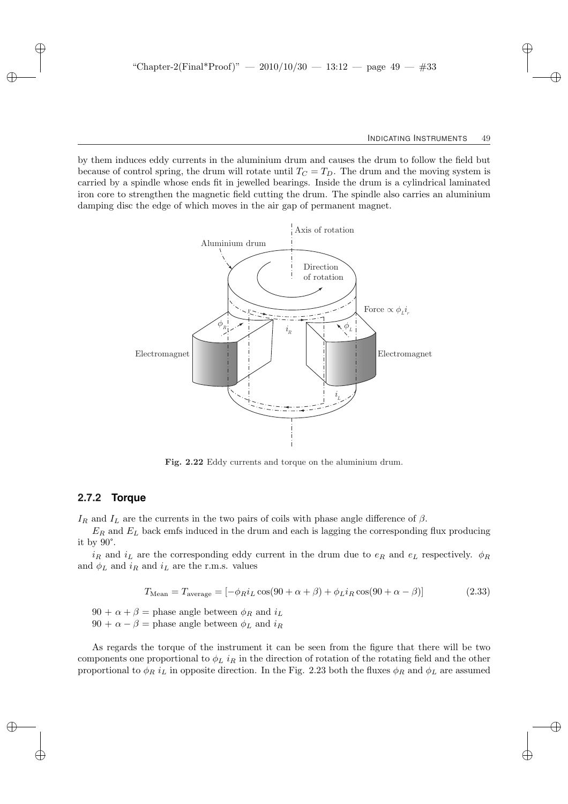by them induces eddy currents in the aluminium drum and causes the drum to follow the field but because of control spring, the drum will rotate until  $T_C = T_D$ . The drum and the moving system is carried by a spindle whose ends fit in jewelled bearings. Inside the drum is a cylindrical laminated iron core to strengthen the magnetic field cutting the drum. The spindle also carries an aluminium damping disc the edge of which moves in the air gap of permanent magnet.



Fig. 2.22 Eddy currents and torque on the aluminium drum.

### **2.7.2 Torque**

 $I_R$  and  $I_L$  are the currents in the two pairs of coils with phase angle difference of  $\beta$ .

 $E_R$  and  $E_L$  back emfs induced in the drum and each is lagging the corresponding flux producing it by 90°.

 $i_R$  and  $i_L$  are the corresponding eddy current in the drum due to  $e_R$  and  $e_L$  respectively.  $\phi_R$ and  $\phi_L$  and  $i_R$  and  $i_L$  are the r.m.s. values

$$
T_{\text{Mean}} = T_{\text{average}} = \left[ -\phi_R i_L \cos(90 + \alpha + \beta) + \phi_L i_R \cos(90 + \alpha - \beta) \right] \tag{2.33}
$$

 $90 + \alpha + \beta$  = phase angle between  $\phi_R$  and  $i_L$  $90 + \alpha - \beta$  = phase angle between  $\phi_L$  and  $i_R$ 

As regards the torque of the instrument it can be seen from the figure that there will be two components one proportional to  $\phi_L$  i<sub>R</sub> in the direction of rotation of the rotating field and the other proportional to  $\phi_R i_L$  in opposite direction. In the Fig. 2.23 both the fluxes  $\phi_R$  and  $\phi_L$  are assumed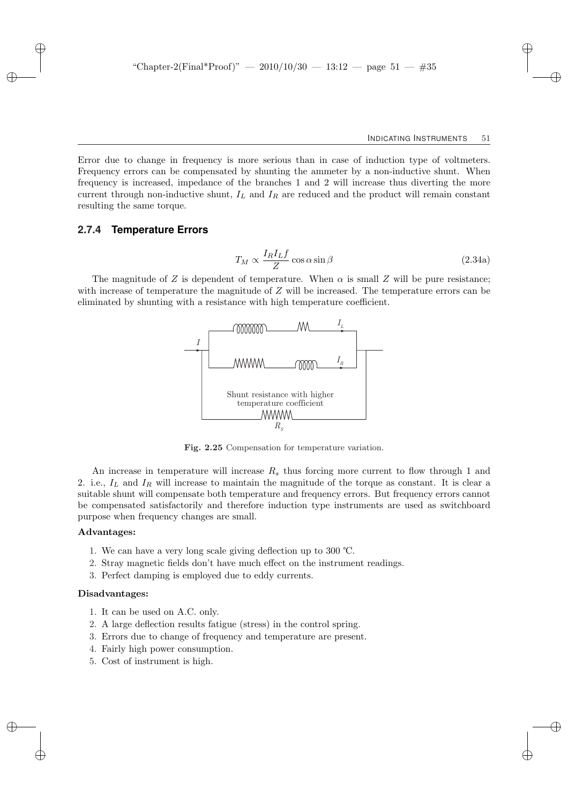Error due to change in frequency is more serious than in case of induction type of voltmeters. Frequency errors can be compensated by shunting the ammeter by a non-inductive shunt. When frequency is increased, impedance of the branches 1 and 2 will increase thus diverting the more current through non-inductive shunt,  $I_L$  and  $I_R$  are reduced and the product will remain constant resulting the same torque.

### **2.7.4 Temperature Errors**

$$
T_M \propto \frac{I_R I_L f}{Z} \cos \alpha \sin \beta \tag{2.34a}
$$

The magnitude of Z is dependent of temperature. When  $\alpha$  is small Z will be pure resistance; with increase of temperature the magnitude of Z will be increased. The temperature errors can be eliminated by shunting with a resistance with high temperature coefficient.



Fig. 2.25 Compensation for temperature variation.

An increase in temperature will increase  $R_s$  thus forcing more current to flow through 1 and 2. i.e.,  $I_L$  and  $I_R$  will increase to maintain the magnitude of the torque as constant. It is clear a suitable shunt will compensate both temperature and frequency errors. But frequency errors cannot be compensated satisfactorily and therefore induction type instruments are used as switchboard purpose when frequency changes are small.

### Advantages:

- 1. We can have a very long scale giving deflection up to 300 ℃.
- 2. Stray magnetic fields don't have much effect on the instrument readings.
- 3. Perfect damping is employed due to eddy currents.

#### Disadvantages:

- 1. It can be used on A.C. only.
- 2. A large deflection results fatigue (stress) in the control spring.
- 3. Errors due to change of frequency and temperature are present.
- 4. Fairly high power consumption.
- 5. Cost of instrument is high.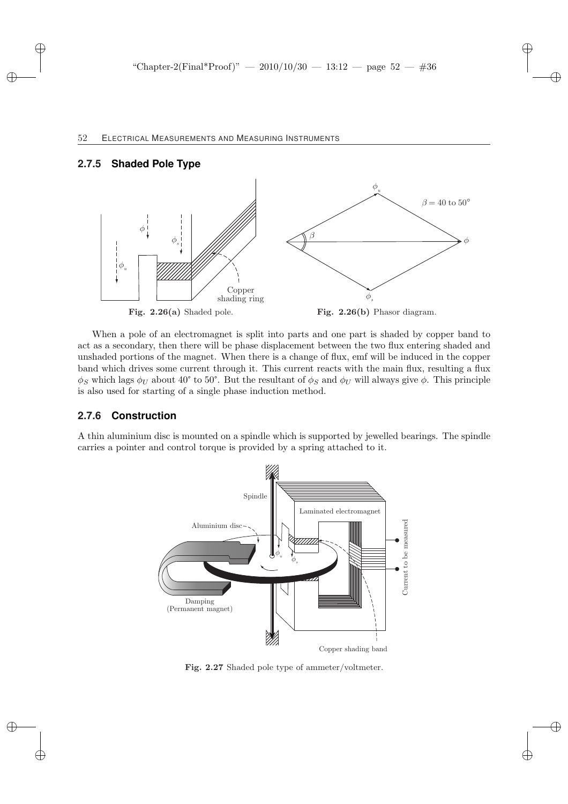### **2.7.5 Shaded Pole Type**



When a pole of an electromagnet is split into parts and one part is shaded by copper band to act as a secondary, then there will be phase displacement between the two flux entering shaded and unshaded portions of the magnet. When there is a change of flux, emf will be induced in the copper band which drives some current through it. This current reacts with the main flux, resulting a flux  $\phi_S$  which lags  $\phi_U$  about 40° to 50°. But the resultant of  $\phi_S$  and  $\phi_U$  will always give  $\phi$ . This principle is also used for starting of a single phase induction method.

## **2.7.6 Construction**

A thin aluminium disc is mounted on a spindle which is supported by jewelled bearings. The spindle carries a pointer and control torque is provided by a spring attached to it.



Fig. 2.27 Shaded pole type of ammeter/voltmeter.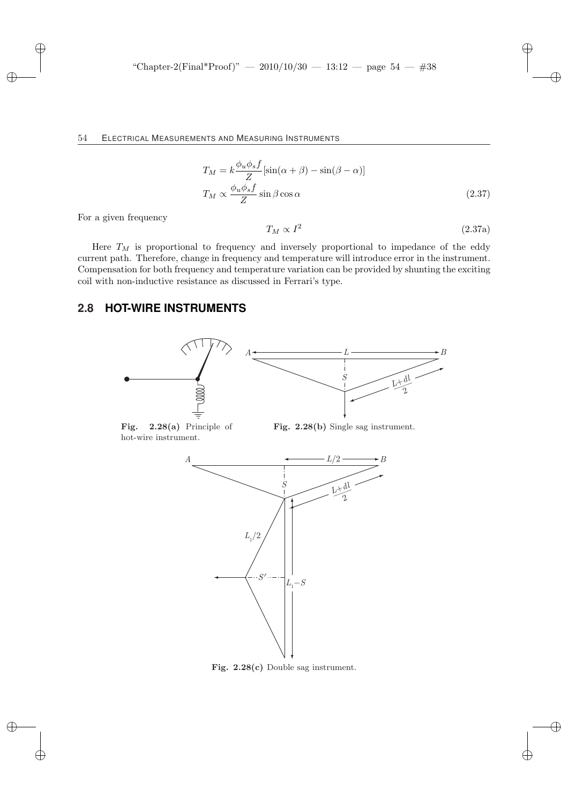$$
T_M = k \frac{\phi_u \phi_s f}{Z} [\sin(\alpha + \beta) - \sin(\beta - \alpha)]
$$
  

$$
T_M \propto \frac{\phi_u \phi_s f}{Z} \sin \beta \cos \alpha
$$
 (2.37)

For a given frequency

$$
T_M \propto I^2 \tag{2.37a}
$$

Here  $T_M$  is proportional to frequency and inversely proportional to impedance of the eddy current path. Therefore, change in frequency and temperature will introduce error in the instrument. Compensation for both frequency and temperature variation can be provided by shunting the exciting coil with non-inductive resistance as discussed in Ferrari's type.

# **2.8 HOT-WIRE INSTRUMENTS**



Fig. 2.28(a) Principle of hot-wire instrument.

Fig. 2.28(b) Single sag instrument.



Fig. 2.28(c) Double sag instrument.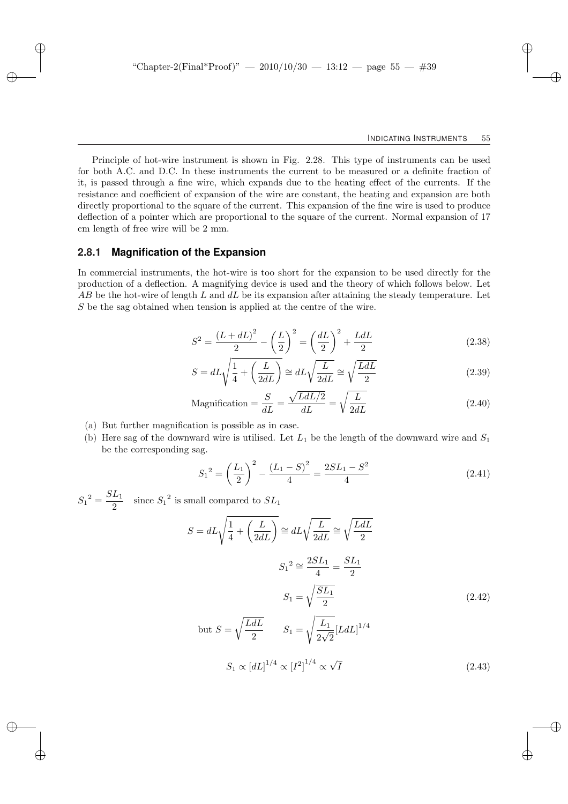Principle of hot-wire instrument is shown in Fig. 2.28. This type of instruments can be used for both A.C. and D.C. In these instruments the current to be measured or a definite fraction of it, is passed through a fine wire, which expands due to the heating effect of the currents. If the resistance and coefficient of expansion of the wire are constant, the heating and expansion are both directly proportional to the square of the current. This expansion of the fine wire is used to produce deflection of a pointer which are proportional to the square of the current. Normal expansion of 17 cm length of free wire will be 2 mm.

### **2.8.1 Magnification of the Expansion**

In commercial instruments, the hot-wire is too short for the expansion to be used directly for the production of a deflection. A magnifying device is used and the theory of which follows below. Let  $AB$  be the hot-wire of length L and  $dL$  be its expansion after attaining the steady temperature. Let S be the sag obtained when tension is applied at the centre of the wire.

$$
S^{2} = \frac{(L + dL)^{2}}{2} - \left(\frac{L}{2}\right)^{2} = \left(\frac{dL}{2}\right)^{2} + \frac{LdL}{2}
$$
\n(2.38)

$$
S = dL\sqrt{\frac{1}{4} + \left(\frac{L}{2dL}\right)} \cong dL\sqrt{\frac{L}{2dL}} \cong \sqrt{\frac{LdL}{2}}
$$
(2.39)

$$
\text{Magnification} = \frac{S}{dL} = \frac{\sqrt{L dL/2}}{dL} = \sqrt{\frac{L}{2dL}}\tag{2.40}
$$

- (a) But further magnification is possible as in case.
- (b) Here sag of the downward wire is utilised. Let  $L_1$  be the length of the downward wire and  $S_1$ be the corresponding sag.

$$
S_1^2 = \left(\frac{L_1}{2}\right)^2 - \frac{(L_1 - S)^2}{4} = \frac{2SL_1 - S^2}{4} \tag{2.41}
$$

 $S_1{}^2 = \frac{SL_1}{2}$  $rac{L_1}{2}$  since  $S_1^2$  is small compared to  $SL_1$ 

$$
S = dL\sqrt{\frac{1}{4} + \left(\frac{L}{2dL}\right)} \approx dL\sqrt{\frac{L}{2dL}} \approx \sqrt{\frac{LdL}{2}}
$$

$$
S_1^2 \approx \frac{2SL_1}{4} = \frac{SL_1}{2}
$$

$$
S_1 = \sqrt{\frac{SL_1}{2}}
$$

$$
S_1 = \sqrt{\frac{LdL}{2}}
$$

$$
S_1 = \sqrt{\frac{L_1}{2\sqrt{2}}} [LdL]^{1/4}
$$

$$
S_1 \propto [dL]^{1/4} \propto [I^2]^{1/4} \propto \sqrt{I}
$$
(2.43)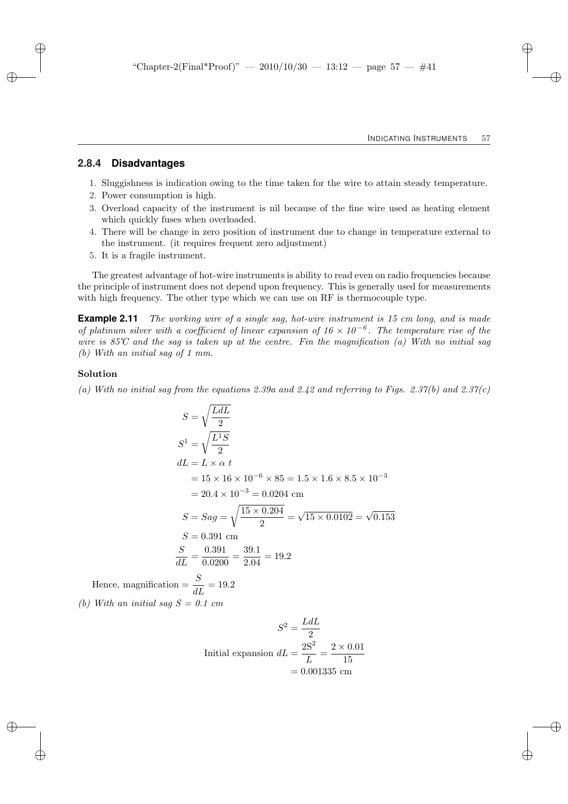### **2.8.4 Disadvantages**

- 1. Sluggishness is indication owing to the time taken for the wire to attain steady temperature.
- 2. Power consumption is high.
- 3. Overload capacity of the instrument is nil because of the fine wire used as heating element which quickly fuses when overloaded.
- 4. There will be change in zero position of instrument due to change in temperature external to the instrument. (it requires frequent zero adjustment)
- 5. It is a fragile instrument.

The greatest advantage of hot-wire instruments is ability to read even on radio frequencies because the principle of instrument does not depend upon frequency. This is generally used for measurements with high frequency. The other type which we can use on RF is thermocouple type.

**Example 2.11** The working wire of a single sag, hot-wire instrument is 15 cm long, and is made of platinum silver with a coefficient of linear expansion of  $16 \times 10^{-6}$ . The temperature rise of the wire is 85°C and the sag is taken up at the centre. Fin the magnification (a) With no initial sag (b) With an initial sag of 1 mm.

#### Solution

(a) With no initial sag from the equations 2.39a and 2.42 and referring to Figs. 2.37(b) and 2.37(c)

$$
S = \sqrt{\frac{LdL}{2}}
$$
  
\n
$$
S^1 = \sqrt{\frac{L^1S}{2}}
$$
  
\n
$$
dL = L \times \alpha t
$$
  
\n
$$
= 15 \times 16 \times 10^{-6} \times 85 = 1.5 \times 1.6 \times 8.5 \times 10^{-3}
$$
  
\n
$$
= 20.4 \times 10^{-3} = 0.0204 \text{ cm}
$$
  
\n
$$
S = Sag = \sqrt{\frac{15 \times 0.204}{2}} = \sqrt{15 \times 0.0102} = \sqrt{0.153}
$$
  
\n
$$
S = 0.391 \text{ cm}
$$
  
\n
$$
\frac{S}{dL} = \frac{0.391}{0.0200} = \frac{39.1}{2.04} = 19.2
$$
  
\n
$$
\sinh \theta = \frac{S}{dL} = 19.2
$$

Hence, magnification  $=\frac{8}{dL}$ 

(b) With an initial sag  $S = 0.1$  cm

$$
S^{2} = \frac{LdL}{2}
$$
  
Initial expansion 
$$
dL = \frac{2S^{2}}{L} = \frac{2 \times 0.01}{15}
$$

$$
= 0.001335
$$
 cm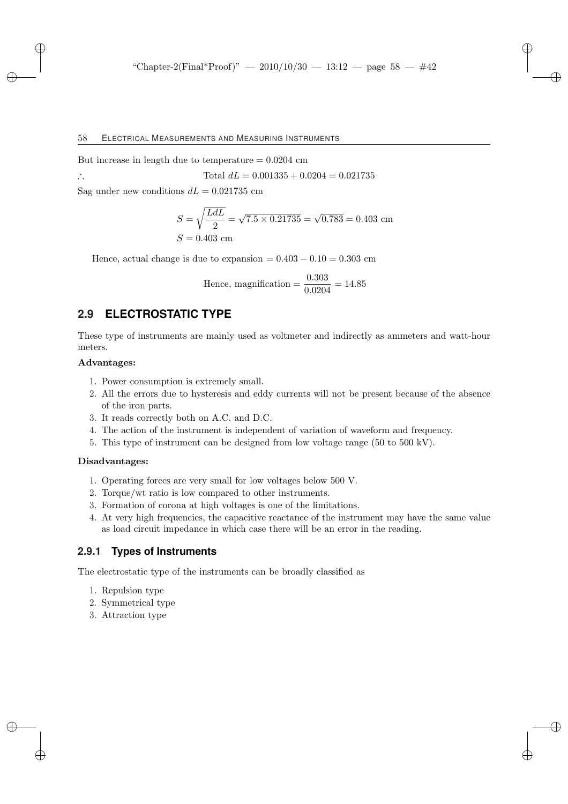But increase in length due to temperature  $= 0.0204$  cm

$$
\text{Total } dL = 0.001335 + 0.0204 = 0.021735
$$

Sag under new conditions  $dL = 0.021735$  cm

$$
S = \sqrt{\frac{LdL}{2}} = \sqrt{7.5 \times 0.21735} = \sqrt{0.783} = 0.403
$$
 cm  

$$
S = 0.403
$$
 cm

Hence, actual change is due to expansion =  $0.403 - 0.10 = 0.303$  cm

Hence, magnification = 
$$
\frac{0.303}{0.0204} = 14.85
$$

# **2.9 ELECTROSTATIC TYPE**

These type of instruments are mainly used as voltmeter and indirectly as ammeters and watt-hour meters.

### Advantages:

- 1. Power consumption is extremely small.
- 2. All the errors due to hysteresis and eddy currents will not be present because of the absence of the iron parts.
- 3. It reads correctly both on A.C. and D.C.
- 4. The action of the instrument is independent of variation of waveform and frequency.
- 5. This type of instrument can be designed from low voltage range (50 to 500 kV).

#### Disadvantages:

- 1. Operating forces are very small for low voltages below 500 V.
- 2. Torque/wt ratio is low compared to other instruments.
- 3. Formation of corona at high voltages is one of the limitations.
- 4. At very high frequencies, the capacitive reactance of the instrument may have the same value as load circuit impedance in which case there will be an error in the reading.

### **2.9.1 Types of Instruments**

The electrostatic type of the instruments can be broadly classified as

- 1. Repulsion type
- 2. Symmetrical type
- 3. Attraction type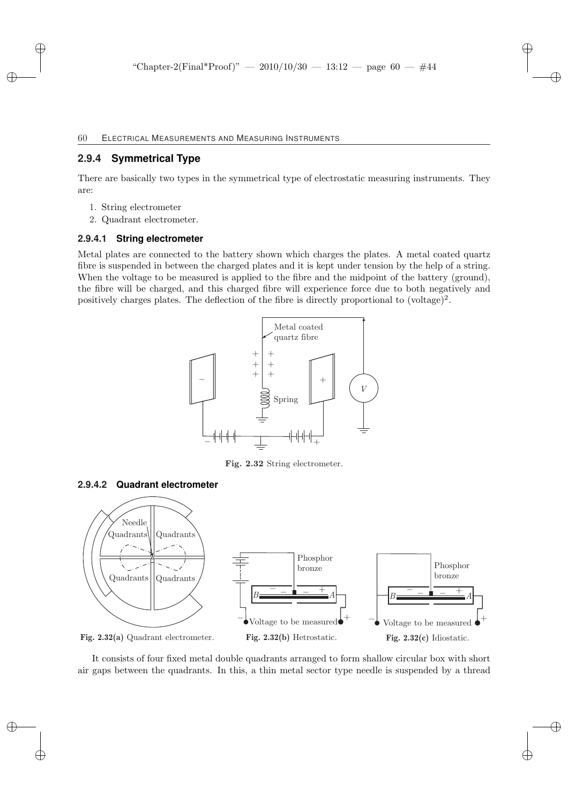# **2.9.4 Symmetrical Type**

There are basically two types in the symmetrical type of electrostatic measuring instruments. They are:

- 1. String electrometer
- 2. Quadrant electrometer.

### **2.9.4.1 String electrometer**

Metal plates are connected to the battery shown which charges the plates. A metal coated quartz fibre is suspended in between the charged plates and it is kept under tension by the help of a string. When the voltage to be measured is applied to the fibre and the midpoint of the battery (ground), the fibre will be charged, and this charged fibre will experience force due to both negatively and positively charges plates. The deflection of the fibre is directly proportional to  $(voltage)^2$ .



Fig. 2.32 String electrometer.

### **2.9.4.2 Quadrant electrometer**



It consists of four fixed metal double quadrants arranged to form shallow circular box with short air gaps between the quadrants. In this, a thin metal sector type needle is suspended by a thread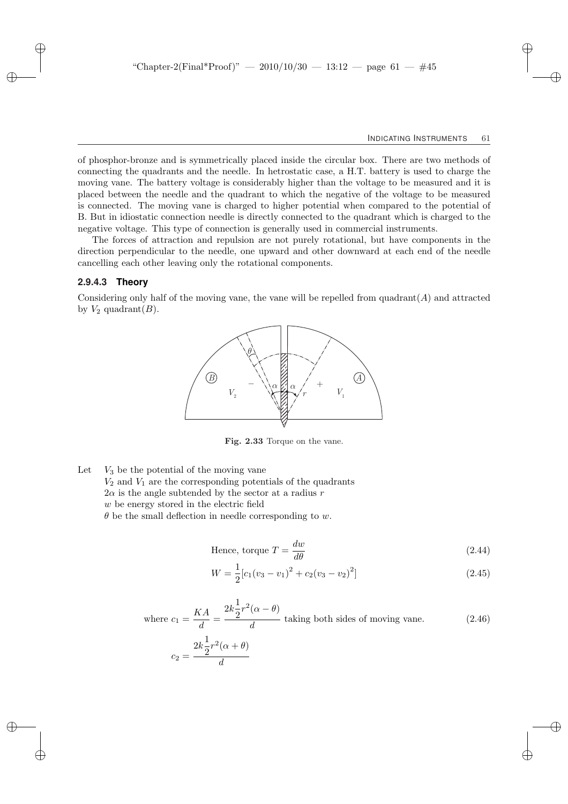of phosphor-bronze and is symmetrically placed inside the circular box. There are two methods of connecting the quadrants and the needle. In hetrostatic case, a H.T. battery is used to charge the moving vane. The battery voltage is considerably higher than the voltage to be measured and it is placed between the needle and the quadrant to which the negative of the voltage to be measured is connected. The moving vane is charged to higher potential when compared to the potential of B. But in idiostatic connection needle is directly connected to the quadrant which is charged to the negative voltage. This type of connection is generally used in commercial instruments.

The forces of attraction and repulsion are not purely rotational, but have components in the direction perpendicular to the needle, one upward and other downward at each end of the needle cancelling each other leaving only the rotational components.

#### **2.9.4.3 Theory**

Considering only half of the moving vane, the vane will be repelled from  $\text{quadrant}(A)$  and attracted by  $V_2$  quadrant $(B)$ .



Fig. 2.33 Torque on the vane.

Let  $V_3$  be the potential of the moving vane  $V_2$  and  $V_1$  are the corresponding potentials of the quadrants  $2\alpha$  is the angle subtended by the sector at a radius r w be energy stored in the electric field  $\theta$  be the small deflection in needle corresponding to w.

> Hence, torque  $T = \frac{dw}{d\omega}$  $\frac{d\omega}{d\theta}$  (2.44)

$$
W = \frac{1}{2} [c_1 (v_3 - v_1)^2 + c_2 (v_3 - v_2)^2]
$$
\n(2.45)

where 
$$
c_1 = \frac{KA}{d} = \frac{2k\frac{1}{2}r^2(\alpha - \theta)}{d}
$$
 taking both sides of moving vane. (2.46)

$$
c_2 = \frac{2k\frac{1}{2}r^2(\alpha + \theta)}{d}
$$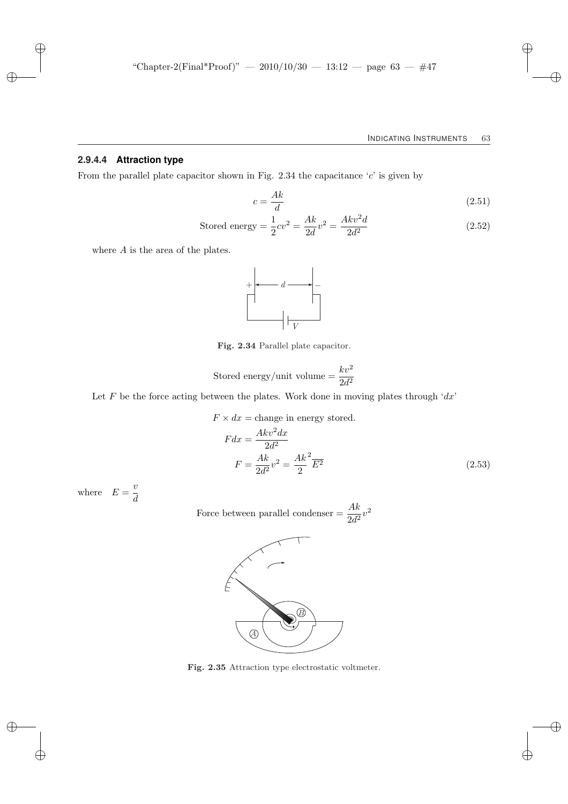### **2.9.4.4 Attraction type**

From the parallel plate capacitor shown in Fig. 2.34 the capacitance  $c'$  is given by

$$
c = \frac{Ak}{d} \tag{2.51}
$$

Stored energy = 
$$
\frac{1}{2}cv^2 = \frac{Ak}{2d}v^2 = \frac{Akv^2d}{2d^2}
$$

\n(2.52)

where A is the area of the plates.



Fig. 2.34 Parallel plate capacitor.

Stored energy/unit volume = 
$$
\frac{kv^2}{2d^2}
$$

Let  $F$  be the force acting between the plates. Work done in moving plates through ' $dx$ '

$$
F \times dx = \text{change in energy stored.}
$$
  
\n
$$
F dx = \frac{Akv^2 dx}{2d^2}
$$
  
\n
$$
F = \frac{Ak}{2d^2}v^2 = \frac{Ak^2}{2}\overline{E^2}
$$
\n(2.53)

where  $E = \frac{v}{v}$ d

Force between parallel condenser  $=$   $\frac{Ak}{2d^2}v^2$ 



Fig. 2.35 Attraction type electrostatic voltmeter.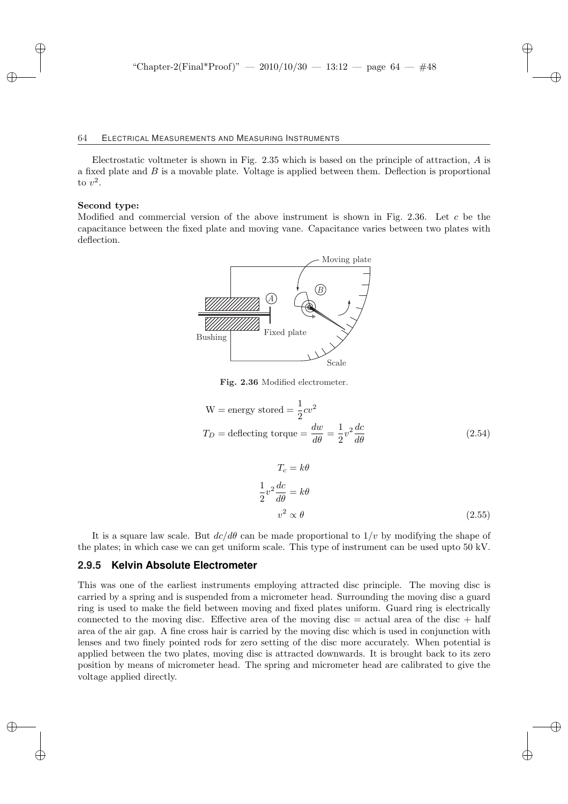Electrostatic voltmeter is shown in Fig.  $2.35$  which is based on the principle of attraction, A is a fixed plate and B is a movable plate. Voltage is applied between them. Deflection is proportional to  $v^2$ .

#### Second type:

Modified and commercial version of the above instrument is shown in Fig. 2.36. Let c be the capacitance between the fixed plate and moving vane. Capacitance varies between two plates with deflection.



Fig. 2.36 Modified electrometer.

$$
W = energy stored = \frac{1}{2}cv^2
$$
  

$$
T_D = \text{deflecting torque} = \frac{dw}{d\theta} = \frac{1}{2}v^2\frac{dc}{d\theta}
$$
(2.54)

$$
T_c = k\theta
$$
  
\n
$$
\frac{1}{2}v^2 \frac{dc}{d\theta} = k\theta
$$
  
\n
$$
v^2 \propto \theta
$$
 (2.55)

It is a square law scale. But  $dc/d\theta$  can be made proportional to  $1/v$  by modifying the shape of the plates; in which case we can get uniform scale. This type of instrument can be used upto 50 kV.

### **2.9.5 Kelvin Absolute Electrometer**

This was one of the earliest instruments employing attracted disc principle. The moving disc is carried by a spring and is suspended from a micrometer head. Surrounding the moving disc a guard ring is used to make the field between moving and fixed plates uniform. Guard ring is electrically connected to the moving disc. Effective area of the moving disc  $=$  actual area of the disc  $+$  half area of the air gap. A fine cross hair is carried by the moving disc which is used in conjunction with lenses and two finely pointed rods for zero setting of the disc more accurately. When potential is applied between the two plates, moving disc is attracted downwards. It is brought back to its zero position by means of micrometer head. The spring and micrometer head are calibrated to give the voltage applied directly.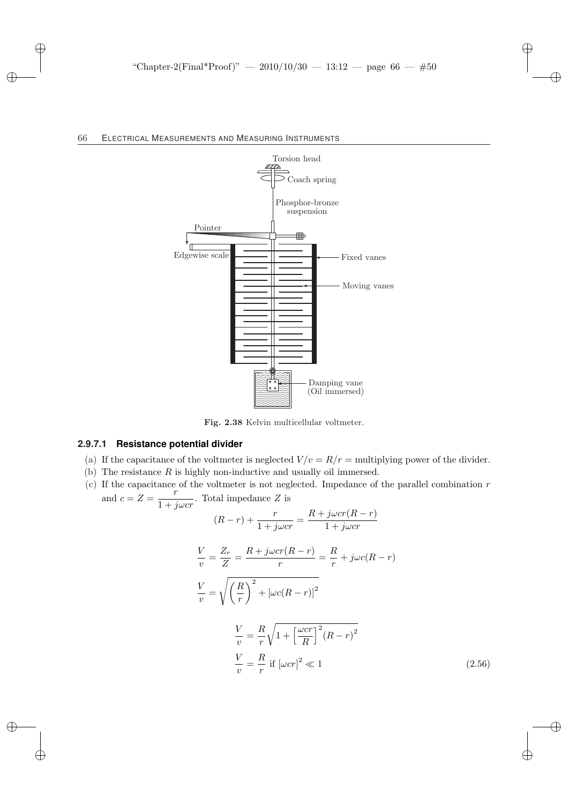

Fig. 2.38 Kelvin multicellular voltmeter.

### **2.9.7.1 Resistance potential divider**

- (a) If the capacitance of the voltmeter is neglected  $V/v = R/r$  = multiplying power of the divider.
- (b) The resistance  $R$  is highly non-inductive and usually oil immersed.
- $(c)$  If the capacitance of the voltmeter is not neglected. Impedance of the parallel combination r and  $c = Z = \frac{r}{1+r}$  $\frac{1}{1+j\omega c r}$ . Total impedance Z is

$$
(R-r) + \frac{r}{1+j\omega cr} = \frac{R+j\omega cr(R-r)}{1+j\omega cr}
$$

$$
\frac{V}{v} = \frac{Z_r}{Z} = \frac{R + j\omega cr(R - r)}{r} = \frac{R}{r} + j\omega c(R - r)
$$

$$
\frac{V}{v} = \sqrt{\left(\frac{R}{r}\right)^2 + \left[\omega c(R - r)\right]^2}
$$

$$
\frac{V}{v} = \frac{R}{r} \sqrt{1 + \left[\frac{\omega cr}{R}\right]^2 (R - r)^2}
$$
\n
$$
\frac{V}{v} = \frac{R}{r} \text{ if } [\omega cr]^2 \ll 1
$$
\n(2.56)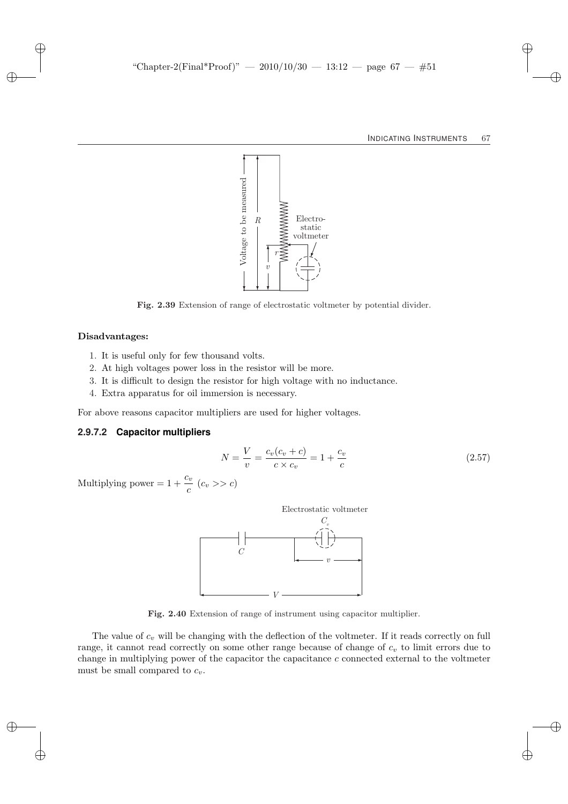

Fig. 2.39 Extension of range of electrostatic voltmeter by potential divider.

#### Disadvantages:

- 1. It is useful only for few thousand volts.
- 2. At high voltages power loss in the resistor will be more.
- 3. It is difficult to design the resistor for high voltage with no inductance.
- 4. Extra apparatus for oil immersion is necessary.

For above reasons capacitor multipliers are used for higher voltages.

#### **2.9.7.2 Capacitor multipliers**

$$
N = \frac{V}{v} = \frac{c_v(c_v + c)}{c \times c_v} = 1 + \frac{c_v}{c}
$$
 (2.57)

Multiplying power =  $1 + \frac{c_v}{c}$  ( $c_v$  >>  $c$ )



Fig. 2.40 Extension of range of instrument using capacitor multiplier.

The value of  $c_v$  will be changing with the deflection of the voltmeter. If it reads correctly on full range, it cannot read correctly on some other range because of change of  $c_v$  to limit errors due to change in multiplying power of the capacitor the capacitance  $c$  connected external to the voltmeter must be small compared to  $c_v$ .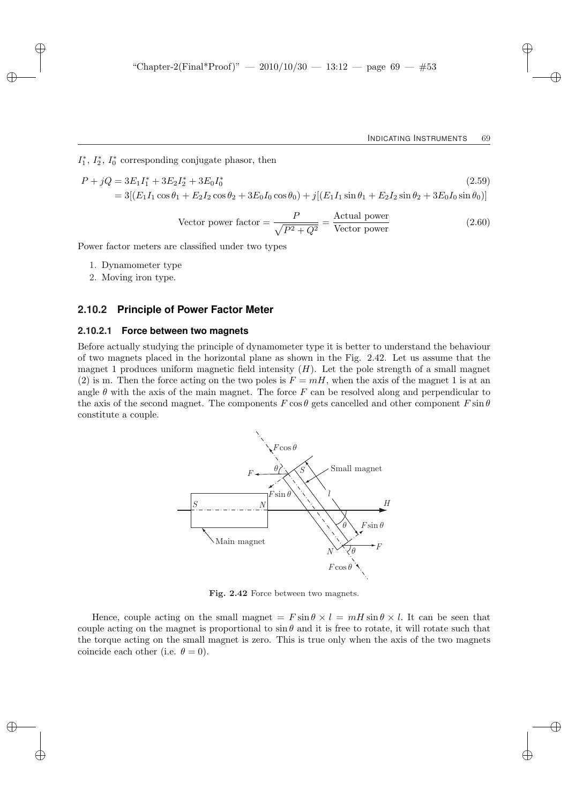$I_1^*, I_2^*, I_0^*$  corresponding conjugate phasor, then

$$
P + jQ = 3E_1I_1^* + 3E_2I_2^* + 3E_0I_0^*
$$
\n
$$
= 3[(E_1I_1\cos\theta_1 + E_2I_2\cos\theta_2 + 3E_0I_0\cos\theta_0) + j[(E_1I_1\sin\theta_1 + E_2I_2\sin\theta_2 + 3E_0I_0\sin\theta_0)]
$$
\n(2.59)

Vector power factor = 
$$
\frac{P}{\sqrt{P^2 + Q^2}}
$$
 =  $\frac{\text{Actual power}}{\text{Vector power}}$  (2.60)

Power factor meters are classified under two types

- 1. Dynamometer type
- 2. Moving iron type.

### **2.10.2 Principle of Power Factor Meter**

#### **2.10.2.1 Force between two magnets**

Before actually studying the principle of dynamometer type it is better to understand the behaviour of two magnets placed in the horizontal plane as shown in the Fig. 2.42. Let us assume that the magnet 1 produces uniform magnetic field intensity  $(H)$ . Let the pole strength of a small magnet (2) is m. Then the force acting on the two poles is  $F = mH$ , when the axis of the magnet 1 is at an angle  $\theta$  with the axis of the main magnet. The force F can be resolved along and perpendicular to the axis of the second magnet. The components  $F \cos \theta$  gets cancelled and other component  $F \sin \theta$ constitute a couple.



Fig. 2.42 Force between two magnets.

Hence, couple acting on the small magnet  $= F \sin \theta \times l = mH \sin \theta \times l$ . It can be seen that couple acting on the magnet is proportional to  $\sin \theta$  and it is free to rotate, it will rotate such that the torque acting on the small magnet is zero. This is true only when the axis of the two magnets coincide each other (i.e.  $\theta = 0$ ).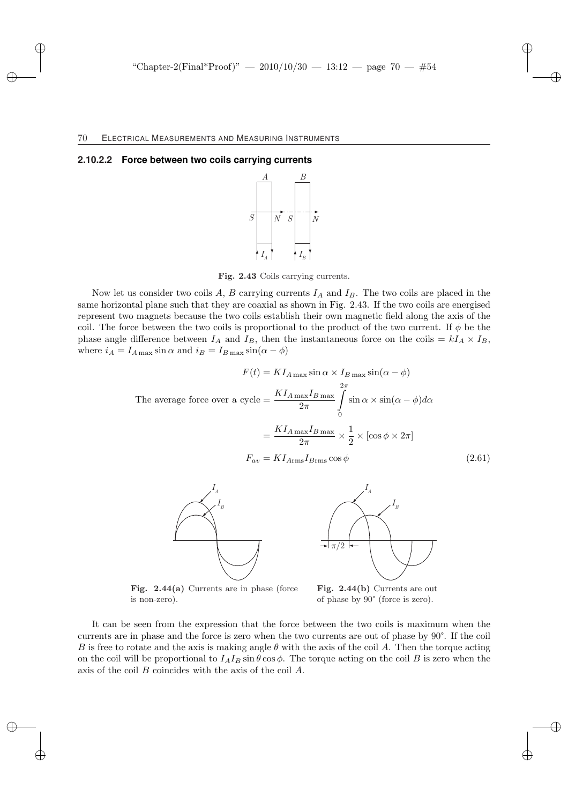#### **2.10.2.2 Force between two coils carrying currents**



Fig. 2.43 Coils carrying currents.

Now let us consider two coils A, B carrying currents  $I_A$  and  $I_B$ . The two coils are placed in the same horizontal plane such that they are coaxial as shown in Fig. 2.43. If the two coils are energised represent two magnets because the two coils establish their own magnetic field along the axis of the coil. The force between the two coils is proportional to the product of the two current. If  $\phi$  be the phase angle difference between  $I_A$  and  $I_B$ , then the instantaneous force on the coils =  $kI_A \times I_B$ , where  $i_A = I_{A \max} \sin \alpha$  and  $i_B = I_{B \max} \sin(\alpha - \phi)$ 

$$
F(t) = K I_{A \max} \sin \alpha \times I_{B \max} \sin(\alpha - \phi)
$$
  
The average force over a cycle = 
$$
\frac{K I_{A \max} I_{B \max}}{2\pi} \int_{0}^{2\pi} \sin \alpha \times \sin(\alpha - \phi) d\alpha
$$

$$
= \frac{K I_{A \max} I_{B \max}}{2\pi} \times \frac{1}{2} \times [\cos \phi \times 2\pi]
$$

$$
F_{av} = K I_{A \max} I_{B \max} \cos \phi
$$
(2.61)





Fig. 2.44(a) Currents are in phase (force is non-zero).

Fig. 2.44(b) Currents are out of phase by 90° (force is zero).

It can be seen from the expression that the force between the two coils is maximum when the currents are in phase and the force is zero when the two currents are out of phase by 90°. If the coil B is free to rotate and the axis is making angle  $\theta$  with the axis of the coil A. Then the torque acting on the coil will be proportional to  $I_A I_B \sin \theta \cos \phi$ . The torque acting on the coil B is zero when the axis of the coil B coincides with the axis of the coil A.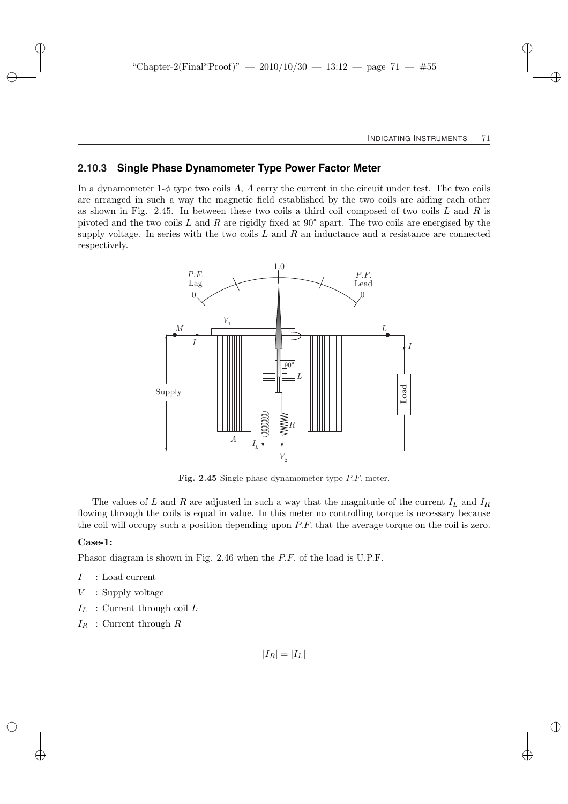### **2.10.3 Single Phase Dynamometer Type Power Factor Meter**

In a dynamometer  $1-\phi$  type two coils A, A carry the current in the circuit under test. The two coils are arranged in such a way the magnetic field established by the two coils are aiding each other as shown in Fig. 2.45. In between these two coils a third coil composed of two coils  $L$  and  $R$  is pivoted and the two coils L and R are rigidly fixed at  $90^{\circ}$  apart. The two coils are energised by the supply voltage. In series with the two coils  $L$  and  $R$  an inductance and a resistance are connected respectively.



Fig. 2.45 Single phase dynamometer type P.F. meter.

The values of L and R are adjusted in such a way that the magnitude of the current  $I_L$  and  $I_R$ flowing through the coils is equal in value. In this meter no controlling torque is necessary because the coil will occupy such a position depending upon  $P.F$ , that the average torque on the coil is zero.

#### Case-1:

Phasor diagram is shown in Fig. 2.46 when the P.F. of the load is U.P.F.

- $I$  : Load current
- $V$ : Supply voltage
- $I_L$ : Current through coil L
- $I_R$ : Current through R

 $|I_R| = |I_L|$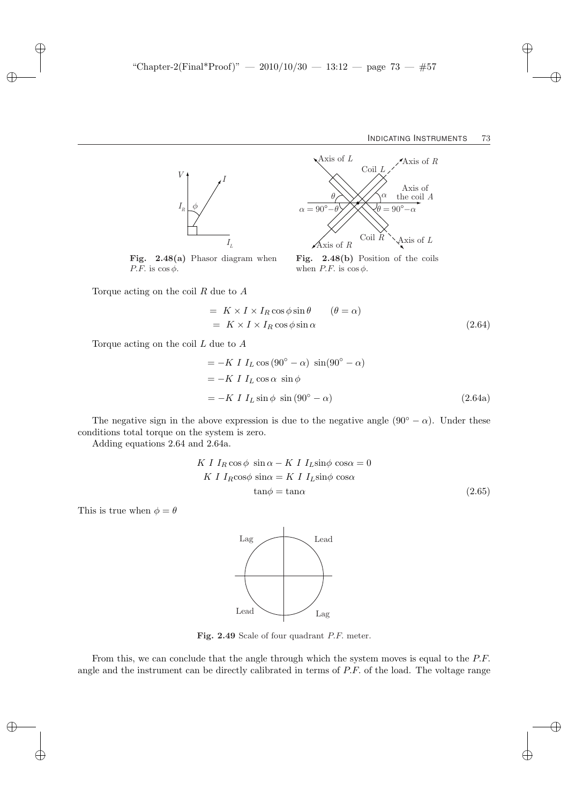

Coil *R* Coil *L* Axis of *L* Axis of *R* Axis of *L* Axis of *R* Axis of *θ* the coil *A*  $\alpha = 90^\circ - \theta$   $\cancel{\cancel{\quad}}$   $\cancel{\cancel{\quad}}$   $\cancel{\quad}$   $\cancel{\theta} = 90^\circ - \alpha$ *α*

Fig. 2.48(b) Position of the coils

Fig. 2.48(a) Phasor diagram when P.F. is  $\cos \phi$ .

Torque acting on the coil  $R$  due to  $A$ 

$$
= K \times I \times I_R \cos \phi \sin \theta \qquad (\theta = \alpha)
$$
  

$$
= K \times I \times I_R \cos \phi \sin \alpha \qquad (2.64)
$$

when  $P.F.$  is  $\cos \phi$ .

Torque acting on the coil  $L$  due to  $A$ 

$$
= -K I IL cos (90o - \alpha) sin(90o - \alpha)
$$
  
= -K I I<sub>L</sub> cos \alpha sin \phi  
= -K I I<sub>L</sub> sin \phi sin (90<sup>o</sup> - \alpha) (2.64a)

The negative sign in the above expression is due to the negative angle  $(90° - \alpha)$ . Under these conditions total torque on the system is zero.

Adding equations 2.64 and 2.64a.

$$
K I IR cos \phi sin \alpha - K I IL sin \phi cos \alpha = 0
$$
  
\n
$$
K I IR cos \phi sin \alpha = K I IL sin \phi cos \alpha
$$
  
\n
$$
tan \phi = tan \alpha
$$
 (2.65)

This is true when  $\phi = \theta$ 



Fig. 2.49 Scale of four quadrant P.F. meter.

From this, we can conclude that the angle through which the system moves is equal to the P.F. angle and the instrument can be directly calibrated in terms of P.F. of the load. The voltage range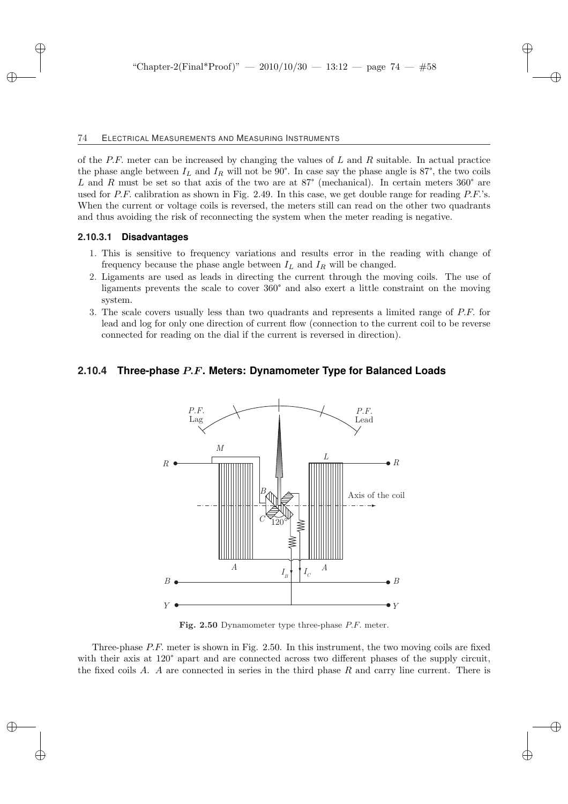of the  $P.F.$  meter can be increased by changing the values of  $L$  and  $R$  suitable. In actual practice the phase angle between  $I_L$  and  $I_R$  will not be 90°. In case say the phase angle is 87°, the two coils L and R must be set so that axis of the two are at  $87^{\circ}$  (mechanical). In certain meters  $360^{\circ}$  are used for  $P.F$ . calibration as shown in Fig. 2.49. In this case, we get double range for reading  $P.F.'s$ . When the current or voltage coils is reversed, the meters still can read on the other two quadrants and thus avoiding the risk of reconnecting the system when the meter reading is negative.

#### **2.10.3.1 Disadvantages**

- 1. This is sensitive to frequency variations and results error in the reading with change of frequency because the phase angle between  $I_L$  and  $I_R$  will be changed.
- 2. Ligaments are used as leads in directing the current through the moving coils. The use of ligaments prevents the scale to cover 360° and also exert a little constraint on the moving system.
- 3. The scale covers usually less than two quadrants and represents a limited range of P.F. for lead and log for only one direction of current flow (connection to the current coil to be reverse connected for reading on the dial if the current is reversed in direction).

### **2.10.4 Three-phase** P.F**. Meters: Dynamometer Type for Balanced Loads**



Fig. 2.50 Dynamometer type three-phase P.F. meter.

Three-phase P.F. meter is shown in Fig. 2.50. In this instrument, the two moving coils are fixed with their axis at 120° apart and are connected across two different phases of the supply circuit, the fixed coils A. A are connected in series in the third phase R and carry line current. There is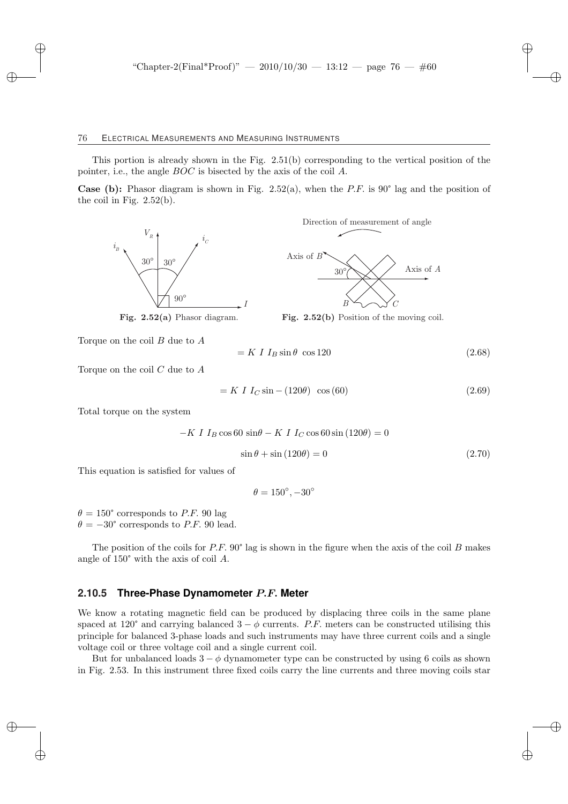This portion is already shown in the Fig. 2.51(b) corresponding to the vertical position of the pointer, i.e., the angle BOC is bisected by the axis of the coil A.

**Case (b):** Phasor diagram is shown in Fig. 2.52(a), when the P.F. is 90° lag and the position of the coil in Fig.  $2.52(b)$ .



Direction of measurement of angle



Fig. 2.52(a) Phasor diagram.

Fig. 2.52(b) Position of the moving coil.

Torque on the coil 
$$
B
$$
 due to  $A$ 

$$
= K I I_B \sin \theta \cos 120 \tag{2.68}
$$

Torque on the coil  $C$  due to  $A$ 

$$
= K I I_C \sin - (120\theta) \cos(60) \tag{2.69}
$$

Total torque on the system

$$
-K I IB \cos 60 \sin \theta - K I IC \cos 60 \sin (120\theta) = 0
$$
  

$$
\sin \theta + \sin (120\theta) = 0
$$
 (2.70)

This equation is satisfied for values of

 $\theta = 150^{\circ}, -30^{\circ}$ 

 $\theta = 150^{\circ}$  corresponds to P.F. 90 lag  $\theta = -30^{\circ}$  corresponds to P.F. 90 lead.

The position of the coils for  $P.F. 90^\circ$  lag is shown in the figure when the axis of the coil B makes angle of 150° with the axis of coil A.

### **2.10.5 Three-Phase Dynamometer** P.F. **Meter**

We know a rotating magnetic field can be produced by displacing three coils in the same plane spaced at 120° and carrying balanced  $3 - \phi$  currents. P.F. meters can be constructed utilising this principle for balanced 3-phase loads and such instruments may have three current coils and a single voltage coil or three voltage coil and a single current coil.

But for unbalanced loads  $3 - \phi$  dynamometer type can be constructed by using 6 coils as shown in Fig. 2.53. In this instrument three fixed coils carry the line currents and three moving coils star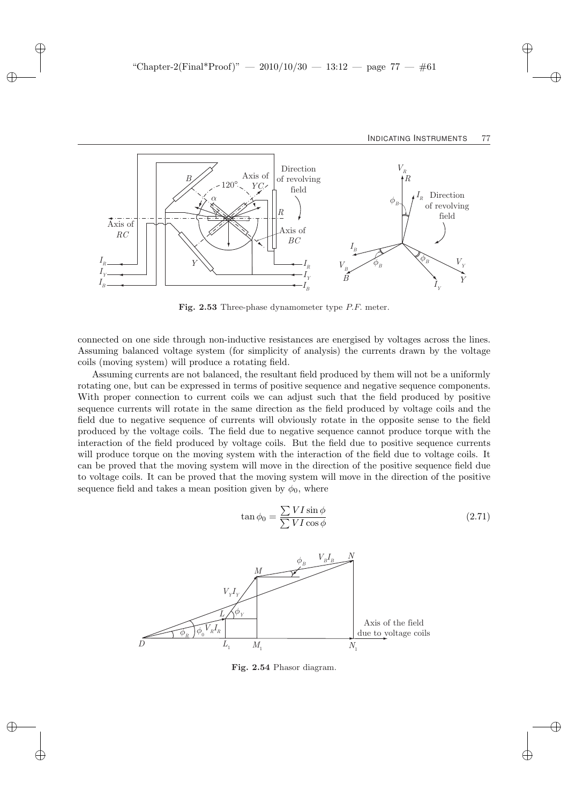

Fig. 2.53 Three-phase dynamometer type P.F. meter.

connected on one side through non-inductive resistances are energised by voltages across the lines. Assuming balanced voltage system (for simplicity of analysis) the currents drawn by the voltage coils (moving system) will produce a rotating field.

Assuming currents are not balanced, the resultant field produced by them will not be a uniformly rotating one, but can be expressed in terms of positive sequence and negative sequence components. With proper connection to current coils we can adjust such that the field produced by positive sequence currents will rotate in the same direction as the field produced by voltage coils and the field due to negative sequence of currents will obviously rotate in the opposite sense to the field produced by the voltage coils. The field due to negative sequence cannot produce torque with the interaction of the field produced by voltage coils. But the field due to positive sequence currents will produce torque on the moving system with the interaction of the field due to voltage coils. It can be proved that the moving system will move in the direction of the positive sequence field due to voltage coils. It can be proved that the moving system will move in the direction of the positive sequence field and takes a mean position given by  $\phi_0$ , where



Fig. 2.54 Phasor diagram.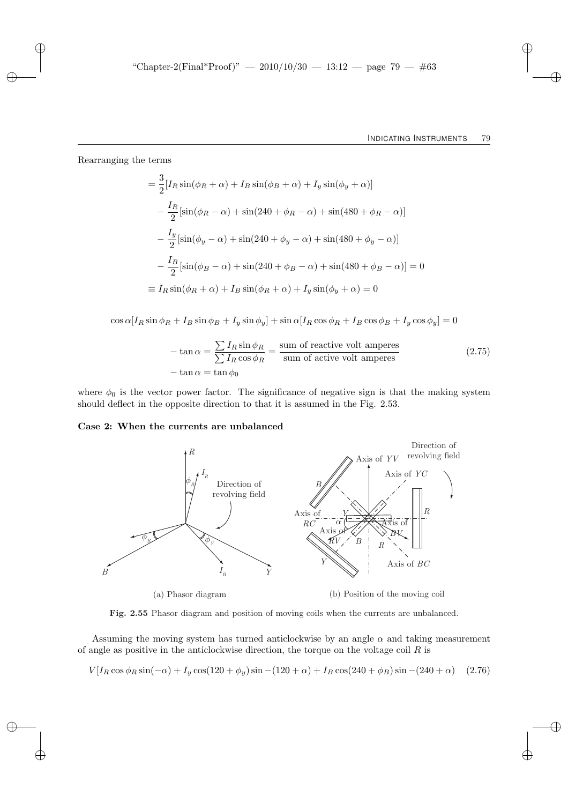Rearranging the terms

$$
= \frac{3}{2} [I_R \sin(\phi_R + \alpha) + I_B \sin(\phi_B + \alpha) + I_y \sin(\phi_y + \alpha)]
$$
  
\n
$$
- \frac{I_R}{2} [\sin(\phi_R - \alpha) + \sin(240 + \phi_R - \alpha) + \sin(480 + \phi_R - \alpha)]
$$
  
\n
$$
- \frac{I_y}{2} [\sin(\phi_y - \alpha) + \sin(240 + \phi_y - \alpha) + \sin(480 + \phi_y - \alpha)]
$$
  
\n
$$
- \frac{I_B}{2} [\sin(\phi_B - \alpha) + \sin(240 + \phi_B - \alpha) + \sin(480 + \phi_B - \alpha)] = 0
$$
  
\n
$$
\equiv I_R \sin(\phi_R + \alpha) + I_B \sin(\phi_R + \alpha) + I_y \sin(\phi_y + \alpha) = 0
$$

 $\cos \alpha [I_R \sin \phi_R + I_B \sin \phi_B + I_y \sin \phi_y] + \sin \alpha [I_R \cos \phi_R + I_B \cos \phi_B + I_y \cos \phi_y] = 0$ 

$$
-\tan \alpha = \frac{\sum I_R \sin \phi_R}{\sum I_R \cos \phi_R} = \frac{\text{sum of reactive volt amperes}}{\text{sum of active volt amperes}} \tag{2.75}
$$

$$
-\tan \alpha = \tan \phi_0
$$

where  $\phi_0$  is the vector power factor. The significance of negative sign is that the making system should deflect in the opposite direction to that it is assumed in the Fig. 2.53.

### Case 2: When the currents are unbalanced



(a) Phasor diagram

(b) Position of the moving coil

Fig. 2.55 Phasor diagram and position of moving coils when the currents are unbalanced.

Assuming the moving system has turned anticlockwise by an angle  $\alpha$  and taking measurement of angle as positive in the anticlockwise direction, the torque on the voltage coil  $R$  is

$$
V[I_R \cos \phi_R \sin(-\alpha) + I_y \cos(120 + \phi_y) \sin(-120 + \alpha) + I_B \cos(240 + \phi_B) \sin(-240 + \alpha) \quad (2.76)
$$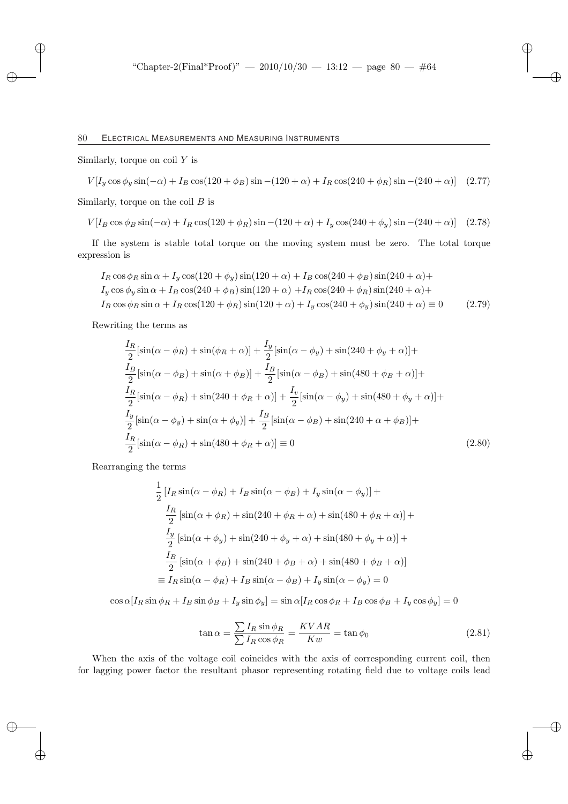Similarly, torque on coil  $Y$  is

$$
V[I_y \cos \phi_y \sin(-\alpha) + I_B \cos(120 + \phi_B) \sin(-120 + \alpha) + I_R \cos(240 + \phi_R) \sin(-240 + \alpha)] \quad (2.77)
$$

Similarly, torque on the coil  $B$  is

$$
V[I_B \cos \phi_B \sin(-\alpha) + I_R \cos(120 + \phi_R) \sin(-120 + \alpha) + I_y \cos(240 + \phi_y) \sin(-240 + \alpha)] \quad (2.78)
$$

If the system is stable total torque on the moving system must be zero. The total torque expression is

$$
I_R \cos \phi_R \sin \alpha + I_y \cos(120 + \phi_y) \sin(120 + \alpha) + I_B \cos(240 + \phi_B) \sin(240 + \alpha) +
$$
  
\n
$$
I_y \cos \phi_y \sin \alpha + I_B \cos(240 + \phi_B) \sin(120 + \alpha) + I_R \cos(240 + \phi_R) \sin(240 + \alpha) +
$$
  
\n
$$
I_B \cos \phi_B \sin \alpha + I_R \cos(120 + \phi_R) \sin(120 + \alpha) + I_y \cos(240 + \phi_y) \sin(240 + \alpha) \equiv 0
$$
 (2.79)

Rewriting the terms as

$$
\frac{I_R}{2}[\sin(\alpha - \phi_R) + \sin(\phi_R + \alpha)] + \frac{I_y}{2}[\sin(\alpha - \phi_y) + \sin(240 + \phi_y + \alpha)] +
$$
  
\n
$$
\frac{I_B}{2}[\sin(\alpha - \phi_B) + \sin(\alpha + \phi_B)] + \frac{I_B}{2}[\sin(\alpha - \phi_B) + \sin(480 + \phi_B + \alpha)] +
$$
  
\n
$$
\frac{I_R}{2}[\sin(\alpha - \phi_R) + \sin(240 + \phi_R + \alpha)] + \frac{I_v}{2}[\sin(\alpha - \phi_y) + \sin(480 + \phi_y + \alpha)] +
$$
  
\n
$$
\frac{I_y}{2}[\sin(\alpha - \phi_y) + \sin(\alpha + \phi_y)] + \frac{I_B}{2}[\sin(\alpha - \phi_B) + \sin(240 + \alpha + \phi_B)] +
$$
  
\n
$$
\frac{I_R}{2}[\sin(\alpha - \phi_R) + \sin(480 + \phi_R + \alpha)] \equiv 0
$$
\n(2.80)

Rearranging the terms

$$
\frac{1}{2} [I_R \sin(\alpha - \phi_R) + I_B \sin(\alpha - \phi_B) + I_y \sin(\alpha - \phi_y)] +
$$
  

$$
\frac{I_R}{2} [\sin(\alpha + \phi_R) + \sin(240 + \phi_R + \alpha) + \sin(480 + \phi_R + \alpha)] +
$$
  

$$
\frac{I_y}{2} [\sin(\alpha + \phi_y) + \sin(240 + \phi_y + \alpha) + \sin(480 + \phi_y + \alpha)] +
$$
  

$$
\frac{I_B}{2} [\sin(\alpha + \phi_B) + \sin(240 + \phi_B + \alpha) + \sin(480 + \phi_B + \alpha)]
$$
  

$$
\equiv I_R \sin(\alpha - \phi_R) + I_B \sin(\alpha - \phi_B) + I_y \sin(\alpha - \phi_y) = 0
$$

 $\cos \alpha [I_R \sin \phi_R + I_B \sin \phi_B + I_y \sin \phi_y] = \sin \alpha [I_R \cos \phi_R + I_B \cos \phi_B + I_y \cos \phi_y] = 0$ 

$$
\tan \alpha = \frac{\sum I_R \sin \phi_R}{\sum I_R \cos \phi_R} = \frac{KVAR}{Kw} = \tan \phi_0 \tag{2.81}
$$

When the axis of the voltage coil coincides with the axis of corresponding current coil, then for lagging power factor the resultant phasor representing rotating field due to voltage coils lead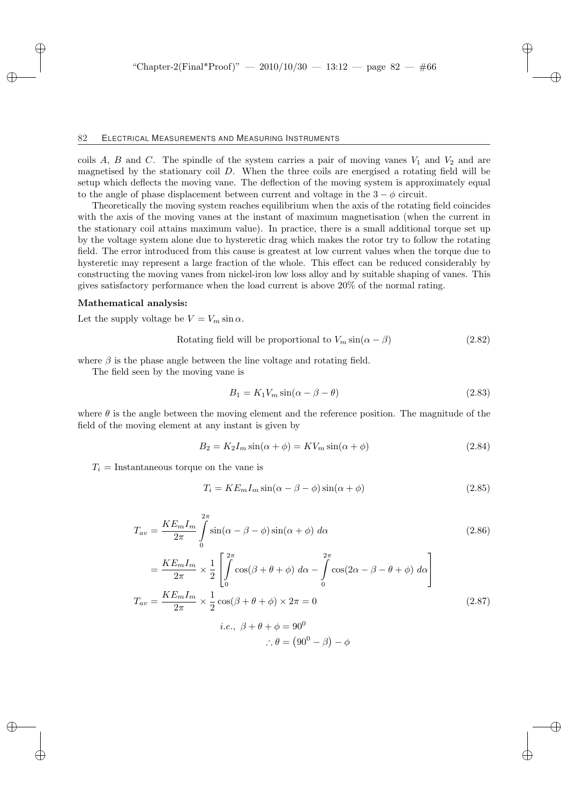coils A, B and C. The spindle of the system carries a pair of moving vanes  $V_1$  and  $V_2$  and are magnetised by the stationary coil  $D$ . When the three coils are energised a rotating field will be setup which deflects the moving vane. The deflection of the moving system is approximately equal to the angle of phase displacement between current and voltage in the  $3 - \phi$  circuit.

Theoretically the moving system reaches equilibrium when the axis of the rotating field coincides with the axis of the moving vanes at the instant of maximum magnetisation (when the current in the stationary coil attains maximum value). In practice, there is a small additional torque set up by the voltage system alone due to hysteretic drag which makes the rotor try to follow the rotating field. The error introduced from this cause is greatest at low current values when the torque due to hysteretic may represent a large fraction of the whole. This effect can be reduced considerably by constructing the moving vanes from nickel-iron low loss alloy and by suitable shaping of vanes. This gives satisfactory performance when the load current is above 20% of the normal rating.

#### Mathematical analysis:

Let the supply voltage be  $V = V_m \sin \alpha$ .

Rotating field will be proportional to 
$$
V_m \sin(\alpha - \beta)
$$
 (2.82)

where  $\beta$  is the phase angle between the line voltage and rotating field.

The field seen by the moving vane is

$$
B_1 = K_1 V_m \sin(\alpha - \beta - \theta) \tag{2.83}
$$

where  $\theta$  is the angle between the moving element and the reference position. The magnitude of the field of the moving element at any instant is given by

$$
B_2 = K_2 I_m \sin(\alpha + \phi) = K V_m \sin(\alpha + \phi)
$$
\n(2.84)

 $T_i$  = Instantaneous torque on the vane is

$$
T_i = KE_m I_m \sin(\alpha - \beta - \phi) \sin(\alpha + \phi)
$$
\n(2.85)

$$
T_{av} = \frac{KE_m I_m}{2\pi} \int_{0}^{2\pi} \sin(\alpha - \beta - \phi) \sin(\alpha + \phi) d\alpha
$$
 (2.86)

$$
= \frac{KE_m I_m}{2\pi} \times \frac{1}{2} \left[ \int_0^{2\pi} \cos(\beta + \theta + \phi) \, d\alpha - \int_0^{2\pi} \cos(2\alpha - \beta - \theta + \phi) \, d\alpha \right]
$$

$$
T_{av} = \frac{KE_m I_m}{2\pi} \times \frac{1}{2} \cos(\beta + \theta + \phi) \times 2\pi = 0
$$

$$
i.e., \ \beta + \theta + \phi = 90^0
$$
(2.87)

$$
\therefore \theta = (90^0 - \beta) - \phi
$$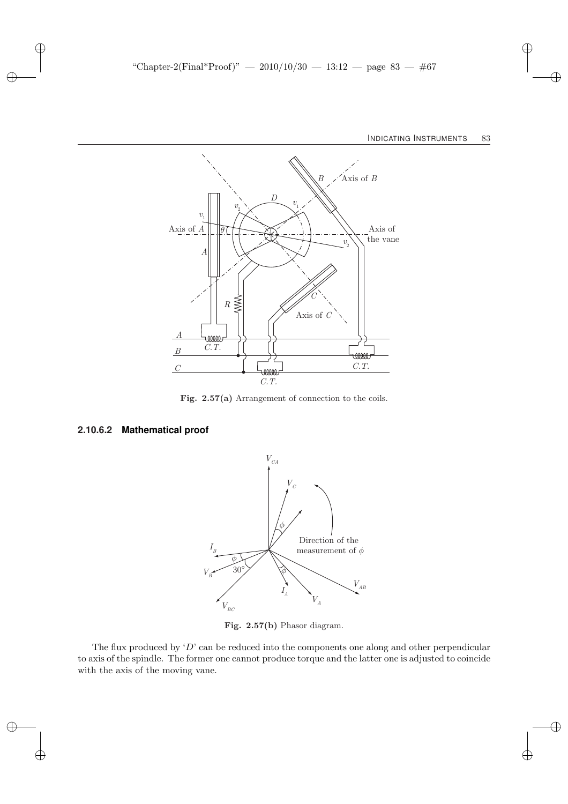

Fig. 2.57(a) Arrangement of connection to the coils.

### **2.10.6.2 Mathematical proof**



Fig. 2.57(b) Phasor diagram.

The flux produced by  $D'$  can be reduced into the components one along and other perpendicular to axis of the spindle. The former one cannot produce torque and the latter one is adjusted to coincide with the axis of the moving vane.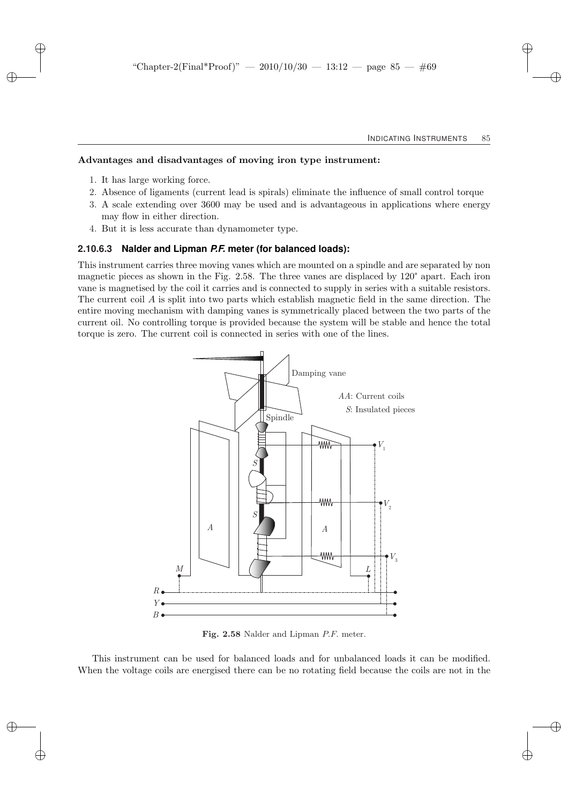#### Advantages and disadvantages of moving iron type instrument:

- 1. It has large working force.
- 2. Absence of ligaments (current lead is spirals) eliminate the influence of small control torque
- 3. A scale extending over 3600 may be used and is advantageous in applications where energy may flow in either direction.
- 4. But it is less accurate than dynamometer type.

#### **2.10.6.3 Nalder and Lipman** *P.F.* **meter (for balanced loads):**

This instrument carries three moving vanes which are mounted on a spindle and are separated by non magnetic pieces as shown in the Fig. 2.58. The three vanes are displaced by 120° apart. Each iron vane is magnetised by the coil it carries and is connected to supply in series with a suitable resistors. The current coil A is split into two parts which establish magnetic field in the same direction. The entire moving mechanism with damping vanes is symmetrically placed between the two parts of the current oil. No controlling torque is provided because the system will be stable and hence the total torque is zero. The current coil is connected in series with one of the lines.



Fig. 2.58 Nalder and Lipman P.F. meter.

This instrument can be used for balanced loads and for unbalanced loads it can be modified. When the voltage coils are energised there can be no rotating field because the coils are not in the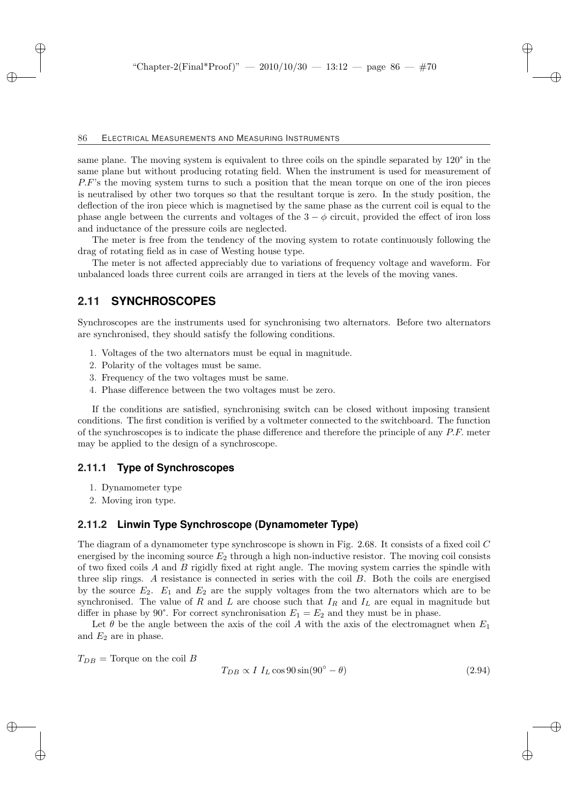same plane. The moving system is equivalent to three coils on the spindle separated by 120° in the same plane but without producing rotating field. When the instrument is used for measurement of P.F's the moving system turns to such a position that the mean torque on one of the iron pieces is neutralised by other two torques so that the resultant torque is zero. In the study position, the deflection of the iron piece which is magnetised by the same phase as the current coil is equal to the phase angle between the currents and voltages of the  $3 - \phi$  circuit, provided the effect of iron loss and inductance of the pressure coils are neglected.

The meter is free from the tendency of the moving system to rotate continuously following the drag of rotating field as in case of Westing house type.

The meter is not affected appreciably due to variations of frequency voltage and waveform. For unbalanced loads three current coils are arranged in tiers at the levels of the moving vanes.

## **2.11 SYNCHROSCOPES**

Synchroscopes are the instruments used for synchronising two alternators. Before two alternators are synchronised, they should satisfy the following conditions.

- 1. Voltages of the two alternators must be equal in magnitude.
- 2. Polarity of the voltages must be same.
- 3. Frequency of the two voltages must be same.
- 4. Phase difference between the two voltages must be zero.

If the conditions are satisfied, synchronising switch can be closed without imposing transient conditions. The first condition is verified by a voltmeter connected to the switchboard. The function of the synchroscopes is to indicate the phase difference and therefore the principle of any  $P.F.$  meter may be applied to the design of a synchroscope.

### **2.11.1 Type of Synchroscopes**

- 1. Dynamometer type
- 2. Moving iron type.

### **2.11.2 Linwin Type Synchroscope (Dynamometer Type)**

The diagram of a dynamometer type synchroscope is shown in Fig. 2.68. It consists of a fixed coil  $C$ energised by the incoming source  $E_2$  through a high non-inductive resistor. The moving coil consists of two fixed coils A and B rigidly fixed at right angle. The moving system carries the spindle with three slip rings. A resistance is connected in series with the coil B. Both the coils are energised by the source  $E_2$ .  $E_1$  and  $E_2$  are the supply voltages from the two alternators which are to be synchronised. The value of R and L are choose such that  $I_R$  and  $I_L$  are equal in magnitude but differ in phase by 90°. For correct synchronisation  $E_1 = E_2$  and they must be in phase.

Let  $\theta$  be the angle between the axis of the coil A with the axis of the electromagnet when  $E_1$ and  $E_2$  are in phase.

 $T_{DB}$  = Torque on the coil B

$$
T_{DB} \propto I I_L \cos 90 \sin(90^\circ - \theta) \tag{2.94}
$$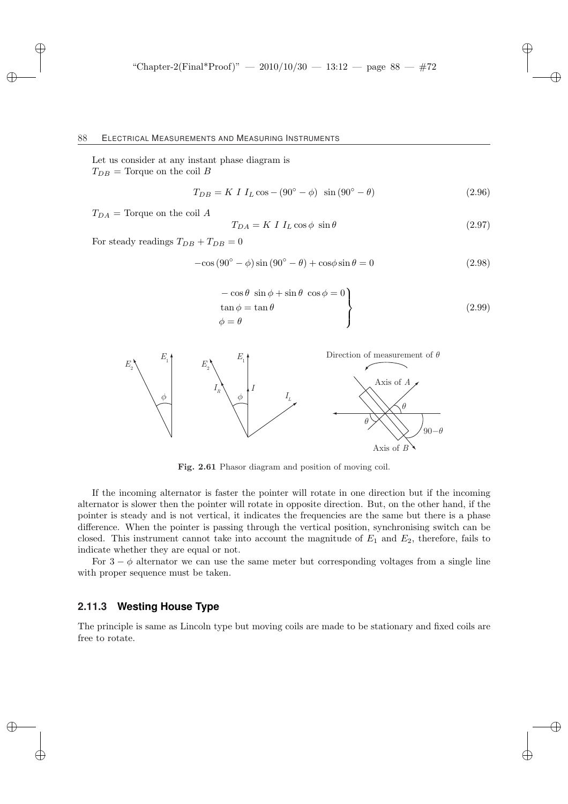Let us consider at any instant phase diagram is  $T_{DB}$  = Torque on the coil B

$$
T_{DB} = K I I_L \cos - (90^\circ - \phi) \sin (90^\circ - \theta) \tag{2.96}
$$

 $T_{DA}$  = Torque on the coil A

$$
T_{DA} = K \ I \ I_L \cos \phi \ \sin \theta \tag{2.97}
$$

For steady readings  $T_{DB} + T_{DB} = 0$ 

$$
-\cos(90^\circ - \phi)\sin(90^\circ - \theta) + \cos\phi\sin\theta = 0
$$
\n(2.98)

$$
-\cos\theta \sin\phi + \sin\theta \cos\phi = 0\n\tan\phi = \tan\theta\n\phi = \theta
$$
\n(2.99)



Fig. 2.61 Phasor diagram and position of moving coil.

If the incoming alternator is faster the pointer will rotate in one direction but if the incoming alternator is slower then the pointer will rotate in opposite direction. But, on the other hand, if the pointer is steady and is not vertical, it indicates the frequencies are the same but there is a phase difference. When the pointer is passing through the vertical position, synchronising switch can be closed. This instrument cannot take into account the magnitude of  $E_1$  and  $E_2$ , therefore, fails to indicate whether they are equal or not.

For  $3 - \phi$  alternator we can use the same meter but corresponding voltages from a single line with proper sequence must be taken.

### **2.11.3 Westing House Type**

The principle is same as Lincoln type but moving coils are made to be stationary and fixed coils are free to rotate.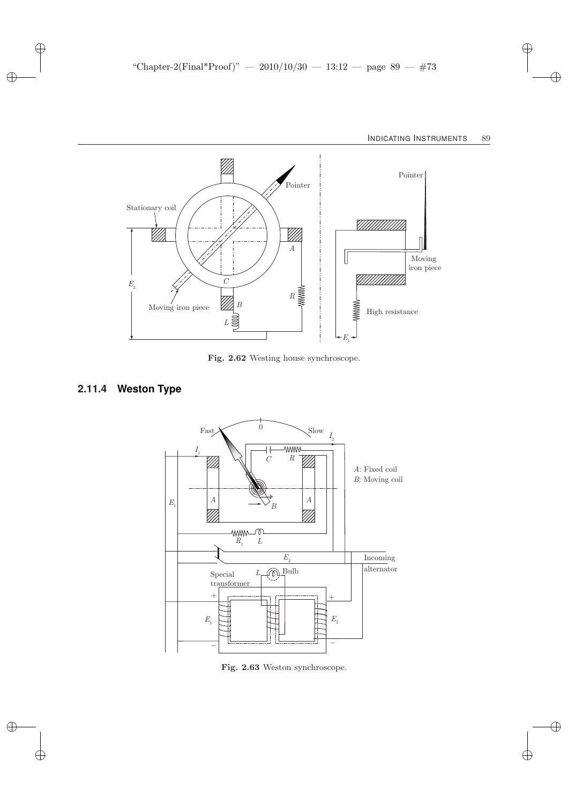

Fig. 2.62 Westing house synchroscope.

# **2.11.4 Weston Type**



Fig. 2.63 Weston synchroscope.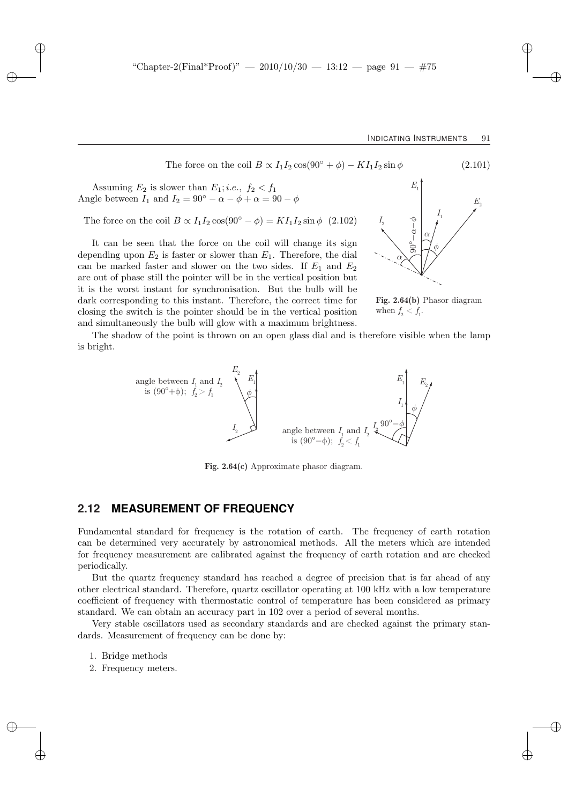The force on the coil  $B \propto I_1 I_2 \cos(90^\circ + \phi) - K I_1 I_2 \sin \phi$  (2.101)

Assuming  $E_2$  is slower than  $E_1$ ; *i.e.*,  $f_2 < f_1$ Angle between  $I_1$  and  $I_2 = 90^\circ - \alpha - \phi + \alpha = 90 - \phi$ 

The force on the coil  $B \propto I_1 I_2 \cos(90^\circ - \phi) = K I_1 I_2 \sin \phi$  (2.102)

It can be seen that the force on the coil will change its sign depending upon  $E_2$  is faster or slower than  $E_1$ . Therefore, the dial can be marked faster and slower on the two sides. If  $E_1$  and  $E_2$ are out of phase still the pointer will be in the vertical position but it is the worst instant for synchronisation. But the bulb will be dark corresponding to this instant. Therefore, the correct time for closing the switch is the pointer should be in the vertical position and simultaneously the bulb will glow with a maximum brightness.



**Fig. 2.64(b)** Phasor diagram when  $f_2 < f_1$ .

The shadow of the point is thrown on an open glass dial and is therefore visible when the lamp is bright.



**Fig. 2.64(c)** Approximate phasor diagram.

### **2.12 MEASUREMENT OF FREQUENCY**

Fundamental standard for frequency is the rotation of earth. The frequency of earth rotation can be determined very accurately by astronomical methods. All the meters which are intended for frequency measurement are calibrated against the frequency of earth rotation and are checked periodically.

But the quartz frequency standard has reached a degree of precision that is far ahead of any other electrical standard. Therefore, quartz oscillator operating at 100 kHz with a low temperature coefficient of frequency with thermostatic control of temperature has been considered as primary standard. We can obtain an accuracy part in 102 over a period of several months.

Very stable oscillators used as secondary standards and are checked against the primary standards. Measurement of frequency can be done by:

- 1. Bridge methods
- 2. Frequency meters.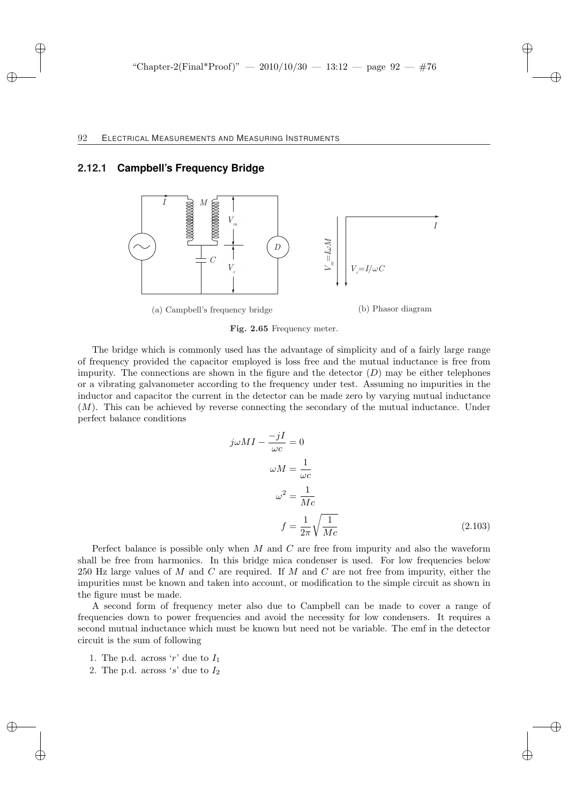# **2.12.1 Campbell's Frequency Bridge**



Fig. 2.65 Frequency meter.

The bridge which is commonly used has the advantage of simplicity and of a fairly large range of frequency provided the capacitor employed is loss free and the mutual inductance is free from impurity. The connections are shown in the figure and the detector  $(D)$  may be either telephones or a vibrating galvanometer according to the frequency under test. Assuming no impurities in the inductor and capacitor the current in the detector can be made zero by varying mutual inductance (M). This can be achieved by reverse connecting the secondary of the mutual inductance. Under perfect balance conditions

$$
j\omega M I - \frac{-jI}{\omega c} = 0
$$
  
\n
$$
\omega M = \frac{1}{\omega c}
$$
  
\n
$$
\omega^2 = \frac{1}{Mc}
$$
  
\n
$$
f = \frac{1}{2\pi} \sqrt{\frac{1}{Mc}}
$$
 (2.103)

Perfect balance is possible only when M and C are free from impurity and also the waveform shall be free from harmonics. In this bridge mica condenser is used. For low frequencies below 250 Hz large values of M and C are required. If M and C are not free from impurity, either the impurities must be known and taken into account, or modification to the simple circuit as shown in the figure must be made.

A second form of frequency meter also due to Campbell can be made to cover a range of frequencies down to power frequencies and avoid the necessity for low condensers. It requires a second mutual inductance which must be known but need not be variable. The emf in the detector circuit is the sum of following

- 1. The p.d. across 'r' due to  $I_1$
- 2. The p.d. across 's' due to  $I_2$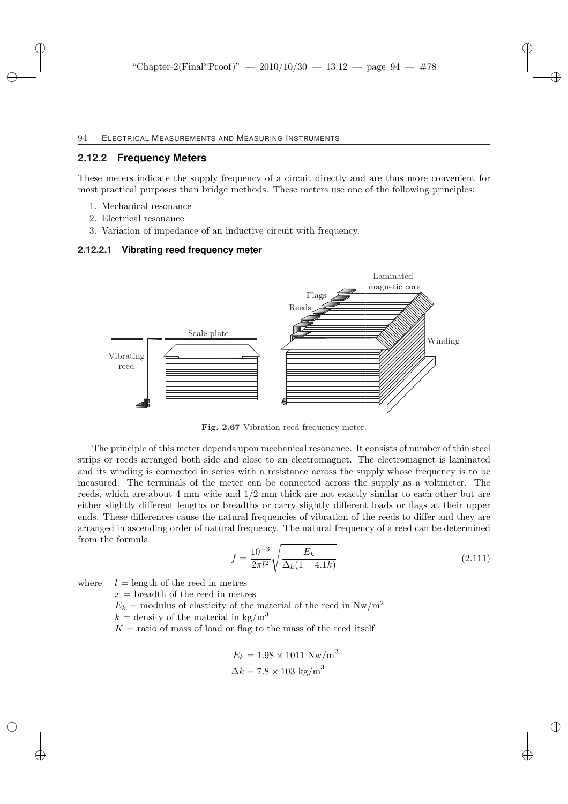### **2.12.2 Frequency Meters**

These meters indicate the supply frequency of a circuit directly and are thus more convenient for most practical purposes than bridge methods. These meters use one of the following principles:

- 1. Mechanical resonance
- 2. Electrical resonance
- 3. Variation of impedance of an inductive circuit with frequency.

#### **2.12.2.1 Vibrating reed frequency meter**



Fig. 2.67 Vibration reed frequency meter.

The principle of this meter depends upon mechanical resonance. It consists of number of thin steel strips or reeds arranged both side and close to an electromagnet. The electromagnet is laminated and its winding is connected in series with a resistance across the supply whose frequency is to be measured. The terminals of the meter can be connected across the supply as a voltmeter. The reeds, which are about 4 mm wide and 1/2 mm thick are not exactly similar to each other but are either slightly different lengths or breadths or carry slightly different loads or flags at their upper ends. These differences cause the natural frequencies of vibration of the reeds to differ and they are arranged in ascending order of natural frequency. The natural frequency of a reed can be determined from the formula s

$$
f = \frac{10^{-3}}{2\pi l^2} \sqrt{\frac{E_k}{\Delta_k (1 + 4.1k)}}
$$
\n(2.111)

where  $l =$  length of the reed in metres

 $x =$  breadth of the reed in metres

 $E_k$  = modulus of elasticity of the material of the reed in  $\text{Nw/m}^2$ 

 $k =$  density of the material in kg/m<sup>3</sup>

 $K =$  ratio of mass of load or flag to the mass of the reed itself

$$
E_k = 1.98 \times 1011 \text{ Nw/m}^2
$$

$$
\Delta k = 7.8 \times 103 \text{ kg/m}^3
$$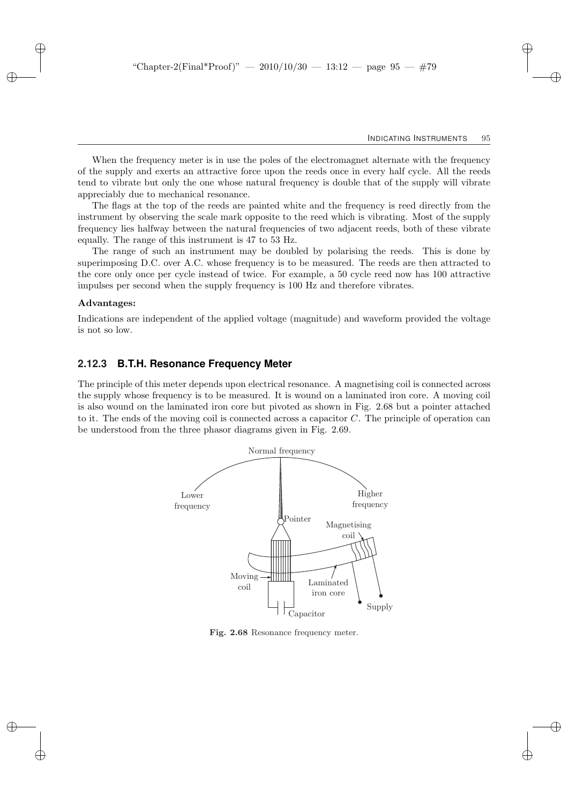When the frequency meter is in use the poles of the electromagnet alternate with the frequency of the supply and exerts an attractive force upon the reeds once in every half cycle. All the reeds tend to vibrate but only the one whose natural frequency is double that of the supply will vibrate appreciably due to mechanical resonance.

The flags at the top of the reeds are painted white and the frequency is reed directly from the instrument by observing the scale mark opposite to the reed which is vibrating. Most of the supply frequency lies halfway between the natural frequencies of two adjacent reeds, both of these vibrate equally. The range of this instrument is 47 to 53 Hz.

The range of such an instrument may be doubled by polarising the reeds. This is done by superimposing D.C. over A.C. whose frequency is to be measured. The reeds are then attracted to the core only once per cycle instead of twice. For example, a 50 cycle reed now has 100 attractive impulses per second when the supply frequency is 100 Hz and therefore vibrates.

#### Advantages:

Indications are independent of the applied voltage (magnitude) and waveform provided the voltage is not so low.

### **2.12.3 B.T.H. Resonance Frequency Meter**

The principle of this meter depends upon electrical resonance. A magnetising coil is connected across the supply whose frequency is to be measured. It is wound on a laminated iron core. A moving coil is also wound on the laminated iron core but pivoted as shown in Fig. 2.68 but a pointer attached to it. The ends of the moving coil is connected across a capacitor C. The principle of operation can be understood from the three phasor diagrams given in Fig. 2.69.



Fig. 2.68 Resonance frequency meter.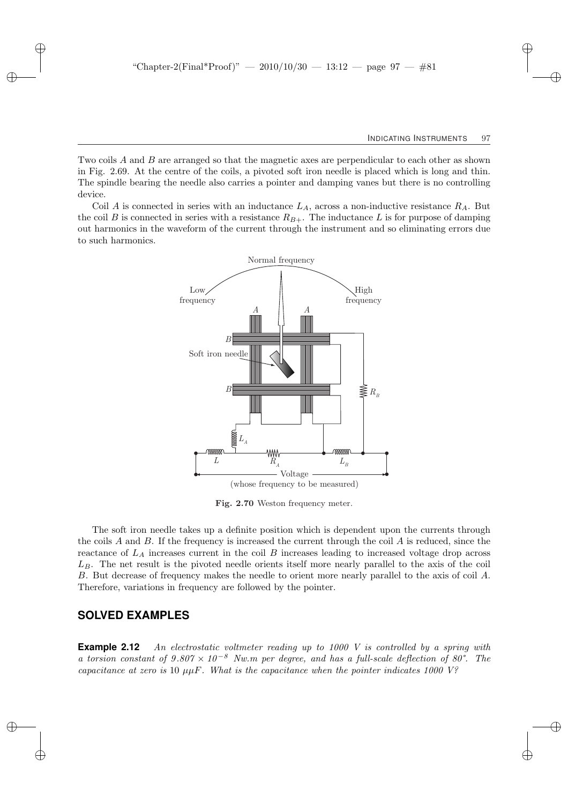Two coils A and B are arranged so that the magnetic axes are perpendicular to each other as shown in Fig. 2.69. At the centre of the coils, a pivoted soft iron needle is placed which is long and thin. The spindle bearing the needle also carries a pointer and damping vanes but there is no controlling device.

Coil A is connected in series with an inductance  $L_A$ , across a non-inductive resistance  $R_A$ . But the coil B is connected in series with a resistance  $R_{B+}$ . The inductance L is for purpose of damping out harmonics in the waveform of the current through the instrument and so eliminating errors due to such harmonics.



Fig. 2.70 Weston frequency meter.

The soft iron needle takes up a definite position which is dependent upon the currents through the coils A and B. If the frequency is increased the current through the coil A is reduced, since the reactance of  $L_A$  increases current in the coil  $B$  increases leading to increased voltage drop across  $L_B$ . The net result is the pivoted needle orients itself more nearly parallel to the axis of the coil B. But decrease of frequency makes the needle to orient more nearly parallel to the axis of coil A. Therefore, variations in frequency are followed by the pointer.

### **SOLVED EXAMPLES**

**Example 2.12** An electrostatic voltmeter reading up to 1000 V is controlled by a spring with a torsion constant of  $9.807 \times 10^{-8}$  Nw.m per degree, and has a full-scale deflection of 80°. The capacitance at zero is 10  $\mu$ µF. What is the capacitance when the pointer indicates 1000 V?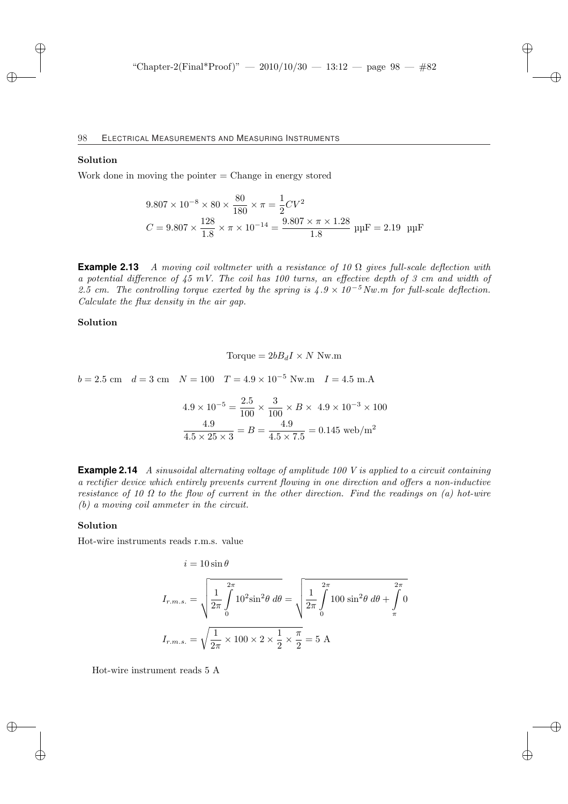#### Solution

Work done in moving the pointer  $=$  Change in energy stored

$$
9.807 \times 10^{-8} \times 80 \times \frac{80}{180} \times \pi = \frac{1}{2}CV^2
$$
  

$$
C = 9.807 \times \frac{128}{1.8} \times \pi \times 10^{-14} = \frac{9.807 \times \pi \times 1.28}{1.8} \text{ µF} = 2.19 \text{ µF}
$$

**Example 2.13** A moving coil voltmeter with a resistance of 10  $\Omega$  gives full-scale deflection with a potential difference of  $\mu$ 5 mV. The coil has 100 turns, an effective depth of 3 cm and width of 2.5 cm. The controlling torque exerted by the spring is  $4.9 \times 10^{-5}$  Nw.m for full-scale deflection. Calculate the flux density in the air gap.

#### Solution

Torque = 
$$
2bB_dI \times N
$$
 Nw.m

 $b = 2.5$  cm  $d = 3$  cm  $N = 100$   $T = 4.9 \times 10^{-5}$  Nw.m  $I = 4.5$  m.A

$$
4.9 \times 10^{-5} = \frac{2.5}{100} \times \frac{3}{100} \times B \times 4.9 \times 10^{-3} \times 100
$$
  

$$
\frac{4.9}{4.5 \times 25 \times 3} = B = \frac{4.9}{4.5 \times 7.5} = 0.145 \text{ web/m}^2
$$

**Example 2.14** A sinusoidal alternating voltage of amplitude 100 V is applied to a circuit containing a rectifier device which entirely prevents current flowing in one direction and offers a non-inductive resistance of 10  $\Omega$  to the flow of current in the other direction. Find the readings on (a) hot-wire (b) a moving coil ammeter in the circuit.

#### Solution

Hot-wire instruments reads r.m.s. value

$$
i = 10 \sin \theta
$$
  

$$
I_{r.m.s.} = \sqrt{\frac{1}{2\pi} \int_{0}^{2\pi} 10^{2} \sin^{2} \theta \, d\theta} = \sqrt{\frac{1}{2\pi} \int_{0}^{2\pi} 100 \sin^{2} \theta \, d\theta + \int_{\pi}^{2\pi} 0}
$$
  

$$
I_{r.m.s.} = \sqrt{\frac{1}{2\pi} \times 100 \times 2 \times \frac{1}{2} \times \frac{\pi}{2}} = 5 \text{ A}
$$

Hot-wire instrument reads 5 A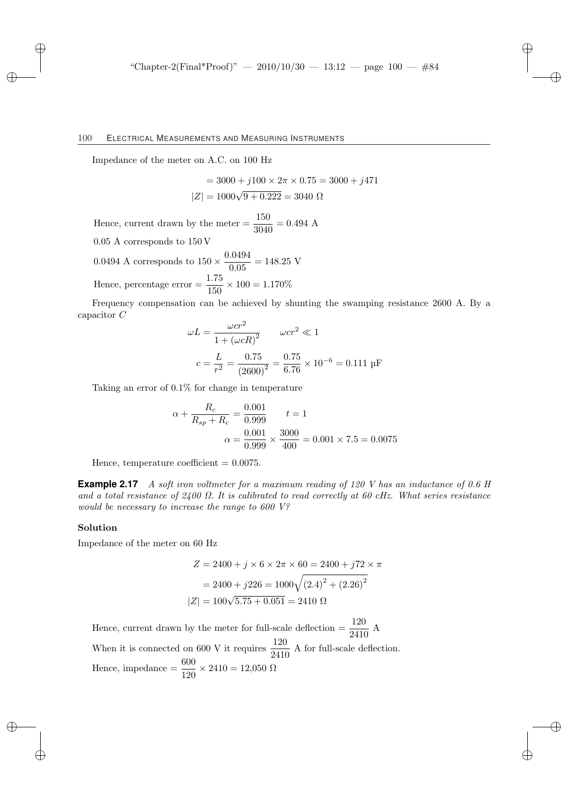Impedance of the meter on A.C. on 100 Hz

$$
= 3000 + j100 \times 2\pi \times 0.75 = 3000 + j471
$$

$$
|Z| = 1000\sqrt{9 + 0.222} = 3040 \Omega
$$

Hence, current drawn by the meter  $=$   $\frac{150}{3040} = 0.494$  A

0.05 A corresponds to 150 V

0.0494 A corresponds to  $150 \times \frac{0.0494}{0.05}$  $\frac{0.051}{0.05} = 148.25 \text{ V}$ Hence, percentage error  $=$   $\frac{1.75}{150} \times 100 = 1.170\%$ 

Frequency compensation can be achieved by shunting the swamping resistance 2600 A. By a capacitor C

$$
\omega L = \frac{\omega c r^2}{1 + (\omega c R)^2} \qquad \omega c r^2 \ll 1
$$

$$
c = \frac{L}{r^2} = \frac{0.75}{(2600)^2} = \frac{0.75}{6.76} \times 10^{-6} = 0.111 \text{ pF}
$$

Taking an error of 0.1% for change in temperature

$$
\alpha + \frac{R_c}{R_{sp} + R_c} = \frac{0.001}{0.999} \qquad t = 1
$$

$$
\alpha = \frac{0.001}{0.999} \times \frac{3000}{400} = 0.001 \times 7.5 = 0.0075
$$

Hence, temperature coefficient  $= 0.0075$ .

**Example 2.17** A soft iron voltmeter for a maximum reading of 120 V has an inductance of 0.6 H and a total resistance of  $2400 \Omega$ . It is calibrated to read correctly at 60 cHz. What series resistance would be necessary to increase the range to 600 V?

#### Solution

Impedance of the meter on 60 Hz

$$
Z = 2400 + j \times 6 \times 2\pi \times 60 = 2400 + j72 \times \pi
$$

$$
= 2400 + j226 = 1000\sqrt{(2.4)^{2} + (2.26)^{2}}
$$

$$
|Z| = 100\sqrt{5.75 + 0.051} = 2410 \Omega
$$

Hence, current drawn by the meter for full-scale deflection  $=$   $\frac{120}{2410}$  A When it is connected on 600 V it requires  $\frac{120}{2410}$  A for full-scale deflection. Hence, impedance  $=$   $\frac{600}{120} \times 2410 = 12{,}050 \Omega$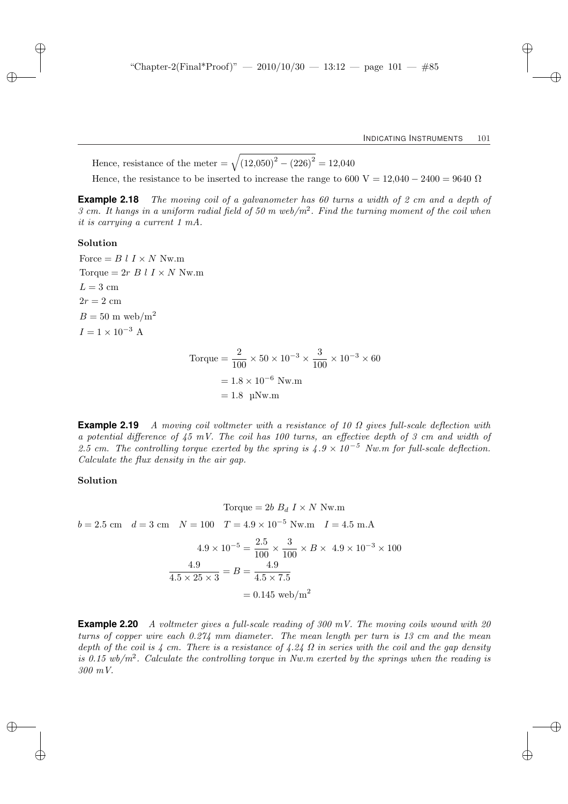Hence, resistance of the meter =  $\sqrt{(12,050)^2 - (226)^2} = 12,040$ 

Hence, the resistance to be inserted to increase the range to 600 V = 12,040 – 2400 = 9640  $\Omega$ 

**Example 2.18** The moving coil of a galvanometer has 60 turns a width of 2 cm and a depth of 3 cm. It hangs in a uniform radial field of 50 m web/ $m^2$ . Find the turning moment of the coil when it is carrying a current 1 mA.

### Solution

Force  $= B l I \times N N w.m$ Torque =  $2r B l I \times N$  Nw.m  $L = 3$  cm  $2r = 2$  cm  $B = 50$  m web/m<sup>2</sup>  $I = 1 \times 10^{-3}$  A

Torque = 
$$
\frac{2}{100} \times 50 \times 10^{-3} \times \frac{3}{100} \times 10^{-3} \times 60
$$
  
= 1.8 × 10<sup>-6</sup> Nw.m  
= 1.8 µNw.m

**Example 2.19** A moving coil voltmeter with a resistance of 10  $\Omega$  gives full-scale deflection with a potential difference of  $45 \text{ mV}$ . The coil has 100 turns, an effective depth of 3 cm and width of 2.5 cm. The controlling torque exerted by the spring is  $4.9 \times 10^{-5}$  Nw.m for full-scale deflection. Calculate the flux density in the air gap.

### Solution

Torque = 2b  $B_d I \times N$  Nw.m  $b = 2.5$  cm  $d = 3$  cm  $N = 100$   $T = 4.9 \times 10^{-5}$  Nw.m  $I = 4.5$  m.A

$$
4.9 \times 10^{-5} = \frac{2.5}{100} \times \frac{3}{100} \times B \times 4.9 \times 10^{-3} \times 100
$$
  

$$
\frac{4.9}{4.5 \times 25 \times 3} = B = \frac{4.9}{4.5 \times 7.5}
$$
  
= 0.145 web/m<sup>2</sup>

**Example 2.20** A voltmeter gives a full-scale reading of 300 mV. The moving coils wound with 20 turns of copper wire each 0.274 mm diameter. The mean length per turn is 13 cm and the mean depth of the coil is  $\lambda$  cm. There is a resistance of  $\lambda$ .  $2\lambda$   $\Omega$  in series with the coil and the gap density is 0.15 wb/ $m^2$ . Calculate the controlling torque in Nw.m exerted by the springs when the reading is 300 mV.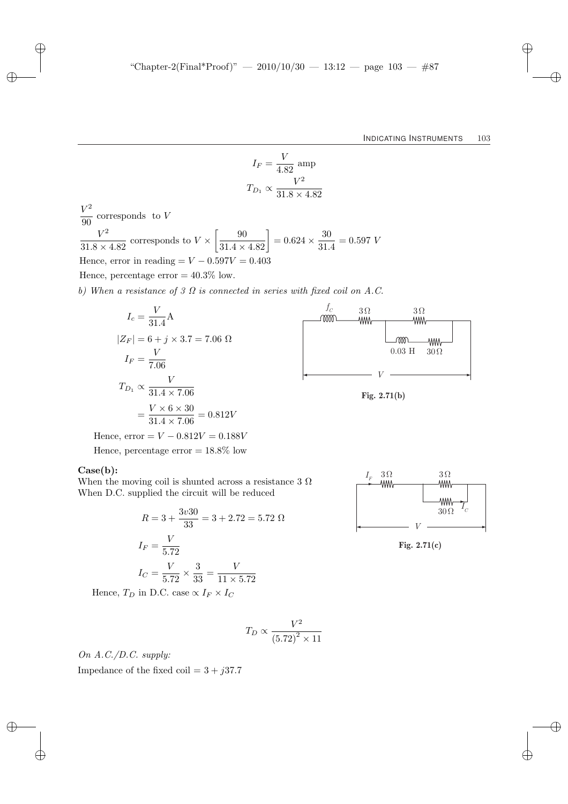$$
I_F = \frac{V}{4.82} \text{ amp}
$$

$$
T_{D_1} \propto \frac{V^2}{31.8 \times 4.82}
$$

V  $V^2$  $\frac{6}{90}$  corresponds to V  $\,V^2$  $\frac{1}{31.8 \times 4.82}$  corresponds to  $V \times$  $\left[\frac{90}{31.4 \times 4.82}\right] = 0.624 \times \frac{30}{31.4}$  $\frac{30}{31.4} = 0.597 V$ Hence, error in reading  $= V - 0.597V = 0.403$ Hence, percentage error  $= 40.3\%$  low.

b) When a resistance of 3  $\Omega$  is connected in series with fixed coil on A.C.

$$
I_c = \frac{V}{31.4} \text{A}
$$
\n
$$
|Z_F| = 6 + j \times 3.7 = 7.06 \text{ }\Omega
$$
\n
$$
I_F = \frac{V}{7.06}
$$
\n
$$
T_{D_1} \propto \frac{V}{31.4 \times 7.06}
$$
\n
$$
= \frac{V \times 6 \times 30}{31.4 \times 7.06} = 0.812V
$$
\nHence, error =  $V - 0.812V = 0.188V$ \n
$$
V = 2.71(b)
$$

Hence, percentage error  $= 18.8\%$  low

#### Case(b):

When the moving coil is shunted across a resistance 3  $\Omega$ When D.C. supplied the circuit will be reduced

$$
R = 3 + \frac{3v30}{33} = 3 + 2.72 = 5.72 \ \Omega
$$

$$
I_F = \frac{V}{5.72}
$$

$$
I_C = \frac{V}{5.72} \times \frac{3}{33} = \frac{V}{11 \times 5.72}
$$

Hence,  $T_D$  in D.C. case  $\propto I_F \times I_C$ 

$$
T_D \propto \frac{V^2}{\left(5.72\right)^2 \times 11}
$$

On A.C./D.C. supply: Impedance of the fixed coil =  $3 + j37.7$ 



**Fig. 2.71(c)**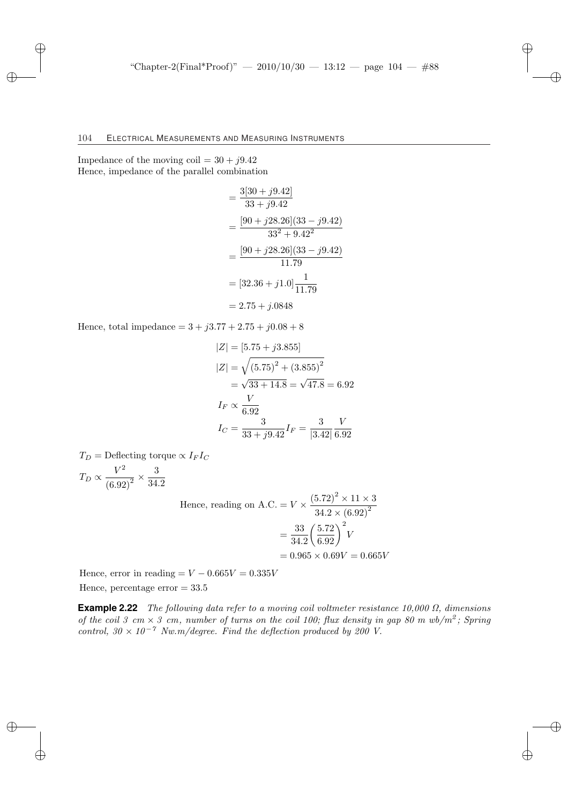Impedance of the moving coil  $= 30 + j9.42$ Hence, impedance of the parallel combination

$$
= \frac{3[30+j9.42]}{33+j9.42}
$$
  
= 
$$
\frac{[90+j28.26](33-j9.42)}{33^2+9.42^2}
$$
  
= 
$$
\frac{[90+j28.26](33-j9.42)}{11.79}
$$
  
= 
$$
[32.36+j1.0]\frac{1}{11.79}
$$
  
= 2.75 + j.0848

Hence, total impedance  $= 3 + j3.77 + 2.75 + j0.08 + 8$ 

$$
|Z| = [5.75 + j3.855]
$$
  
\n
$$
|Z| = \sqrt{(5.75)^2 + (3.855)^2}
$$
  
\n
$$
= \sqrt{33 + 14.8} = \sqrt{47.8} = 6.92
$$
  
\n
$$
I_F \propto \frac{V}{6.92}
$$
  
\n
$$
I_C = \frac{3}{33 + j9.42} I_F = \frac{3}{|3.42|} \frac{V}{6.92}
$$

 $T_D =$ Deflecting torque  $\propto I_F I_C$ 

$$
T_D \propto \frac{V^2}{\left(6.92\right)^2} \times \frac{3}{34.2}
$$

Hence, reading on A.C. = 
$$
V \times \frac{(5.72)^2 \times 11 \times 3}{34.2 \times (6.92)^2}
$$
  
=  $\frac{33}{34.2} \left(\frac{5.72}{6.92}\right)^2 V$   
= 0.965 × 0.69V = 0.665V

Hence, error in reading  $= V - 0.665V = 0.335V$ Hence, percentage error  $= 33.5$ 

**Example 2.22** The following data refer to a moving coil voltmeter resistance 10,000 Ω, dimensions of the coil 3 cm  $\times$  3 cm, number of turns on the coil 100; flux density in gap 80 m wb/m<sup>2</sup>; Spring control,  $30 \times 10^{-7}$  Nw.m/degree. Find the deflection produced by 200 V.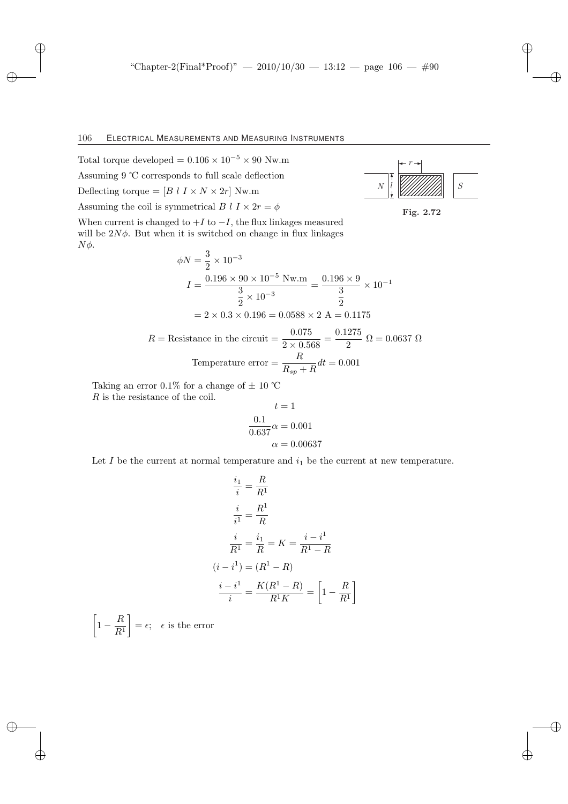Total torque developed =  $0.106 \times 10^{-5} \times 90$  Nw.m

Assuming 9 ℃ corresponds to full scale deflection

Deflecting torque =  $[B \; l \; I \times N \times 2r]$  Nw.m

Assuming the coil is symmetrical B  $l I \times 2r = \phi$ 

When current is changed to  $+I$  to  $-I$ , the flux linkages measured will be  $2N\phi$ . But when it is switched on change in flux linkages  $Nφ$ .

$$
\phi N = \frac{3}{2} \times 10^{-3}
$$
  
\n
$$
I = \frac{0.196 \times 90 \times 10^{-5} \text{ Nw.m}}{3 \times 10^{-3}} = \frac{0.196 \times 9}{3} \times 10^{-1}
$$
  
\n
$$
= 2 \times 0.3 \times 0.196 = 0.0588 \times 2 \text{ A} = 0.1175
$$
  
\nResistence in the circuit =  $\frac{0.075}{3} = 0.1275$  Q = 0.0627

$$
R = \text{Resistance in the circuit} = \frac{0.075}{2 \times 0.568} = \frac{0.1275}{2} \ \Omega = 0.0637 \ \Omega
$$
\n
$$
\text{Temperature error} = \frac{R}{R_{sp} + R} dt = 0.001
$$

Taking an error 0.1% for a change of  $\pm$  10 °C R is the resistance of the coil.

$$
t = 1
$$

$$
\frac{0.1}{0.637} \alpha = 0.001
$$

$$
\alpha = 0.00637
$$

Let  $I$  be the current at normal temperature and  $i_1$  be the current at new temperature.

$$
\frac{i_1}{i} = \frac{R}{R^1}
$$

$$
\frac{i}{i^1} = \frac{R^1}{R}
$$

$$
\frac{i}{R^1} = \frac{i_1}{R} = K = \frac{i - i^1}{R^1 - R}
$$

$$
(i - i^1) = (R^1 - R)
$$

$$
\frac{i - i^1}{i} = \frac{K(R^1 - R)}{R^1 K} = \left[1 - \frac{R}{R^1}\right]
$$

·  $1-\frac{R}{R}$  $R<sup>1</sup>$  $\overline{a}$  $=\epsilon$ ;  $\epsilon$  is the error



Fig. 2.72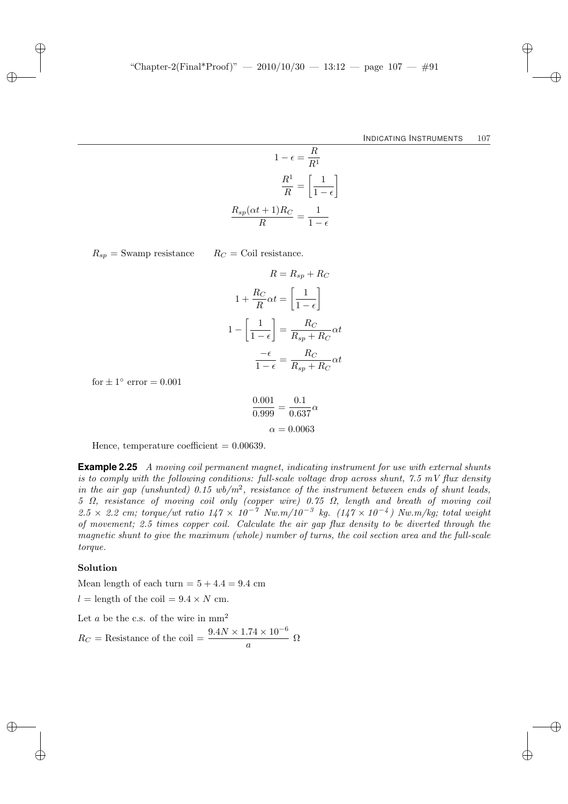$$
1 - \epsilon = \frac{R}{R^1}
$$

$$
\frac{R^1}{R} = \left[\frac{1}{1 - \epsilon}\right]
$$

$$
\frac{R_{sp}(\alpha t + 1)R_C}{R} = \frac{1}{1 - \epsilon}
$$

 $R_{sp}$  = Swamp resistance  $R_C$  = Coil resistance.

$$
R = R_{sp} + R_C
$$

$$
1 + \frac{R_C}{R}\alpha t = \left[\frac{1}{1 - \epsilon}\right]
$$

$$
1 - \left[\frac{1}{1 - \epsilon}\right] = \frac{R_C}{R_{sp} + R_C}\alpha t
$$

$$
\frac{-\epsilon}{1 - \epsilon} = \frac{R_C}{R_{sp} + R_C}\alpha t
$$

for  $\pm 1^{\circ}$  error = 0.001

$$
\frac{0.001}{0.999} = \frac{0.1}{0.637} \alpha
$$

$$
\alpha = 0.0063
$$

Hence, temperature coefficient  $= 0.00639$ .

**Example 2.25** A moving coil permanent magnet, indicating instrument for use with external shunts is to comply with the following conditions: full-scale voltage drop across shunt,  $7.5 \frac{m}{v}$  flux density in the air gap (unshunted) 0.15  $wb/m^2$ , resistance of the instrument between ends of shunt leads, 5 Ω, resistance of moving coil only (copper wire) 0.75 Ω, length and breath of moving coil 2.5 × 2.2 cm; torque/wt ratio  $147 \times 10^{-7}$  Nw.m/ $10^{-3}$  kg.  $(147 \times 10^{-4})$  Nw.m/kg; total weight of movement; 2.5 times copper coil. Calculate the air gap flux density to be diverted through the magnetic shunt to give the maximum (whole) number of turns, the coil section area and the full-scale torque.

#### Solution

Mean length of each turn  $= 5 + 4.4 = 9.4$  cm

 $l =$  length of the coil =  $9.4 \times N$  cm.

Let a be the c.s. of the wire in  $mm<sup>2</sup>$ 

 $R_C$  = Resistance of the coil =  $\frac{9.4N \times 1.74 \times 10^{-6}}{a}$  Ω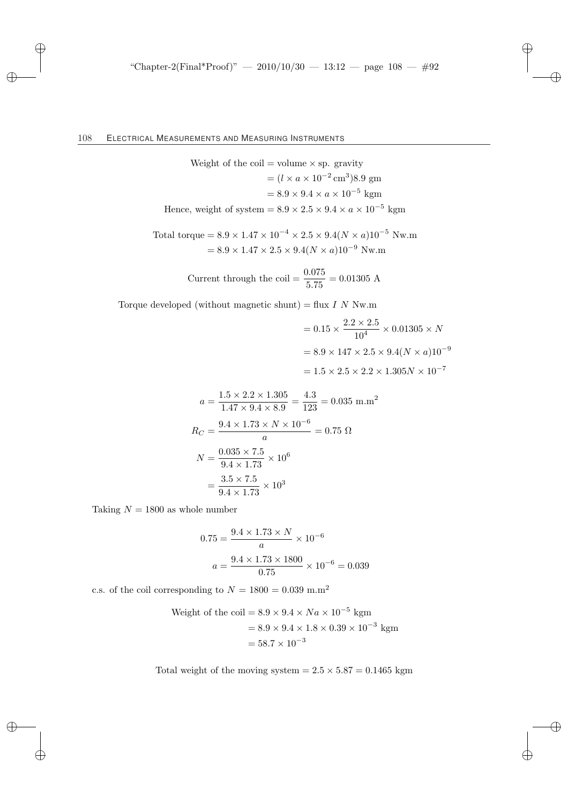Weight of the coil = volume × sp. gravity  
\n
$$
= (l \times a \times 10^{-2} \text{ cm}^3)8.9 \text{ gm}
$$
\n
$$
= 8.9 \times 9.4 \times a \times 10^{-5} \text{ kgm}
$$
\nHence, weight of system = 8.9 × 2.5 × 9.4 × a × 10<sup>-5</sup> kgm

Total torque = 
$$
8.9 \times 1.47 \times 10^{-4} \times 2.5 \times 9.4(N \times a) 10^{-5}
$$
 Nw.m  
=  $8.9 \times 1.47 \times 2.5 \times 9.4(N \times a) 10^{-9}$  Nw.m

Current through the coil = 
$$
\frac{0.075}{5.75}
$$
 = 0.01305 A

Torque developed (without magnetic shunt) = flux  $I N N w.m$ 

$$
= 0.15 \times \frac{2.2 \times 2.5}{10^4} \times 0.01305 \times N
$$

$$
= 8.9 \times 147 \times 2.5 \times 9.4(N \times a)10^{-9}
$$

$$
= 1.5 \times 2.5 \times 2.2 \times 1.305N \times 10^{-7}
$$

$$
a = \frac{1.5 \times 2.2 \times 1.305}{1.47 \times 9.4 \times 8.9} = \frac{4.3}{123} = 0.035 \text{ m.m}^2
$$

$$
R_C = \frac{9.4 \times 1.73 \times N \times 10^{-6}}{a} = 0.75 \text{ }\Omega
$$

$$
N = \frac{0.035 \times 7.5}{9.4 \times 1.73} \times 10^6
$$

$$
= \frac{3.5 \times 7.5}{9.4 \times 1.73} \times 10^3
$$

Taking  $N = 1800$  as whole number

$$
0.75 = \frac{9.4 \times 1.73 \times N}{a} \times 10^{-6}
$$

$$
a = \frac{9.4 \times 1.73 \times 1800}{0.75} \times 10^{-6} = 0.039
$$

c.s. of the coil corresponding to  $N = 1800 = 0.039$  m.m<sup>2</sup>

Weight of the coil = 
$$
8.9 \times 9.4 \times Na \times 10^{-5}
$$
 kgm  
=  $8.9 \times 9.4 \times 1.8 \times 0.39 \times 10^{-3}$  kgm  
=  $58.7 \times 10^{-3}$ 

Total weight of the moving system  $= 2.5 \times 5.87 = 0.1465$  kgm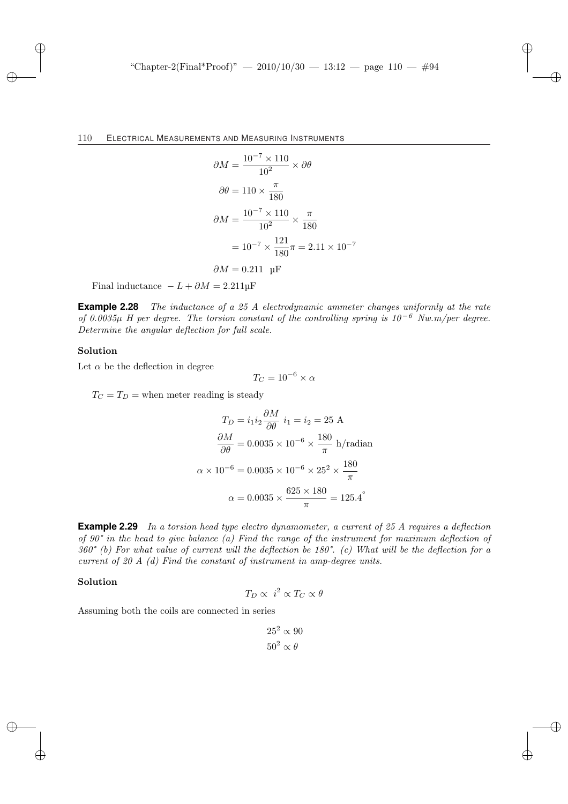$$
\partial M = \frac{10^{-7} \times 110}{10^2} \times \partial \theta
$$
  

$$
\partial \theta = 110 \times \frac{\pi}{180}
$$
  

$$
\partial M = \frac{10^{-7} \times 110}{10^2} \times \frac{\pi}{180}
$$
  

$$
= 10^{-7} \times \frac{121}{180} \pi = 2.11 \times 10^{-7}
$$
  

$$
\partial M = 0.211 \text{ µF}
$$

Final inductance  $-L + \partial M = 2.211 \text{µF}$ 

**Example 2.28** The inductance of a 25 A electrodynamic ammeter changes uniformly at the rate of 0.0035µ H per degree. The torsion constant of the controlling spring is  $10^{-6}$  Nw.m/per degree. Determine the angular deflection for full scale.

#### Solution

Let  $\alpha$  be the deflection in degree

$$
T_C = 10^{-6} \times \alpha
$$

 $T_C = T_D$  = when meter reading is steady

$$
T_D = i_1 i_2 \frac{\partial M}{\partial \theta} \quad i_1 = i_2 = 25 \text{ A}
$$

$$
\frac{\partial M}{\partial \theta} = 0.0035 \times 10^{-6} \times \frac{180}{\pi} \text{ h/radian}
$$

$$
\alpha \times 10^{-6} = 0.0035 \times 10^{-6} \times 25^2 \times \frac{180}{\pi}
$$

$$
\alpha = 0.0035 \times \frac{625 \times 180}{\pi} = 125.4^{\circ}
$$

**Example 2.29** In a torsion head type electro dynamometer, a current of 25 A requires a deflection of 90° in the head to give balance (a) Find the range of the instrument for maximum deflection of  $360^{\circ}$  (b) For what value of current will the deflection be 180°. (c) What will be the deflection for a current of 20 A (d) Find the constant of instrument in amp-degree units.

#### Solution

$$
T_D \propto i^2 \propto T_C \propto \theta
$$

Assuming both the coils are connected in series

$$
25^2 \propto 90
$$
  

$$
50^2 \propto \theta
$$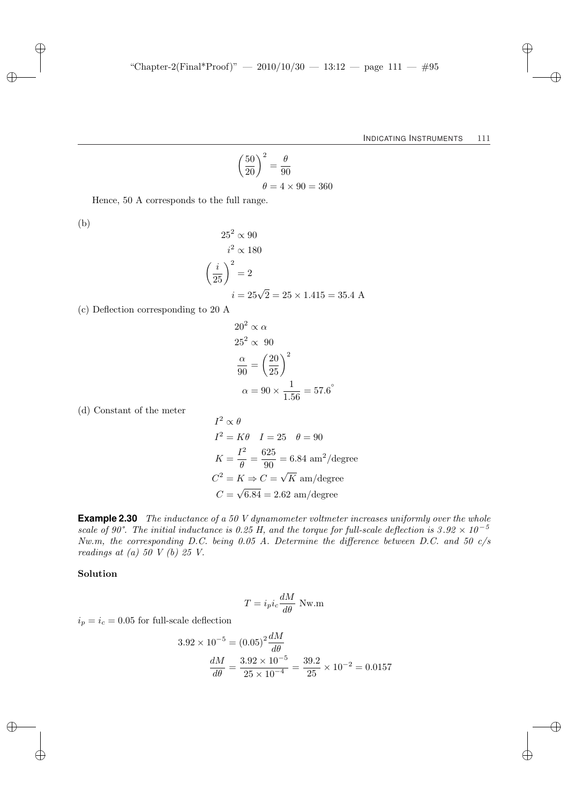$$
\left(\frac{50}{20}\right)^2 = \frac{\theta}{90}
$$

$$
\theta = 4 \times 90 = 360
$$

Hence, 50 A corresponds to the full range.

(b)

$$
252 \propto 90
$$
  

$$
i2 \propto 180
$$
  

$$
\left(\frac{i}{25}\right)^2 = 2
$$
  

$$
i = 25\sqrt{2} = 25 \times 1.415 = 35.4
$$
 A

(c) Deflection corresponding to 20 A

$$
202 \propto \alpha
$$
  
\n
$$
252 \propto 90
$$
  
\n
$$
\frac{\alpha}{90} = \left(\frac{20}{25}\right)^{2}
$$
  
\n
$$
\alpha = 90 \times \frac{1}{1.56} = 57.6^{\circ}
$$

(d) Constant of the meter

$$
I2 \propto \theta
$$
  
\n
$$
I2 = K\theta \quad I = 25 \quad \theta = 90
$$
  
\n
$$
K = \frac{I2}{\theta} = \frac{625}{90} = 6.84 \text{ am}^2/\text{degree}
$$
  
\n
$$
C2 = K \Rightarrow C = \sqrt{K} \text{ am}/\text{degree}
$$
  
\n
$$
C = \sqrt{6.84} = 2.62 \text{ am}/\text{degree}
$$

**Example 2.30** The inductance of a 50 V dynamometer voltmeter increases uniformly over the whole scale of 90°. The initial inductance is 0.25 H, and the torque for full-scale deflection is  $3.92 \times 10^{-5}$ Nw.m, the corresponding D.C. being 0.05 A. Determine the difference between D.C. and 50 c/s readings at  $(a)$  50 V  $(b)$  25 V.

### Solution

$$
T = i_p i_c \frac{dM}{d\theta} \text{ Nw.m}
$$

 $i_p = i_c = 0.05$  for full-scale deflection

$$
3.92 \times 10^{-5} = (0.05)^2 \frac{dM}{d\theta}
$$

$$
\frac{dM}{d\theta} = \frac{3.92 \times 10^{-5}}{25 \times 10^{-4}} = \frac{39.2}{25} \times 10^{-2} = 0.0157
$$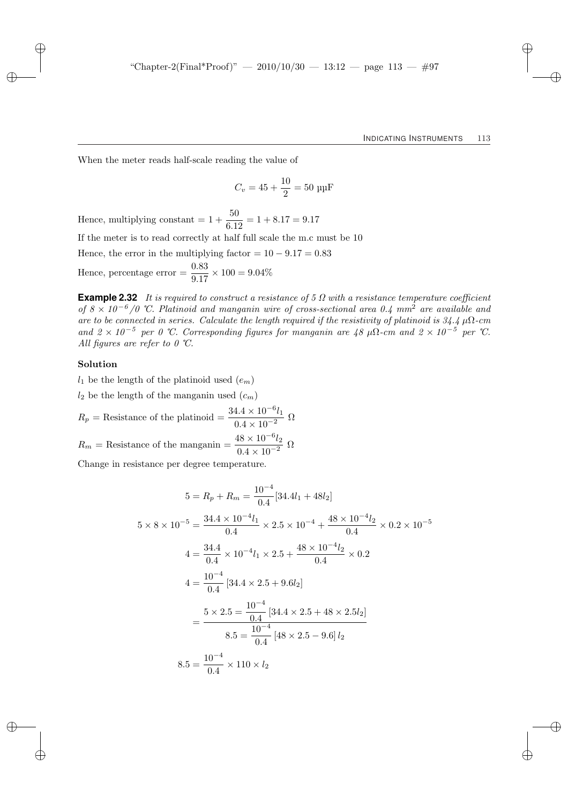When the meter reads half-scale reading the value of

$$
C_v = 45 + \frac{10}{2} = 50 \text{ µF}
$$

Hence, multiplying constant  $= 1 + \frac{50}{6.12} = 1 + 8.17 = 9.17$ If the meter is to read correctly at half full scale the m.c must be 10 Hence, the error in the multiplying factor =  $10 - 9.17 = 0.83$ Hence, percentage error  $=$   $\frac{0.83}{9.17} \times 100 = 9.04\%$ 

**Example 2.32** It is required to construct a resistance of 5 Ω with a resistance temperature coefficient of  $8 \times 10^{-6}$  /0 °C. Platinoid and manganin wire of cross-sectional area 0.4 mm<sup>2</sup> are available and are to be connected in series. Calculate the length required if the resistivity of platinoid is  $34.4 \mu\Omega$ -cm and  $2 \times 10^{-5}$  per 0 °C. Corresponding figures for manganin are  $48 \mu\Omega$ -cm and  $2 \times 10^{-5}$  per °C. All figures are refer to  $0 \text{ } ^\circ\text{C}$ .

#### Solution

 $l_1$  be the length of the platinoid used  $(e_m)$ 

 $l_2$  be the length of the manganin used  $(c_m)$ 

$$
R_p = \text{Resistance of the platinoid} = \frac{34.4 \times 10^{-6} l_1}{0.4 \times 10^{-2}} \text{ }\Omega
$$
  

$$
R_m = \text{Resistance of the manganin} = \frac{48 \times 10^{-6} l_2}{0.4 \times 10^{-2}} \text{ }\Omega
$$

Change in resistance per degree temperature.

$$
5 = R_p + R_m = \frac{10^{-4}}{0.4} [34.4l_1 + 48l_2]
$$
  
\n
$$
5 \times 8 \times 10^{-5} = \frac{34.4 \times 10^{-4}l_1}{0.4} \times 2.5 \times 10^{-4} + \frac{48 \times 10^{-4}l_2}{0.4} \times 0.2 \times 10^{-5}
$$
  
\n
$$
4 = \frac{34.4}{0.4} \times 10^{-4}l_1 \times 2.5 + \frac{48 \times 10^{-4}l_2}{0.4} \times 0.2
$$
  
\n
$$
4 = \frac{10^{-4}}{0.4} [34.4 \times 2.5 + 9.6l_2]
$$
  
\n
$$
= \frac{5 \times 2.5 = \frac{10^{-4}}{0.4} [34.4 \times 2.5 + 48 \times 2.5l_2]
$$
  
\n
$$
8.5 = \frac{10^{-4}}{0.4} [48 \times 2.5 - 9.6]l_2
$$
  
\n
$$
8.5 = \frac{10^{-4}}{0.4} \times 110 \times l_2
$$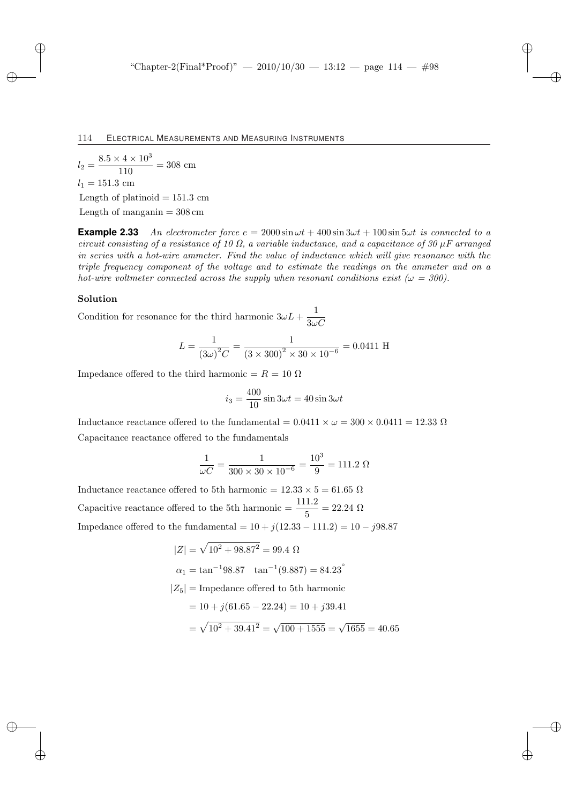$l_2 = \frac{8.5 \times 4 \times 10^3}{110}$  $\frac{11 \times 10}{110}$  = 308 cm  $l_1 = 151.3$  cm Length of platinoid  $= 151.3$  cm Length of manganin  $= 308$  cm

**Example 2.33** An electrometer force  $e = 2000 \sin \omega t + 400 \sin 3\omega t + 100 \sin 5\omega t$  is connected to a circuit consisting of a resistance of 10  $\Omega$ , a variable inductance, and a capacitance of 30  $\mu$ F arranged in series with a hot-wire ammeter. Find the value of inductance which will give resonance with the triple frequency component of the voltage and to estimate the readings on the ammeter and on a hot-wire voltmeter connected across the supply when resonant conditions exist ( $\omega = 300$ ).

#### Solution

Condition for resonance for the third harmonic  $3\omega L + \frac{1}{2}$  $3\omega C$ 

$$
L = \frac{1}{(3\omega)^2 C} = \frac{1}{(3 \times 300)^2 \times 30 \times 10^{-6}} = 0.0411 \text{ H}
$$

Impedance offered to the third harmonic =  $R = 10 \Omega$ 

$$
i_3 = \frac{400}{10} \sin 3\omega t = 40 \sin 3\omega t
$$

Inductance reactance offered to the fundamental =  $0.0411 \times \omega = 300 \times 0.0411 = 12.33 \Omega$ Capacitance reactance offered to the fundamentals

$$
\frac{1}{\omega C} = \frac{1}{300 \times 30 \times 10^{-6}} = \frac{10^3}{9} = 111.2 \text{ }\Omega
$$

Inductance reactance offered to 5th harmonic =  $12.33 \times 5 = 61.65 \Omega$ Capacitive reactance offered to the 5th harmonic =  $\frac{111.2}{5}$  = 22.24  $\Omega$ Impedance offered to the fundamental =  $10 + j(12.33 - 111.2) = 10 - j98.87$ 

$$
|Z| = \sqrt{10^2 + 98.87^2} = 99.4 \text{ }\Omega
$$
  
\n
$$
\alpha_1 = \tan^{-1} 98.87 \quad \tan^{-1} (9.887) = 84.23^{\circ}
$$
  
\n
$$
|Z_5| = \text{Impedance offered to 5th harmonic}
$$
  
\n
$$
= 10 + j(61.65 - 22.24) = 10 + j39.41
$$
  
\n
$$
= \sqrt{10^2 + 39.41^2} = \sqrt{100 + 1555} = \sqrt{1655} = 40.65
$$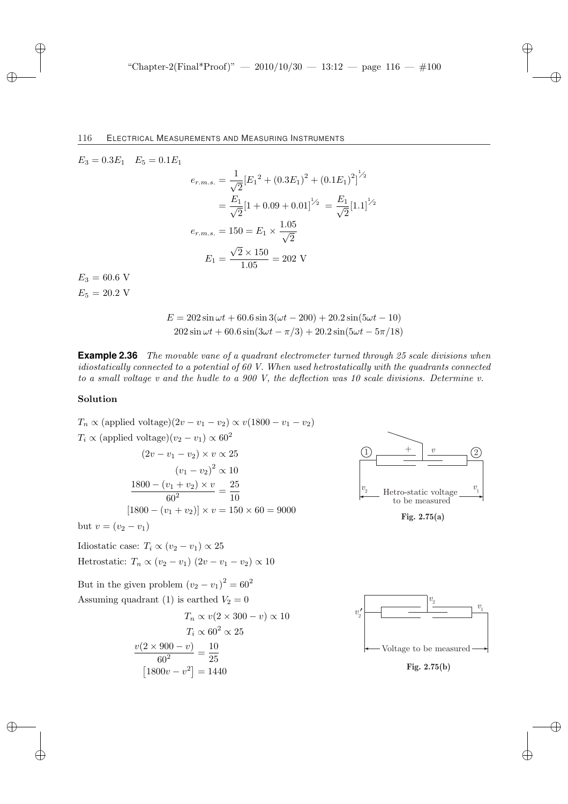$$
E_3 = 0.3E_1 \t E_5 = 0.1E_1
$$
  
\n
$$
e_{r.m.s.} = \frac{1}{\sqrt{2}} [E_1^2 + (0.3E_1)^2 + (0.1E_1)^2]^{1/2}
$$
  
\n
$$
= \frac{E_1}{\sqrt{2}} [1 + 0.09 + 0.01]^{1/2} = \frac{E_1}{\sqrt{2}} [1.1]^{1/2}
$$
  
\n
$$
e_{r.m.s.} = 150 = E_1 \times \frac{1.05}{\sqrt{2}}
$$
  
\n
$$
E_1 = \frac{\sqrt{2} \times 150}{1.05} = 202 \text{ V}
$$
  
\n
$$
E_5 = 20.2 \text{ V}
$$

$$
E = 202 \sin \omega t + 60.6 \sin 3(\omega t - 200) + 20.2 \sin(5\omega t - 10)
$$
  

$$
202 \sin \omega t + 60.6 \sin(3\omega t - \pi/3) + 20.2 \sin(5\omega t - 5\pi/18)
$$

**Example 2.36** The movable vane of a quadrant electrometer turned through 25 scale divisions when idiostatically connected to a potential of 60 V. When used hetrostatically with the quadrants connected to a small voltage v and the hudle to a 900 V, the deflection was 10 scale divisions. Determine v.

#### Solution

$$
T_n \propto \text{(applied voltage)} (2v - v_1 - v_2) \propto v(1800 - v_1 - v_2)
$$
  
\n
$$
T_i \propto \text{(applied voltage)} (v_2 - v_1) \propto 60^2
$$
  
\n
$$
(2v - v_1 - v_2) \times v \propto 25
$$
  
\n
$$
(v_1 - v_2)^2 \propto 10
$$
  
\n
$$
\frac{1800 - (v_1 + v_2) \times v}{60^2} = \frac{25}{10}
$$
  
\n
$$
[1800 - (v_1 + v_2)] \times v = 150 \times 60 = 9000
$$

but  $v = (v_2 - v_1)$ 

Idiostatic case:  $T_i \propto (v_2 - v_1) \propto 25$ Hetrostatic:  $T_n \propto (v_2 - v_1) (2v - v_1 - v_2) \propto 10$ 

But in the given problem  $(v_2 - v_1)^2 = 60^2$ Assuming quadrant (1) is earthed  $V_2 = 0$ 

$$
T_n \propto v(2 \times 300 - v) \propto 10
$$

$$
T_i \propto 60^2 \propto 25
$$

$$
\frac{v(2 \times 900 - v)}{60^2} = \frac{10}{25}
$$

$$
[1800v - v^2] = 1440
$$



**Fig. 2.75(a)**



**Fig. 2.75(b)**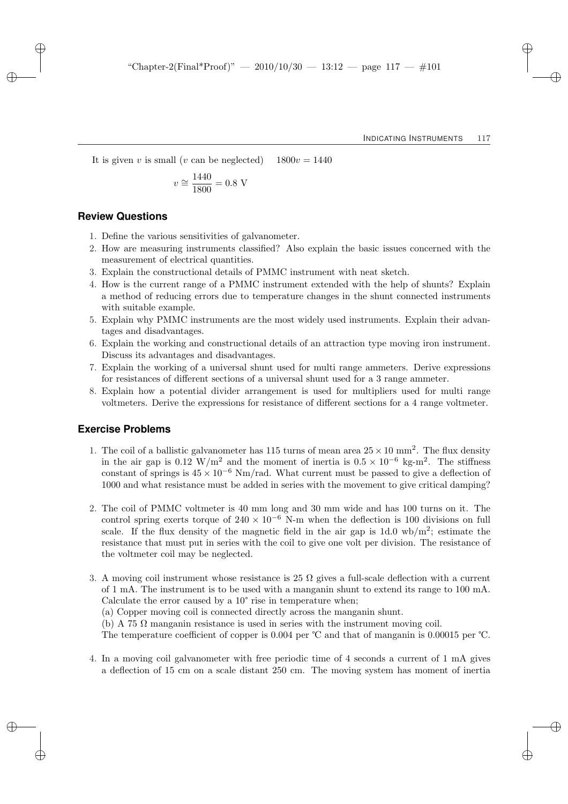It is given v is small (v can be neglected)  $1800v = 1440$ 

$$
v \cong \frac{1440}{1800} = 0.8 \text{ V}
$$

### **Review Questions**

- 1. Define the various sensitivities of galvanometer.
- 2. How are measuring instruments classified? Also explain the basic issues concerned with the measurement of electrical quantities.
- 3. Explain the constructional details of PMMC instrument with neat sketch.
- 4. How is the current range of a PMMC instrument extended with the help of shunts? Explain a method of reducing errors due to temperature changes in the shunt connected instruments with suitable example.
- 5. Explain why PMMC instruments are the most widely used instruments. Explain their advantages and disadvantages.
- 6. Explain the working and constructional details of an attraction type moving iron instrument. Discuss its advantages and disadvantages.
- 7. Explain the working of a universal shunt used for multi range ammeters. Derive expressions for resistances of different sections of a universal shunt used for a 3 range ammeter.
- 8. Explain how a potential divider arrangement is used for multipliers used for multi range voltmeters. Derive the expressions for resistance of different sections for a 4 range voltmeter.

### **Exercise Problems**

- 1. The coil of a ballistic galvanometer has 115 turns of mean area  $25 \times 10$  mm<sup>2</sup>. The flux density in the air gap is 0.12 W/m<sup>2</sup> and the moment of inertia is  $0.5 \times 10^{-6}$  kg-m<sup>2</sup>. The stiffness constant of springs is  $45 \times 10^{-6}$  Nm/rad. What current must be passed to give a deflection of 1000 and what resistance must be added in series with the movement to give critical damping?
- 2. The coil of PMMC voltmeter is 40 mm long and 30 mm wide and has 100 turns on it. The control spring exerts torque of  $240 \times 10^{-6}$  N-m when the deflection is 100 divisions on full scale. If the flux density of the magnetic field in the air gap is  $1d.0 \text{ wb/m}^2$ ; estimate the resistance that must put in series with the coil to give one volt per division. The resistance of the voltmeter coil may be neglected.
- 3. A moving coil instrument whose resistance is 25  $\Omega$  gives a full-scale deflection with a current of 1 mA. The instrument is to be used with a manganin shunt to extend its range to 100 mA. Calculate the error caused by a 10° rise in temperature when;
	- (a) Copper moving coil is connected directly across the manganin shunt.

(b) A 75  $\Omega$  manganin resistance is used in series with the instrument moving coil.

The temperature coefficient of copper is 0.004 per ℃ and that of manganin is 0.00015 per ℃.

4. In a moving coil galvanometer with free periodic time of 4 seconds a current of 1 mA gives a deflection of 15 cm on a scale distant 250 cm. The moving system has moment of inertia